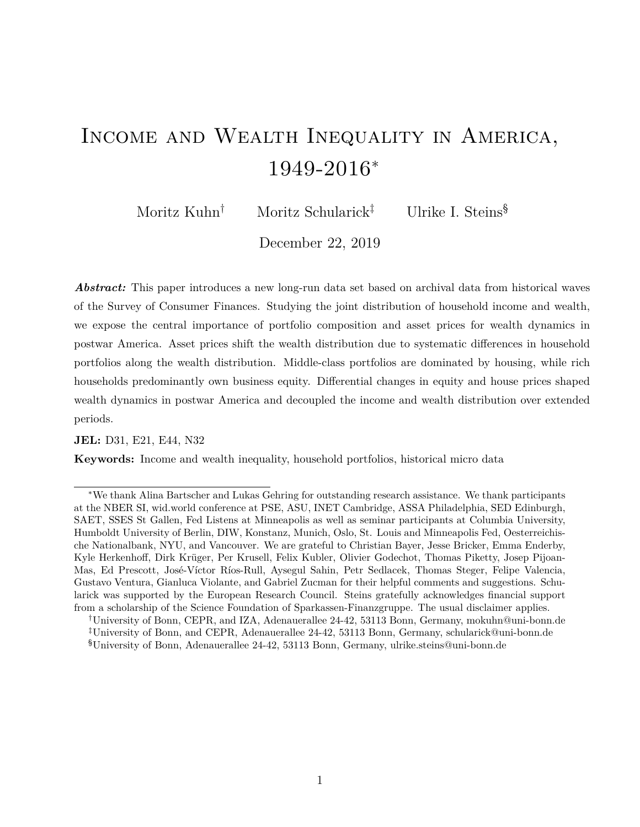# Income and Wealth Inequality in America, 1949-2016*<sup>∗</sup>*

Moritz Kuhn<sup>†</sup> Moritz Schularick<sup>‡</sup> Ulrike I. Steins<sup>§</sup>

December 22, 2019

*Abstract:* This paper introduces a new long-run data set based on archival data from historical waves of the Survey of Consumer Finances. Studying the joint distribution of household income and wealth, we expose the central importance of portfolio composition and asset prices for wealth dynamics in postwar America. Asset prices shift the wealth distribution due to systematic differences in household portfolios along the wealth distribution. Middle-class portfolios are dominated by housing, while rich households predominantly own business equity. Differential changes in equity and house prices shaped wealth dynamics in postwar America and decoupled the income and wealth distribution over extended periods.

#### **JEL:** D31, E21, E44, N32

**Keywords:** Income and wealth inequality, household portfolios, historical micro data

*<sup>∗</sup>*We thank Alina Bartscher and Lukas Gehring for outstanding research assistance. We thank participants at the NBER SI, wid.world conference at PSE, ASU, INET Cambridge, ASSA Philadelphia, SED Edinburgh, SAET, SSES St Gallen, Fed Listens at Minneapolis as well as seminar participants at Columbia University, Humboldt University of Berlin, DIW, Konstanz, Munich, Oslo, St. Louis and Minneapolis Fed, Oesterreichische Nationalbank, NYU, and Vancouver. We are grateful to Christian Bayer, Jesse Bricker, Emma Enderby, Kyle Herkenhoff, Dirk Krüger, Per Krusell, Felix Kubler, Olivier Godechot, Thomas Piketty, Josep Pijoan-Mas, Ed Prescott, José-Víctor Ríos-Rull, Aysegul Sahin, Petr Sedlacek, Thomas Steger, Felipe Valencia, Gustavo Ventura, Gianluca Violante, and Gabriel Zucman for their helpful comments and suggestions. Schularick was supported by the European Research Council. Steins gratefully acknowledges financial support from a scholarship of the Science Foundation of Sparkassen-Finanzgruppe. The usual disclaimer applies.

*<sup>†</sup>*University of Bonn, CEPR, and IZA, Adenauerallee 24-42, 53113 Bonn, Germany, mokuhn@uni-bonn.de *‡*University of Bonn, and CEPR, Adenauerallee 24-42, 53113 Bonn, Germany, schularick@uni-bonn.de §University of Bonn, Adenauerallee 24-42, 53113 Bonn, Germany, ulrike.steins@uni-bonn.de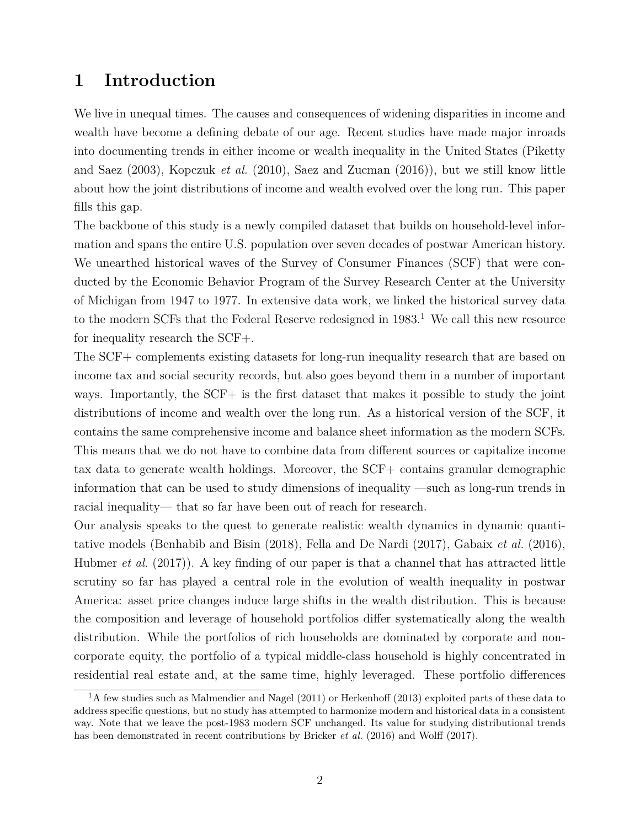# **1 Introduction**

We live in unequal times. The causes and consequences of widening disparities in income and wealth have become a defining debate of our age. Recent studies have made major inroads into documenting trends in either income or wealth inequality in the United States (Piketty and Saez (2003), Kopczuk *et al.* (2010), Saez and Zucman (2016)), but we still know little about how the joint distributions of income and wealth evolved over the long run. This paper fills this gap.

The backbone of this study is a newly compiled dataset that builds on household-level information and spans the entire U.S. population over seven decades of postwar American history. We unearthed historical waves of the Survey of Consumer Finances (SCF) that were conducted by the Economic Behavior Program of the Survey Research Center at the University of Michigan from 1947 to 1977. In extensive data work, we linked the historical survey data to the modern SCFs that the Federal Reserve redesigned in  $1983<sup>1</sup>$  We call this new resource for inequality research the SCF+.

The SCF+ complements existing datasets for long-run inequality research that are based on income tax and social security records, but also goes beyond them in a number of important ways. Importantly, the SCF+ is the first dataset that makes it possible to study the joint distributions of income and wealth over the long run. As a historical version of the SCF, it contains the same comprehensive income and balance sheet information as the modern SCFs. This means that we do not have to combine data from different sources or capitalize income tax data to generate wealth holdings. Moreover, the SCF+ contains granular demographic information that can be used to study dimensions of inequality —such as long-run trends in racial inequality— that so far have been out of reach for research.

Our analysis speaks to the quest to generate realistic wealth dynamics in dynamic quantitative models (Benhabib and Bisin (2018), Fella and De Nardi (2017), Gabaix *et al.* (2016), Hubmer *et al.* (2017)). A key finding of our paper is that a channel that has attracted little scrutiny so far has played a central role in the evolution of wealth inequality in postwar America: asset price changes induce large shifts in the wealth distribution. This is because the composition and leverage of household portfolios differ systematically along the wealth distribution. While the portfolios of rich households are dominated by corporate and noncorporate equity, the portfolio of a typical middle-class household is highly concentrated in residential real estate and, at the same time, highly leveraged. These portfolio differences

<sup>&</sup>lt;sup>1</sup>A few studies such as Malmendier and Nagel (2011) or Herkenhoff (2013) exploited parts of these data to address specific questions, but no study has attempted to harmonize modern and historical data in a consistent way. Note that we leave the post-1983 modern SCF unchanged. Its value for studying distributional trends has been demonstrated in recent contributions by Bricker *et al.* (2016) and Wolff (2017).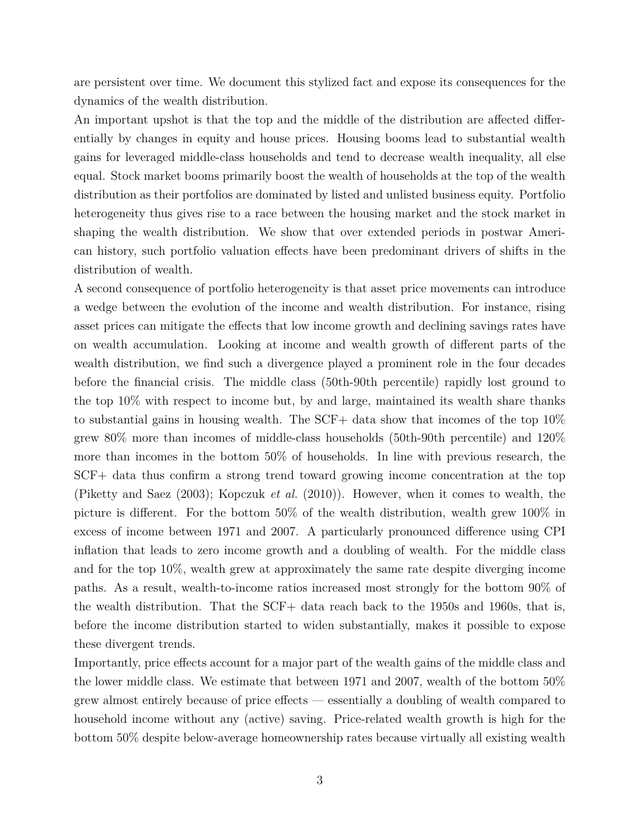are persistent over time. We document this stylized fact and expose its consequences for the dynamics of the wealth distribution.

An important upshot is that the top and the middle of the distribution are affected differentially by changes in equity and house prices. Housing booms lead to substantial wealth gains for leveraged middle-class households and tend to decrease wealth inequality, all else equal. Stock market booms primarily boost the wealth of households at the top of the wealth distribution as their portfolios are dominated by listed and unlisted business equity. Portfolio heterogeneity thus gives rise to a race between the housing market and the stock market in shaping the wealth distribution. We show that over extended periods in postwar American history, such portfolio valuation effects have been predominant drivers of shifts in the distribution of wealth.

A second consequence of portfolio heterogeneity is that asset price movements can introduce a wedge between the evolution of the income and wealth distribution. For instance, rising asset prices can mitigate the effects that low income growth and declining savings rates have on wealth accumulation. Looking at income and wealth growth of different parts of the wealth distribution, we find such a divergence played a prominent role in the four decades before the financial crisis. The middle class (50th-90th percentile) rapidly lost ground to the top 10% with respect to income but, by and large, maintained its wealth share thanks to substantial gains in housing wealth. The SCF+ data show that incomes of the top 10% grew 80% more than incomes of middle-class households (50th-90th percentile) and 120% more than incomes in the bottom 50% of households. In line with previous research, the SCF+ data thus confirm a strong trend toward growing income concentration at the top (Piketty and Saez (2003); Kopczuk *et al.* (2010)). However, when it comes to wealth, the picture is different. For the bottom 50% of the wealth distribution, wealth grew 100% in excess of income between 1971 and 2007. A particularly pronounced difference using CPI inflation that leads to zero income growth and a doubling of wealth. For the middle class and for the top 10%, wealth grew at approximately the same rate despite diverging income paths. As a result, wealth-to-income ratios increased most strongly for the bottom 90% of the wealth distribution. That the SCF+ data reach back to the 1950s and 1960s, that is, before the income distribution started to widen substantially, makes it possible to expose these divergent trends.

Importantly, price effects account for a major part of the wealth gains of the middle class and the lower middle class. We estimate that between 1971 and 2007, wealth of the bottom 50% grew almost entirely because of price effects — essentially a doubling of wealth compared to household income without any (active) saving. Price-related wealth growth is high for the bottom 50% despite below-average homeownership rates because virtually all existing wealth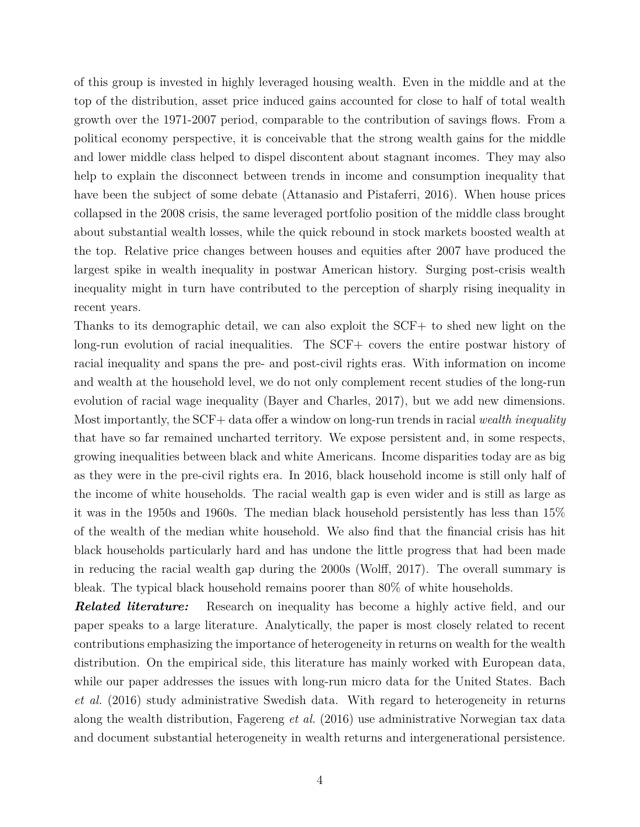of this group is invested in highly leveraged housing wealth. Even in the middle and at the top of the distribution, asset price induced gains accounted for close to half of total wealth growth over the 1971-2007 period, comparable to the contribution of savings flows. From a political economy perspective, it is conceivable that the strong wealth gains for the middle and lower middle class helped to dispel discontent about stagnant incomes. They may also help to explain the disconnect between trends in income and consumption inequality that have been the subject of some debate (Attanasio and Pistaferri, 2016). When house prices collapsed in the 2008 crisis, the same leveraged portfolio position of the middle class brought about substantial wealth losses, while the quick rebound in stock markets boosted wealth at the top. Relative price changes between houses and equities after 2007 have produced the largest spike in wealth inequality in postwar American history. Surging post-crisis wealth inequality might in turn have contributed to the perception of sharply rising inequality in recent years.

Thanks to its demographic detail, we can also exploit the SCF+ to shed new light on the long-run evolution of racial inequalities. The SCF+ covers the entire postwar history of racial inequality and spans the pre- and post-civil rights eras. With information on income and wealth at the household level, we do not only complement recent studies of the long-run evolution of racial wage inequality (Bayer and Charles, 2017), but we add new dimensions. Most importantly, the SCF+ data offer a window on long-run trends in racial *wealth inequality* that have so far remained uncharted territory. We expose persistent and, in some respects, growing inequalities between black and white Americans. Income disparities today are as big as they were in the pre-civil rights era. In 2016, black household income is still only half of the income of white households. The racial wealth gap is even wider and is still as large as it was in the 1950s and 1960s. The median black household persistently has less than 15% of the wealth of the median white household. We also find that the financial crisis has hit black households particularly hard and has undone the little progress that had been made in reducing the racial wealth gap during the 2000s (Wolff, 2017). The overall summary is bleak. The typical black household remains poorer than 80% of white households.

**Related literature:** Research on inequality has become a highly active field, and our paper speaks to a large literature. Analytically, the paper is most closely related to recent contributions emphasizing the importance of heterogeneity in returns on wealth for the wealth distribution. On the empirical side, this literature has mainly worked with European data, while our paper addresses the issues with long-run micro data for the United States. Bach *et al.* (2016) study administrative Swedish data. With regard to heterogeneity in returns along the wealth distribution, Fagereng *et al.* (2016) use administrative Norwegian tax data and document substantial heterogeneity in wealth returns and intergenerational persistence.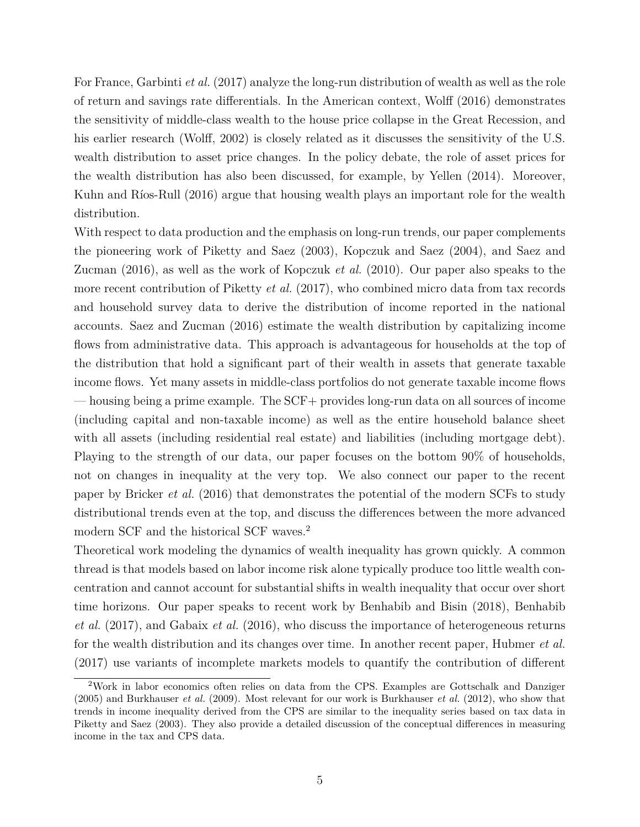For France, Garbinti *et al.* (2017) analyze the long-run distribution of wealth as well as the role of return and savings rate differentials. In the American context, Wolff (2016) demonstrates the sensitivity of middle-class wealth to the house price collapse in the Great Recession, and his earlier research (Wolff, 2002) is closely related as it discusses the sensitivity of the U.S. wealth distribution to asset price changes. In the policy debate, the role of asset prices for the wealth distribution has also been discussed, for example, by Yellen (2014). Moreover, Kuhn and Ríos-Rull (2016) argue that housing wealth plays an important role for the wealth distribution.

With respect to data production and the emphasis on long-run trends, our paper complements the pioneering work of Piketty and Saez (2003), Kopczuk and Saez (2004), and Saez and Zucman (2016), as well as the work of Kopczuk *et al.* (2010). Our paper also speaks to the more recent contribution of Piketty *et al.* (2017), who combined micro data from tax records and household survey data to derive the distribution of income reported in the national accounts. Saez and Zucman (2016) estimate the wealth distribution by capitalizing income flows from administrative data. This approach is advantageous for households at the top of the distribution that hold a significant part of their wealth in assets that generate taxable income flows. Yet many assets in middle-class portfolios do not generate taxable income flows — housing being a prime example. The SCF+ provides long-run data on all sources of income (including capital and non-taxable income) as well as the entire household balance sheet with all assets (including residential real estate) and liabilities (including mortgage debt). Playing to the strength of our data, our paper focuses on the bottom 90% of households, not on changes in inequality at the very top. We also connect our paper to the recent paper by Bricker *et al.* (2016) that demonstrates the potential of the modern SCFs to study distributional trends even at the top, and discuss the differences between the more advanced modern SCF and the historical SCF waves.<sup>2</sup>

Theoretical work modeling the dynamics of wealth inequality has grown quickly. A common thread is that models based on labor income risk alone typically produce too little wealth concentration and cannot account for substantial shifts in wealth inequality that occur over short time horizons. Our paper speaks to recent work by Benhabib and Bisin (2018), Benhabib *et al.* (2017), and Gabaix *et al.* (2016), who discuss the importance of heterogeneous returns for the wealth distribution and its changes over time. In another recent paper, Hubmer *et al.* (2017) use variants of incomplete markets models to quantify the contribution of different

<sup>2</sup>Work in labor economics often relies on data from the CPS. Examples are Gottschalk and Danziger (2005) and Burkhauser *et al.* (2009). Most relevant for our work is Burkhauser *et al.* (2012), who show that trends in income inequality derived from the CPS are similar to the inequality series based on tax data in Piketty and Saez (2003). They also provide a detailed discussion of the conceptual differences in measuring income in the tax and CPS data.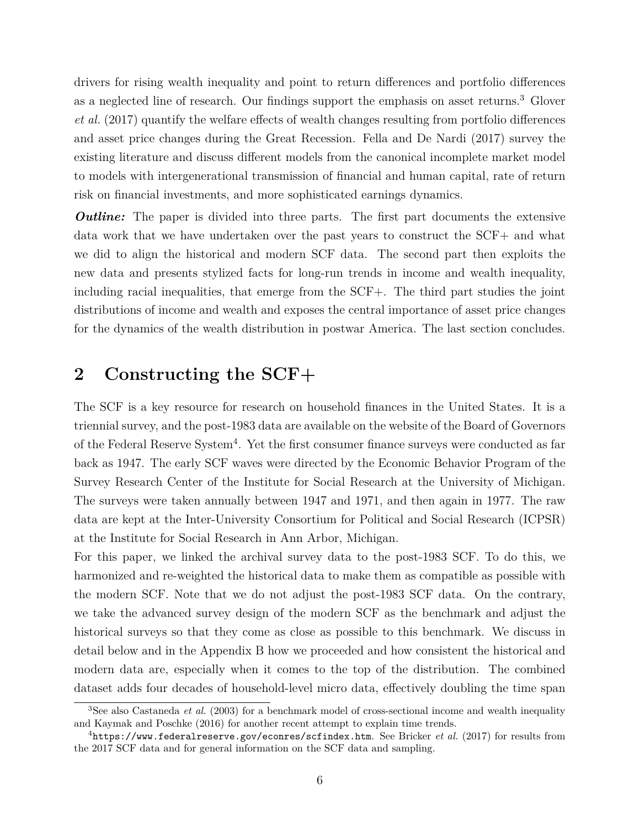drivers for rising wealth inequality and point to return differences and portfolio differences as a neglected line of research. Our findings support the emphasis on asset returns.<sup>3</sup> Glover *et al.* (2017) quantify the welfare effects of wealth changes resulting from portfolio differences and asset price changes during the Great Recession. Fella and De Nardi (2017) survey the existing literature and discuss different models from the canonical incomplete market model to models with intergenerational transmission of financial and human capital, rate of return risk on financial investments, and more sophisticated earnings dynamics.

*Outline:* The paper is divided into three parts. The first part documents the extensive data work that we have undertaken over the past years to construct the SCF+ and what we did to align the historical and modern SCF data. The second part then exploits the new data and presents stylized facts for long-run trends in income and wealth inequality, including racial inequalities, that emerge from the SCF+. The third part studies the joint distributions of income and wealth and exposes the central importance of asset price changes for the dynamics of the wealth distribution in postwar America. The last section concludes.

# **2 Constructing the SCF+**

The SCF is a key resource for research on household finances in the United States. It is a triennial survey, and the post-1983 data are available on the website of the Board of Governors of the Federal Reserve System<sup>4</sup>. Yet the first consumer finance surveys were conducted as far back as 1947. The early SCF waves were directed by the Economic Behavior Program of the Survey Research Center of the Institute for Social Research at the University of Michigan. The surveys were taken annually between 1947 and 1971, and then again in 1977. The raw data are kept at the Inter-University Consortium for Political and Social Research (ICPSR) at the Institute for Social Research in Ann Arbor, Michigan.

For this paper, we linked the archival survey data to the post-1983 SCF. To do this, we harmonized and re-weighted the historical data to make them as compatible as possible with the modern SCF. Note that we do not adjust the post-1983 SCF data. On the contrary, we take the advanced survey design of the modern SCF as the benchmark and adjust the historical surveys so that they come as close as possible to this benchmark. We discuss in detail below and in the Appendix B how we proceeded and how consistent the historical and modern data are, especially when it comes to the top of the distribution. The combined dataset adds four decades of household-level micro data, effectively doubling the time span

<sup>&</sup>lt;sup>3</sup>See also Castaneda *et al.* (2003) for a benchmark model of cross-sectional income and wealth inequality and Kaymak and Poschke (2016) for another recent attempt to explain time trends.

<sup>4</sup>https://www.federalreserve.gov/econres/scfindex.htm. See Bricker *et al.* (2017) for results from the 2017 SCF data and for general information on the SCF data and sampling.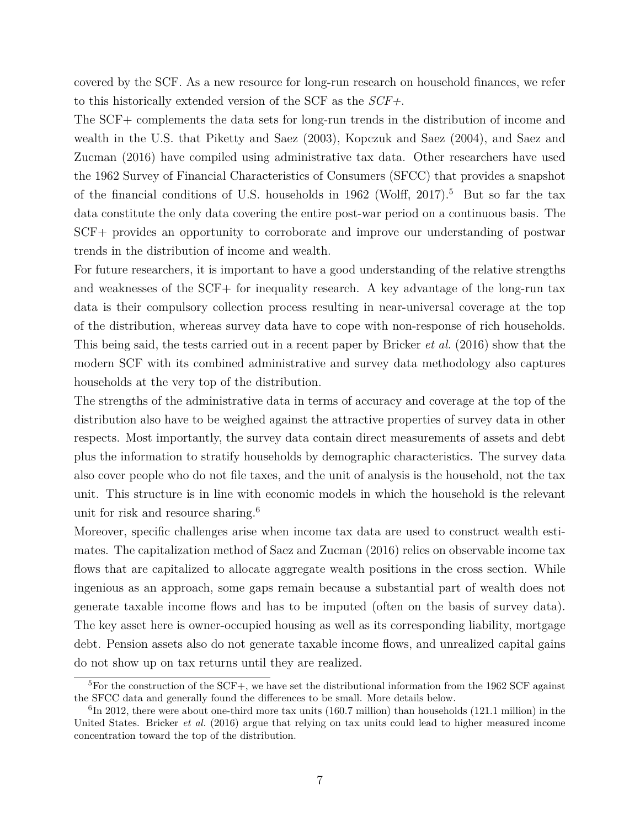covered by the SCF. As a new resource for long-run research on household finances, we refer to this historically extended version of the SCF as the *SCF+*.

The SCF+ complements the data sets for long-run trends in the distribution of income and wealth in the U.S. that Piketty and Saez (2003), Kopczuk and Saez (2004), and Saez and Zucman (2016) have compiled using administrative tax data. Other researchers have used the 1962 Survey of Financial Characteristics of Consumers (SFCC) that provides a snapshot of the financial conditions of U.S. households in 1962 (Wolff, 2017).<sup>5</sup> But so far the tax data constitute the only data covering the entire post-war period on a continuous basis. The SCF+ provides an opportunity to corroborate and improve our understanding of postwar trends in the distribution of income and wealth.

For future researchers, it is important to have a good understanding of the relative strengths and weaknesses of the SCF+ for inequality research. A key advantage of the long-run tax data is their compulsory collection process resulting in near-universal coverage at the top of the distribution, whereas survey data have to cope with non-response of rich households. This being said, the tests carried out in a recent paper by Bricker *et al.* (2016) show that the modern SCF with its combined administrative and survey data methodology also captures households at the very top of the distribution.

The strengths of the administrative data in terms of accuracy and coverage at the top of the distribution also have to be weighed against the attractive properties of survey data in other respects. Most importantly, the survey data contain direct measurements of assets and debt plus the information to stratify households by demographic characteristics. The survey data also cover people who do not file taxes, and the unit of analysis is the household, not the tax unit. This structure is in line with economic models in which the household is the relevant unit for risk and resource sharing.<sup>6</sup>

Moreover, specific challenges arise when income tax data are used to construct wealth estimates. The capitalization method of Saez and Zucman (2016) relies on observable income tax flows that are capitalized to allocate aggregate wealth positions in the cross section. While ingenious as an approach, some gaps remain because a substantial part of wealth does not generate taxable income flows and has to be imputed (often on the basis of survey data). The key asset here is owner-occupied housing as well as its corresponding liability, mortgage debt. Pension assets also do not generate taxable income flows, and unrealized capital gains do not show up on tax returns until they are realized.

<sup>&</sup>lt;sup>5</sup>For the construction of the SCF+, we have set the distributional information from the 1962 SCF against the SFCC data and generally found the differences to be small. More details below.

 ${}^{6}$ In 2012, there were about one-third more tax units (160.7 million) than households (121.1 million) in the United States. Bricker *et al.* (2016) argue that relying on tax units could lead to higher measured income concentration toward the top of the distribution.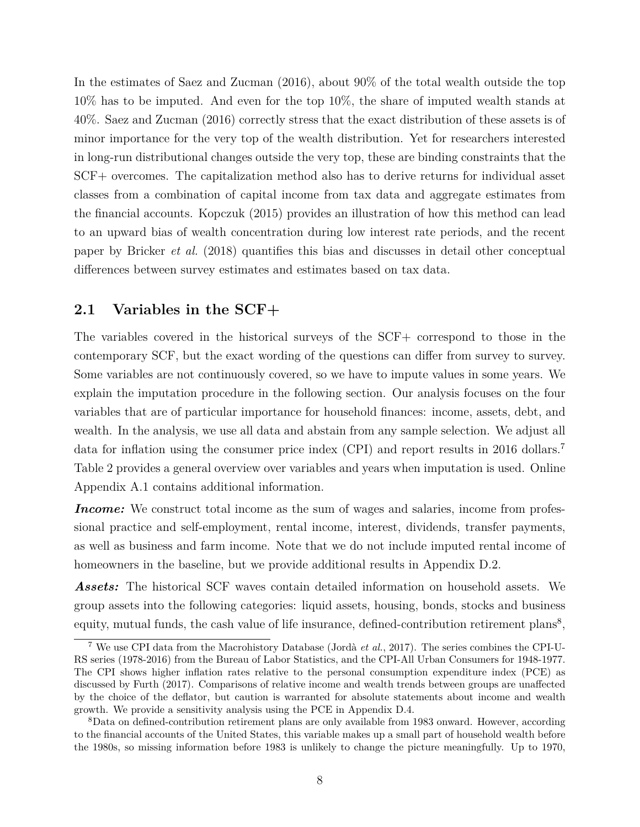In the estimates of Saez and Zucman (2016), about 90% of the total wealth outside the top 10% has to be imputed. And even for the top 10%, the share of imputed wealth stands at 40%. Saez and Zucman (2016) correctly stress that the exact distribution of these assets is of minor importance for the very top of the wealth distribution. Yet for researchers interested in long-run distributional changes outside the very top, these are binding constraints that the SCF+ overcomes. The capitalization method also has to derive returns for individual asset classes from a combination of capital income from tax data and aggregate estimates from the financial accounts. Kopczuk (2015) provides an illustration of how this method can lead to an upward bias of wealth concentration during low interest rate periods, and the recent paper by Bricker *et al.* (2018) quantifies this bias and discusses in detail other conceptual differences between survey estimates and estimates based on tax data.

## **2.1 Variables in the SCF+**

The variables covered in the historical surveys of the SCF+ correspond to those in the contemporary SCF, but the exact wording of the questions can differ from survey to survey. Some variables are not continuously covered, so we have to impute values in some years. We explain the imputation procedure in the following section. Our analysis focuses on the four variables that are of particular importance for household finances: income, assets, debt, and wealth. In the analysis, we use all data and abstain from any sample selection. We adjust all data for inflation using the consumer price index (CPI) and report results in 2016 dollars.<sup>7</sup> Table 2 provides a general overview over variables and years when imputation is used. Online Appendix A.1 contains additional information.

*Income:* We construct total income as the sum of wages and salaries, income from professional practice and self-employment, rental income, interest, dividends, transfer payments, as well as business and farm income. Note that we do not include imputed rental income of homeowners in the baseline, but we provide additional results in Appendix D.2.

*Assets:* The historical SCF waves contain detailed information on household assets. We group assets into the following categories: liquid assets, housing, bonds, stocks and business equity, mutual funds, the cash value of life insurance, defined-contribution retirement plans<sup>8</sup>,

<sup>7</sup> We use CPI data from the Macrohistory Database (Jordà *et al.*, 2017). The series combines the CPI-U-RS series (1978-2016) from the Bureau of Labor Statistics, and the CPI-All Urban Consumers for 1948-1977. The CPI shows higher inflation rates relative to the personal consumption expenditure index (PCE) as discussed by Furth (2017). Comparisons of relative income and wealth trends between groups are unaffected by the choice of the deflator, but caution is warranted for absolute statements about income and wealth growth. We provide a sensitivity analysis using the PCE in Appendix D.4.

<sup>&</sup>lt;sup>8</sup>Data on defined-contribution retirement plans are only available from 1983 onward. However, according to the financial accounts of the United States, this variable makes up a small part of household wealth before the 1980s, so missing information before 1983 is unlikely to change the picture meaningfully. Up to 1970,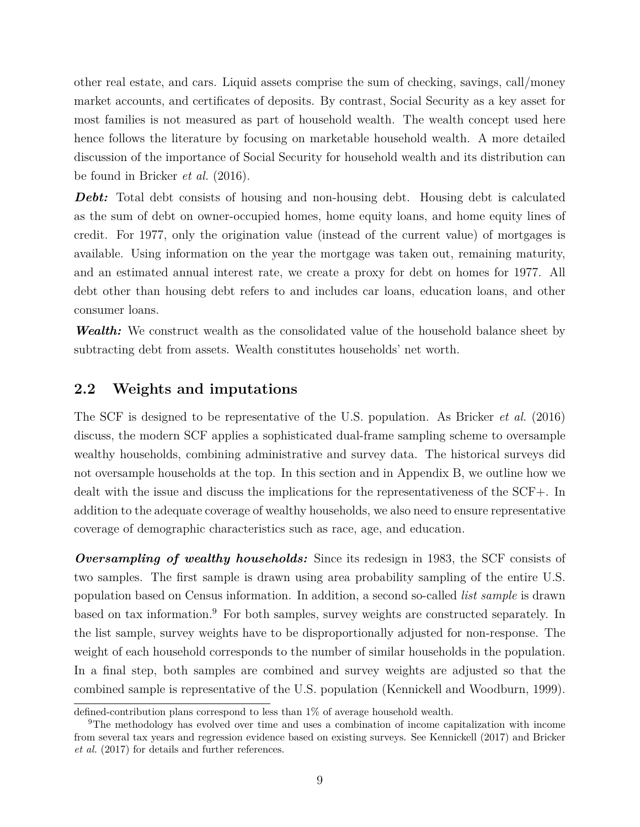other real estate, and cars. Liquid assets comprise the sum of checking, savings, call/money market accounts, and certificates of deposits. By contrast, Social Security as a key asset for most families is not measured as part of household wealth. The wealth concept used here hence follows the literature by focusing on marketable household wealth. A more detailed discussion of the importance of Social Security for household wealth and its distribution can be found in Bricker *et al.* (2016).

**Debt:** Total debt consists of housing and non-housing debt. Housing debt is calculated as the sum of debt on owner-occupied homes, home equity loans, and home equity lines of credit. For 1977, only the origination value (instead of the current value) of mortgages is available. Using information on the year the mortgage was taken out, remaining maturity, and an estimated annual interest rate, we create a proxy for debt on homes for 1977. All debt other than housing debt refers to and includes car loans, education loans, and other consumer loans.

*Wealth:* We construct wealth as the consolidated value of the household balance sheet by subtracting debt from assets. Wealth constitutes households' net worth.

## **2.2 Weights and imputations**

The SCF is designed to be representative of the U.S. population. As Bricker *et al.* (2016) discuss, the modern SCF applies a sophisticated dual-frame sampling scheme to oversample wealthy households, combining administrative and survey data. The historical surveys did not oversample households at the top. In this section and in Appendix B, we outline how we dealt with the issue and discuss the implications for the representativeness of the SCF+. In addition to the adequate coverage of wealthy households, we also need to ensure representative coverage of demographic characteristics such as race, age, and education.

*Oversampling of wealthy households:* Since its redesign in 1983, the SCF consists of two samples. The first sample is drawn using area probability sampling of the entire U.S. population based on Census information. In addition, a second so-called *list sample* is drawn based on tax information.<sup>9</sup> For both samples, survey weights are constructed separately. In the list sample, survey weights have to be disproportionally adjusted for non-response. The weight of each household corresponds to the number of similar households in the population. In a final step, both samples are combined and survey weights are adjusted so that the combined sample is representative of the U.S. population (Kennickell and Woodburn, 1999).

defined-contribution plans correspond to less than 1% of average household wealth.

<sup>9</sup>The methodology has evolved over time and uses a combination of income capitalization with income from several tax years and regression evidence based on existing surveys. See Kennickell (2017) and Bricker *et al.* (2017) for details and further references.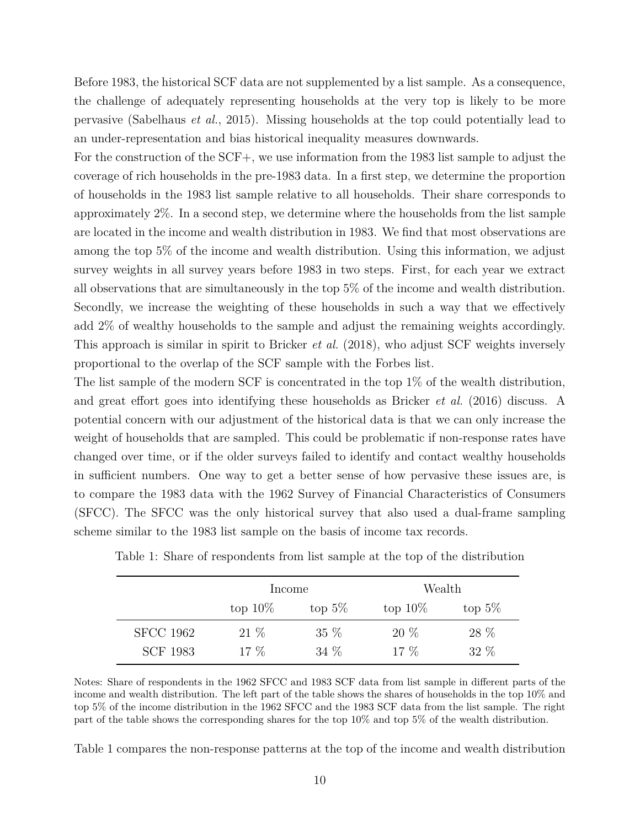Before 1983, the historical SCF data are not supplemented by a list sample. As a consequence, the challenge of adequately representing households at the very top is likely to be more pervasive (Sabelhaus *et al.*, 2015). Missing households at the top could potentially lead to an under-representation and bias historical inequality measures downwards.

For the construction of the SCF+, we use information from the 1983 list sample to adjust the coverage of rich households in the pre-1983 data. In a first step, we determine the proportion of households in the 1983 list sample relative to all households. Their share corresponds to approximately 2%. In a second step, we determine where the households from the list sample are located in the income and wealth distribution in 1983. We find that most observations are among the top 5% of the income and wealth distribution. Using this information, we adjust survey weights in all survey years before 1983 in two steps. First, for each year we extract all observations that are simultaneously in the top 5% of the income and wealth distribution. Secondly, we increase the weighting of these households in such a way that we effectively add 2% of wealthy households to the sample and adjust the remaining weights accordingly. This approach is similar in spirit to Bricker *et al.* (2018), who adjust SCF weights inversely proportional to the overlap of the SCF sample with the Forbes list.

The list sample of the modern SCF is concentrated in the top 1% of the wealth distribution, and great effort goes into identifying these households as Bricker *et al.* (2016) discuss. A potential concern with our adjustment of the historical data is that we can only increase the weight of households that are sampled. This could be problematic if non-response rates have changed over time, or if the older surveys failed to identify and contact wealthy households in sufficient numbers. One way to get a better sense of how pervasive these issues are, is to compare the 1983 data with the 1962 Survey of Financial Characteristics of Consumers (SFCC). The SFCC was the only historical survey that also used a dual-frame sampling scheme similar to the 1983 list sample on the basis of income tax records.

|                  | Income     |           | Wealth     |           |  |  |  |
|------------------|------------|-----------|------------|-----------|--|--|--|
|                  | top $10\%$ | top $5\%$ | top $10\%$ | top $5\%$ |  |  |  |
| <b>SFCC 1962</b> | $21\%$     | $35\%$    | 20 %       | 28 %      |  |  |  |
| <b>SCF 1983</b>  | $17\%$     | 34 %      | $17\%$     | $32\%$    |  |  |  |

Notes: Share of respondents in the 1962 SFCC and 1983 SCF data from list sample in different parts of the income and wealth distribution. The left part of the table shows the shares of households in the top 10% and top 5% of the income distribution in the 1962 SFCC and the 1983 SCF data from the list sample. The right part of the table shows the corresponding shares for the top 10% and top 5% of the wealth distribution.

Table 1 compares the non-response patterns at the top of the income and wealth distribution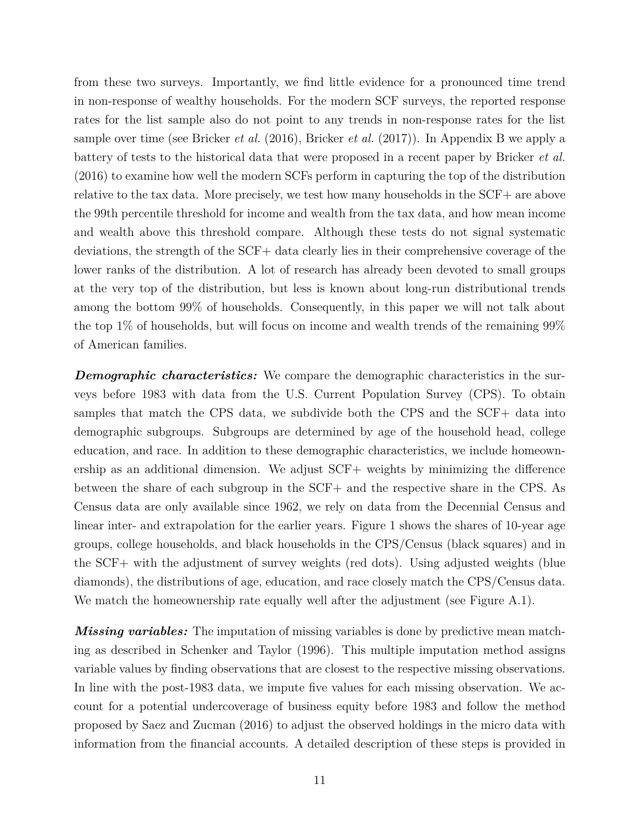from these two surveys. Importantly, we find little evidence for a pronounced time trend in non-response of wealthy households. For the modern SCF surveys, the reported response rates for the list sample also do not point to any trends in non-response rates for the list sample over time (see Bricker *et al.* (2016), Bricker *et al.* (2017)). In Appendix B we apply a battery of tests to the historical data that were proposed in a recent paper by Bricker *et al.* (2016) to examine how well the modern SCFs perform in capturing the top of the distribution relative to the tax data. More precisely, we test how many households in the SCF+ are above the 99th percentile threshold for income and wealth from the tax data, and how mean income and wealth above this threshold compare. Although these tests do not signal systematic deviations, the strength of the SCF+ data clearly lies in their comprehensive coverage of the lower ranks of the distribution. A lot of research has already been devoted to small groups at the very top of the distribution, but less is known about long-run distributional trends among the bottom 99% of households. Consequently, in this paper we will not talk about the top 1% of households, but will focus on income and wealth trends of the remaining 99% of American families.

**Demographic characteristics:** We compare the demographic characteristics in the surveys before 1983 with data from the U.S. Current Population Survey (CPS). To obtain samples that match the CPS data, we subdivide both the CPS and the SCF+ data into demographic subgroups. Subgroups are determined by age of the household head, college education, and race. In addition to these demographic characteristics, we include homeownership as an additional dimension. We adjust SCF+ weights by minimizing the difference between the share of each subgroup in the SCF+ and the respective share in the CPS. As Census data are only available since 1962, we rely on data from the Decennial Census and linear inter- and extrapolation for the earlier years. Figure 1 shows the shares of 10-year age groups, college households, and black households in the CPS/Census (black squares) and in the SCF+ with the adjustment of survey weights (red dots). Using adjusted weights (blue diamonds), the distributions of age, education, and race closely match the CPS/Census data. We match the homeownership rate equally well after the adjustment (see Figure A.1).

*Missing variables:* The imputation of missing variables is done by predictive mean matching as described in Schenker and Taylor (1996). This multiple imputation method assigns variable values by finding observations that are closest to the respective missing observations. In line with the post-1983 data, we impute five values for each missing observation. We account for a potential undercoverage of business equity before 1983 and follow the method proposed by Saez and Zucman (2016) to adjust the observed holdings in the micro data with information from the financial accounts. A detailed description of these steps is provided in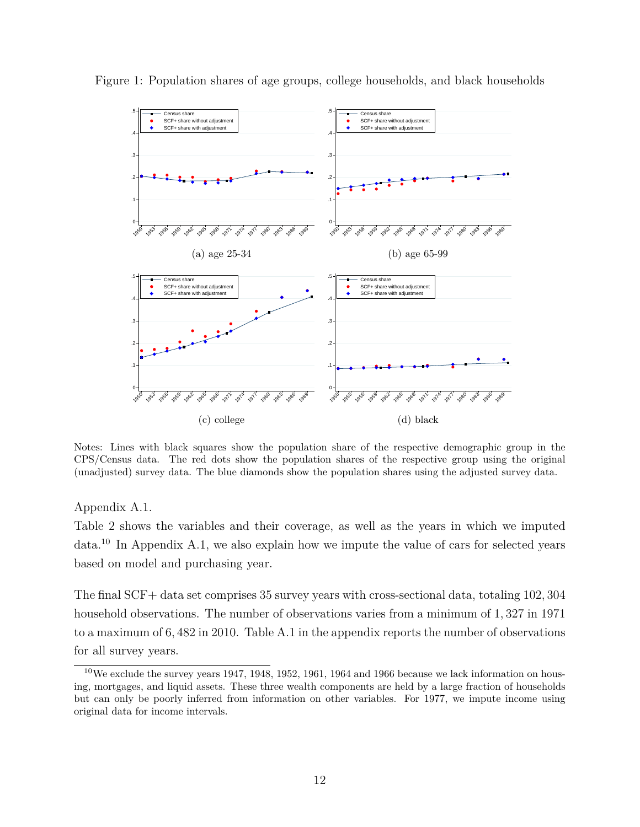

Figure 1: Population shares of age groups, college households, and black households

Notes: Lines with black squares show the population share of the respective demographic group in the CPS/Census data. The red dots show the population shares of the respective group using the original (unadjusted) survey data. The blue diamonds show the population shares using the adjusted survey data.

#### Appendix A.1.

Table 2 shows the variables and their coverage, as well as the years in which we imputed  $data<sup>10</sup>$  In Appendix A.1, we also explain how we impute the value of cars for selected years based on model and purchasing year.

The final SCF+ data set comprises 35 survey years with cross-sectional data, totaling 102*,* 304 household observations. The number of observations varies from a minimum of 1*,* 327 in 1971 to a maximum of 6*,* 482 in 2010. Table A.1 in the appendix reports the number of observations for all survey years.

 $10\,\text{We exclude the survey years } 1947, 1948, 1952, 1961, 1964, and 1966 because we lack information on hours$ ing, mortgages, and liquid assets. These three wealth components are held by a large fraction of households but can only be poorly inferred from information on other variables. For 1977, we impute income using original data for income intervals.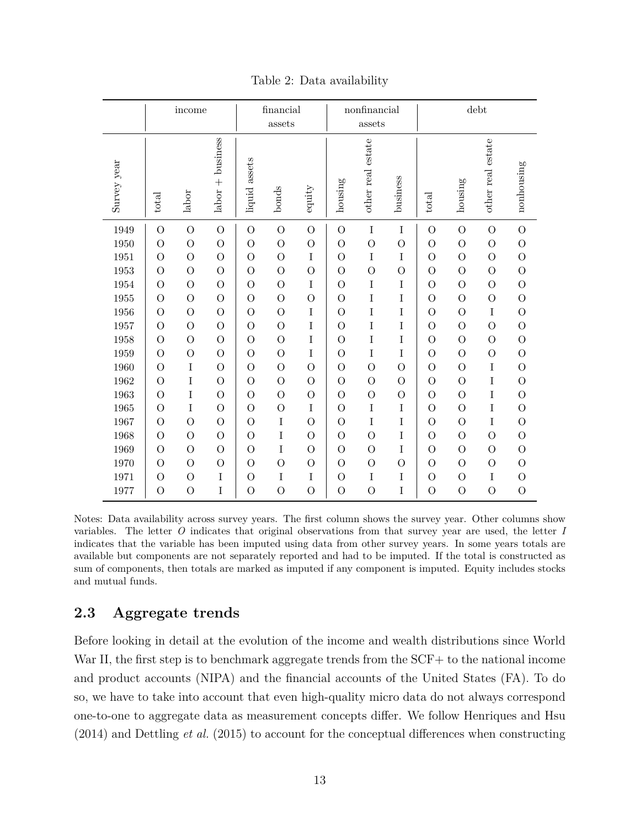|             | income         |                | financial<br>assets |                | nonfinancial<br>assets |                |                | $\mathrm{debt}$   |                |                |                |                   |                |
|-------------|----------------|----------------|---------------------|----------------|------------------------|----------------|----------------|-------------------|----------------|----------------|----------------|-------------------|----------------|
| Survey year | total          | labor          | $labor + business$  | liquid assets  | bonds                  | equity         | housing        | other real estate | business       | total          | housing        | other real estate | nonhousing     |
| 1949        | $\overline{O}$ | $\overline{O}$ | $\overline{O}$      | $\overline{O}$ | $\overline{O}$         | $\overline{O}$ | $\overline{O}$ | I                 | $\rm I$        | $\overline{O}$ | $\overline{O}$ | $\overline{O}$    | $\overline{O}$ |
| 1950        | $\overline{O}$ | $\overline{O}$ | $\overline{O}$      | $\overline{O}$ | $\overline{O}$         | $\overline{O}$ | $\overline{O}$ | $\overline{O}$    | $\overline{O}$ | $\overline{O}$ | $\overline{O}$ | $\overline{O}$    | $\overline{O}$ |
| 1951        | $\overline{O}$ | $\overline{O}$ | $\overline{O}$      | $\overline{O}$ | $\overline{O}$         | $\rm I$        | $\overline{O}$ | $\rm I$           | $\rm I$        | $\overline{O}$ | $\overline{O}$ | $\overline{O}$    | $\overline{O}$ |
| 1953        | $\overline{O}$ | $\overline{O}$ | $\overline{O}$      | $\overline{O}$ | $\overline{O}$         | $\overline{O}$ | $\overline{O}$ | $\overline{O}$    | $\overline{O}$ | $\overline{O}$ | $\overline{O}$ | $\overline{O}$    | $\overline{O}$ |
| 1954        | $\overline{O}$ | $\overline{O}$ | $\overline{O}$      | $\overline{O}$ | $\overline{O}$         | I              | $\overline{O}$ | I                 | I              | $\overline{O}$ | $\overline{O}$ | $\overline{O}$    | $\overline{O}$ |
| 1955        | $\overline{O}$ | $\overline{O}$ | $\overline{O}$      | $\overline{O}$ | $\overline{O}$         | $\overline{O}$ | $\overline{O}$ | $\rm I$           | I              | $\overline{O}$ | $\overline{O}$ | $\overline{O}$    | $\overline{O}$ |
| 1956        | $\overline{O}$ | $\overline{O}$ | $\overline{O}$      | $\overline{O}$ | $\overline{O}$         | $\rm I$        | $\overline{O}$ | $\rm I$           | I              | $\overline{O}$ | $\overline{O}$ | $\rm I$           | $\mathcal{O}$  |
| 1957        | $\overline{O}$ | $\overline{O}$ | $\overline{O}$      | $\Omega$       | $\overline{O}$         | I              | $\overline{O}$ | $\rm I$           | I              | $\overline{O}$ | $\overline{O}$ | $\overline{O}$    | $\overline{O}$ |
| 1958        | $\overline{O}$ | $\overline{O}$ | $\overline{O}$      | $\overline{O}$ | $\overline{O}$         | $\rm I$        | $\overline{O}$ | $\rm I$           | I              | $\overline{O}$ | $\overline{O}$ | $\overline{O}$    | $\overline{O}$ |
| 1959        | $\overline{O}$ | $\overline{O}$ | $\overline{O}$      | $\overline{O}$ | $\overline{O}$         | I              | $\overline{O}$ | $\rm I$           | I              | $\overline{O}$ | $\overline{O}$ | $\overline{O}$    | $\overline{O}$ |
| 1960        | $\overline{O}$ | I              | $\overline{O}$      | $\overline{O}$ | $\overline{O}$         | $\overline{O}$ | $\overline{O}$ | $\overline{O}$    | $\overline{O}$ | $\overline{O}$ | $\overline{O}$ | I                 | $\mathcal{O}$  |
| 1962        | $\overline{O}$ | I              | $\overline{O}$      | $\overline{O}$ | $\overline{O}$         | $\overline{O}$ | $\overline{O}$ | $\overline{O}$    | $\overline{O}$ | $\overline{O}$ | $\overline{O}$ | I                 | $\overline{O}$ |
| 1963        | $\overline{O}$ | I              | $\overline{O}$      | $\overline{O}$ | $\overline{O}$         | $\overline{O}$ | $\overline{O}$ | $\overline{O}$    | $\overline{O}$ | $\overline{O}$ | $\overline{O}$ | $\rm I$           | $\overline{O}$ |
| 1965        | $\overline{O}$ | $\rm I$        | $\overline{O}$      | $\overline{O}$ | $\overline{O}$         | $\rm I$        | $\overline{O}$ | $\rm I$           | $\rm I$        | $\overline{O}$ | $\overline{O}$ | I                 | $\mathcal{O}$  |
| 1967        | $\overline{O}$ | $\overline{O}$ | $\overline{O}$      | $\Omega$       | $\bf I$                | $\overline{O}$ | $\overline{O}$ | $\rm I$           | I              | $\overline{O}$ | $\overline{O}$ | I                 | $\overline{O}$ |
| 1968        | $\overline{O}$ | $\overline{O}$ | $\overline{O}$      | $\overline{O}$ | $\rm I$                | $\overline{O}$ | $\overline{O}$ | $\overline{O}$    | $\rm I$        | $\overline{O}$ | $\overline{O}$ | $\overline{O}$    | $\overline{O}$ |
| 1969        | $\overline{O}$ | $\overline{O}$ | $\overline{O}$      | $\overline{O}$ | $\rm I$                | $\overline{O}$ | $\overline{O}$ | $\overline{O}$    | I              | $\overline{O}$ | $\overline{O}$ | $\overline{O}$    | $\overline{O}$ |
| 1970        | $\overline{O}$ | $\overline{O}$ | $\overline{O}$      | $\overline{O}$ | $\overline{O}$         | $\overline{O}$ | $\overline{O}$ | $\overline{O}$    | $\overline{O}$ | $\overline{O}$ | $\overline{O}$ | $\overline{O}$    | $\mathcal{O}$  |
| 1971        | $\overline{O}$ | $\overline{O}$ | $\rm I$             | $\overline{O}$ | I                      | I              | $\overline{O}$ | I                 | I              | $\overline{O}$ | $\overline{O}$ | I                 | $\overline{O}$ |
| 1977        | $\overline{O}$ | $\overline{O}$ | $\rm I$             | $\overline{O}$ | $\overline{O}$         | $\overline{O}$ | $\overline{O}$ | $\overline{O}$    | I              | $\overline{O}$ | $\overline{O}$ | $\overline{O}$    | $\overline{O}$ |

Table 2: Data availability

Notes: Data availability across survey years. The first column shows the survey year. Other columns show variables. The letter *O* indicates that original observations from that survey year are used, the letter *I* indicates that the variable has been imputed using data from other survey years. In some years totals are available but components are not separately reported and had to be imputed. If the total is constructed as sum of components, then totals are marked as imputed if any component is imputed. Equity includes stocks and mutual funds.

# **2.3 Aggregate trends**

Before looking in detail at the evolution of the income and wealth distributions since World War II, the first step is to benchmark aggregate trends from the SCF+ to the national income and product accounts (NIPA) and the financial accounts of the United States (FA). To do so, we have to take into account that even high-quality micro data do not always correspond one-to-one to aggregate data as measurement concepts differ. We follow Henriques and Hsu (2014) and Dettling *et al.* (2015) to account for the conceptual differences when constructing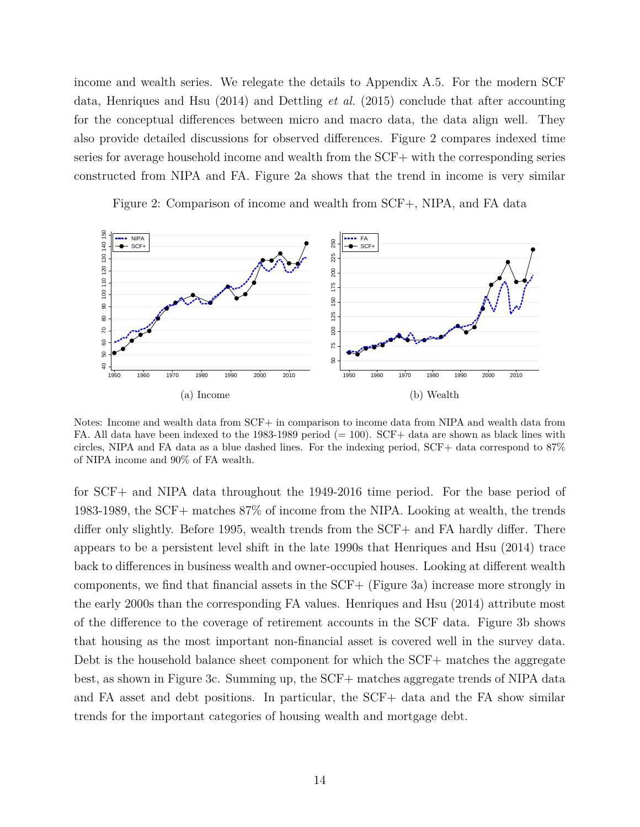income and wealth series. We relegate the details to Appendix A.5. For the modern SCF data, Henriques and Hsu (2014) and Dettling *et al.* (2015) conclude that after accounting for the conceptual differences between micro and macro data, the data align well. They also provide detailed discussions for observed differences. Figure 2 compares indexed time series for average household income and wealth from the SCF+ with the corresponding series constructed from NIPA and FA. Figure 2a shows that the trend in income is very similar

Figure 2: Comparison of income and wealth from SCF+, NIPA, and FA data



Notes: Income and wealth data from SCF+ in comparison to income data from NIPA and wealth data from FA. All data have been indexed to the 1983-1989 period  $(= 100)$ . SCF+ data are shown as black lines with circles, NIPA and FA data as a blue dashed lines. For the indexing period, SCF+ data correspond to 87% of NIPA income and 90% of FA wealth.

for SCF+ and NIPA data throughout the 1949-2016 time period. For the base period of 1983-1989, the SCF+ matches 87% of income from the NIPA. Looking at wealth, the trends differ only slightly. Before 1995, wealth trends from the SCF+ and FA hardly differ. There appears to be a persistent level shift in the late 1990s that Henriques and Hsu (2014) trace back to differences in business wealth and owner-occupied houses. Looking at different wealth components, we find that financial assets in the SCF+ (Figure 3a) increase more strongly in the early 2000s than the corresponding FA values. Henriques and Hsu (2014) attribute most of the difference to the coverage of retirement accounts in the SCF data. Figure 3b shows that housing as the most important non-financial asset is covered well in the survey data. Debt is the household balance sheet component for which the SCF+ matches the aggregate best, as shown in Figure 3c. Summing up, the SCF+ matches aggregate trends of NIPA data and FA asset and debt positions. In particular, the SCF+ data and the FA show similar trends for the important categories of housing wealth and mortgage debt.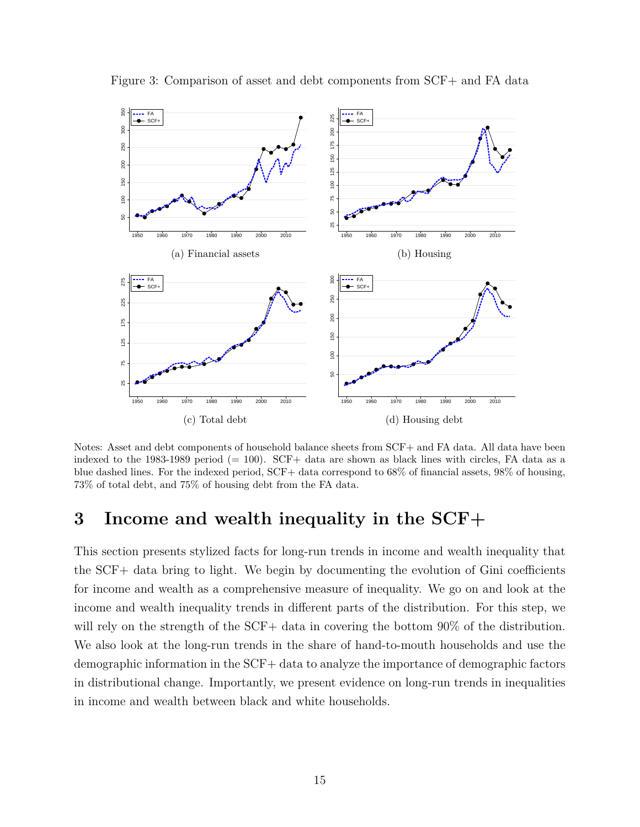

Figure 3: Comparison of asset and debt components from SCF+ and FA data

Notes: Asset and debt components of household balance sheets from SCF+ and FA data. All data have been indexed to the 1983-1989 period (= 100). SCF+ data are shown as black lines with circles, FA data as a blue dashed lines. For the indexed period, SCF+ data correspond to 68% of financial assets, 98% of housing, 73% of total debt, and 75% of housing debt from the FA data.

# **3 Income and wealth inequality in the SCF+**

This section presents stylized facts for long-run trends in income and wealth inequality that the SCF+ data bring to light. We begin by documenting the evolution of Gini coefficients for income and wealth as a comprehensive measure of inequality. We go on and look at the income and wealth inequality trends in different parts of the distribution. For this step, we will rely on the strength of the SCF+ data in covering the bottom 90% of the distribution. We also look at the long-run trends in the share of hand-to-mouth households and use the demographic information in the SCF+ data to analyze the importance of demographic factors in distributional change. Importantly, we present evidence on long-run trends in inequalities in income and wealth between black and white households.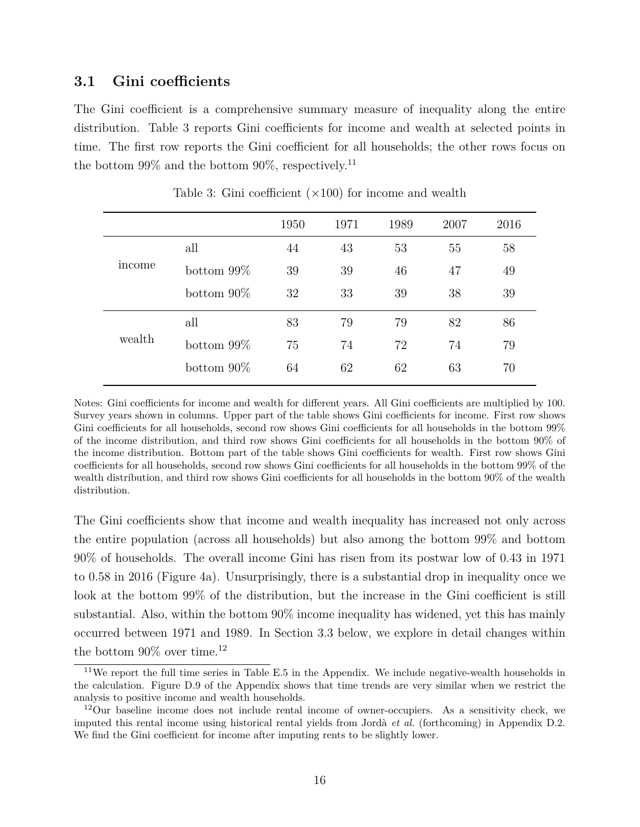## **3.1 Gini coefficients**

The Gini coefficient is a comprehensive summary measure of inequality along the entire distribution. Table 3 reports Gini coefficients for income and wealth at selected points in time. The first row reports the Gini coefficient for all households; the other rows focus on the bottom  $99\%$  and the bottom  $90\%$ , respectively.<sup>11</sup>

|        |               | 1950 | 1971 | 1989 | 2007 | 2016 |
|--------|---------------|------|------|------|------|------|
| income | all           | 44   | 43   | 53   | 55   | 58   |
|        | bottom $99\%$ | 39   | 39   | 46   | 47   | 49   |
|        | bottom $90\%$ | 32   | 33   | 39   | 38   | 39   |
| wealth | all           | 83   | 79   | 79   | 82   | 86   |
|        | bottom $99\%$ | 75   | 74   | 72   | 74   | 79   |
|        | bottom $90\%$ | 64   | 62   | 62   | 63   | 70   |
|        |               |      |      |      |      |      |

Table 3: Gini coefficient (*×*100) for income and wealth

Notes: Gini coefficients for income and wealth for different years. All Gini coefficients are multiplied by 100. Survey years shown in columns. Upper part of the table shows Gini coefficients for income. First row shows Gini coefficients for all households, second row shows Gini coefficients for all households in the bottom 99% of the income distribution, and third row shows Gini coefficients for all households in the bottom 90% of the income distribution. Bottom part of the table shows Gini coefficients for wealth. First row shows Gini coefficients for all households, second row shows Gini coefficients for all households in the bottom 99% of the wealth distribution, and third row shows Gini coefficients for all households in the bottom 90% of the wealth distribution.

The Gini coefficients show that income and wealth inequality has increased not only across the entire population (across all households) but also among the bottom 99% and bottom 90% of households. The overall income Gini has risen from its postwar low of 0.43 in 1971 to 0.58 in 2016 (Figure 4a). Unsurprisingly, there is a substantial drop in inequality once we look at the bottom 99% of the distribution, but the increase in the Gini coefficient is still substantial. Also, within the bottom 90% income inequality has widened, yet this has mainly occurred between 1971 and 1989. In Section 3.3 below, we explore in detail changes within the bottom  $90\%$  over time.<sup>12</sup>

<sup>11</sup>We report the full time series in Table E.5 in the Appendix. We include negative-wealth households in the calculation. Figure D.9 of the Appendix shows that time trends are very similar when we restrict the analysis to positive income and wealth households.

<sup>&</sup>lt;sup>12</sup>Our baseline income does not include rental income of owner-occupiers. As a sensitivity check, we imputed this rental income using historical rental yields from Jordà *et al.* (forthcoming) in Appendix D.2. We find the Gini coefficient for income after imputing rents to be slightly lower.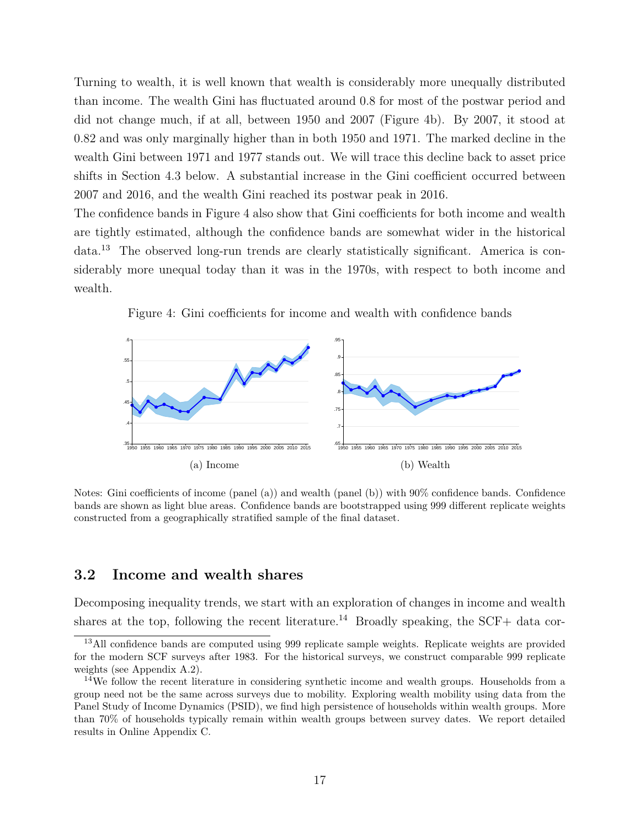Turning to wealth, it is well known that wealth is considerably more unequally distributed than income. The wealth Gini has fluctuated around 0.8 for most of the postwar period and did not change much, if at all, between 1950 and 2007 (Figure 4b). By 2007, it stood at 0.82 and was only marginally higher than in both 1950 and 1971. The marked decline in the wealth Gini between 1971 and 1977 stands out. We will trace this decline back to asset price shifts in Section 4.3 below. A substantial increase in the Gini coefficient occurred between 2007 and 2016, and the wealth Gini reached its postwar peak in 2016.

The confidence bands in Figure 4 also show that Gini coefficients for both income and wealth are tightly estimated, although the confidence bands are somewhat wider in the historical data.<sup>13</sup> The observed long-run trends are clearly statistically significant. America is considerably more unequal today than it was in the 1970s, with respect to both income and wealth.

Figure 4: Gini coefficients for income and wealth with confidence bands



Notes: Gini coefficients of income (panel (a)) and wealth (panel (b)) with 90% confidence bands. Confidence bands are shown as light blue areas. Confidence bands are bootstrapped using 999 different replicate weights constructed from a geographically stratified sample of the final dataset.

#### **3.2 Income and wealth shares**

Decomposing inequality trends, we start with an exploration of changes in income and wealth shares at the top, following the recent literature.<sup>14</sup> Broadly speaking, the SCF+ data cor-

<sup>&</sup>lt;sup>13</sup>All confidence bands are computed using 999 replicate sample weights. Replicate weights are provided for the modern SCF surveys after 1983. For the historical surveys, we construct comparable 999 replicate weights (see Appendix A.2).

<sup>&</sup>lt;sup>14</sup>We follow the recent literature in considering synthetic income and wealth groups. Households from a group need not be the same across surveys due to mobility. Exploring wealth mobility using data from the Panel Study of Income Dynamics (PSID), we find high persistence of households within wealth groups. More than 70% of households typically remain within wealth groups between survey dates. We report detailed results in Online Appendix C.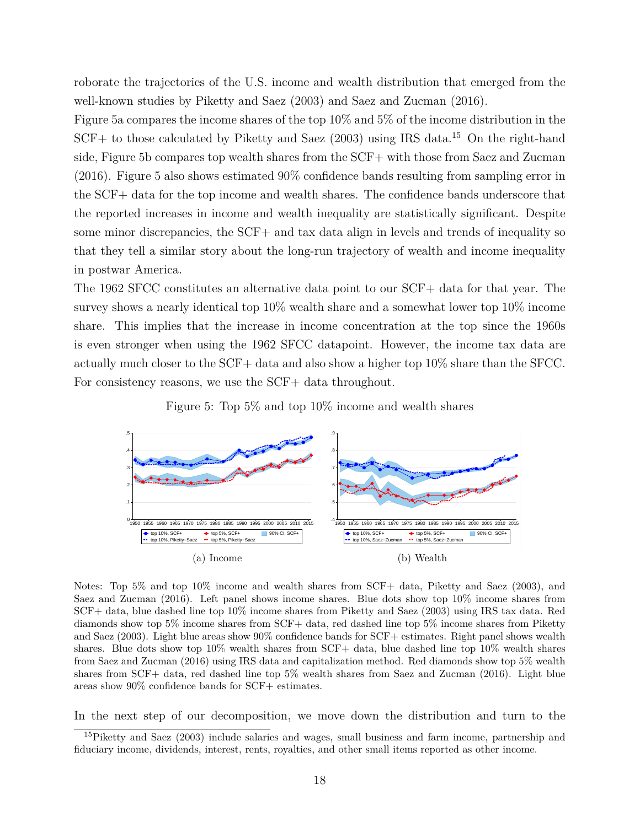roborate the trajectories of the U.S. income and wealth distribution that emerged from the well-known studies by Piketty and Saez (2003) and Saez and Zucman (2016).

Figure 5a compares the income shares of the top 10% and 5% of the income distribution in the SCF+ to those calculated by Piketty and Saez (2003) using IRS data.<sup>15</sup> On the right-hand side, Figure 5b compares top wealth shares from the SCF+ with those from Saez and Zucman (2016). Figure 5 also shows estimated 90% confidence bands resulting from sampling error in the SCF+ data for the top income and wealth shares. The confidence bands underscore that the reported increases in income and wealth inequality are statistically significant. Despite some minor discrepancies, the SCF+ and tax data align in levels and trends of inequality so that they tell a similar story about the long-run trajectory of wealth and income inequality in postwar America.

The 1962 SFCC constitutes an alternative data point to our SCF+ data for that year. The survey shows a nearly identical top 10% wealth share and a somewhat lower top 10% income share. This implies that the increase in income concentration at the top since the 1960s is even stronger when using the 1962 SFCC datapoint. However, the income tax data are actually much closer to the SCF+ data and also show a higher top 10% share than the SFCC. For consistency reasons, we use the SCF+ data throughout.





Notes: Top 5% and top 10% income and wealth shares from SCF+ data, Piketty and Saez (2003), and Saez and Zucman (2016). Left panel shows income shares. Blue dots show top 10% income shares from SCF+ data, blue dashed line top 10% income shares from Piketty and Saez (2003) using IRS tax data. Red diamonds show top 5% income shares from SCF+ data, red dashed line top 5% income shares from Piketty and Saez (2003). Light blue areas show 90% confidence bands for SCF+ estimates. Right panel shows wealth shares. Blue dots show top 10% wealth shares from SCF+ data, blue dashed line top 10% wealth shares from Saez and Zucman (2016) using IRS data and capitalization method. Red diamonds show top 5% wealth shares from SCF+ data, red dashed line top 5% wealth shares from Saez and Zucman (2016). Light blue areas show 90% confidence bands for SCF+ estimates.

In the next step of our decomposition, we move down the distribution and turn to the

<sup>15</sup>Piketty and Saez (2003) include salaries and wages, small business and farm income, partnership and fiduciary income, dividends, interest, rents, royalties, and other small items reported as other income.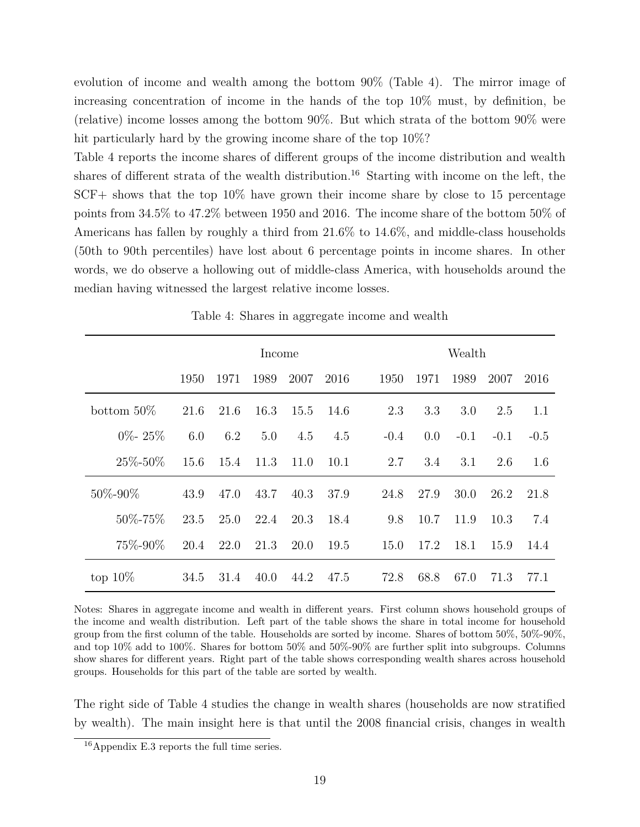evolution of income and wealth among the bottom 90% (Table 4). The mirror image of increasing concentration of income in the hands of the top 10% must, by definition, be (relative) income losses among the bottom 90%. But which strata of the bottom 90% were hit particularly hard by the growing income share of the top 10%?

Table 4 reports the income shares of different groups of the income distribution and wealth shares of different strata of the wealth distribution.<sup>16</sup> Starting with income on the left, the SCF+ shows that the top 10% have grown their income share by close to 15 percentage points from 34.5% to 47.2% between 1950 and 2016. The income share of the bottom 50% of Americans has fallen by roughly a third from 21.6% to 14.6%, and middle-class households (50th to 90th percentiles) have lost about 6 percentage points in income shares. In other words, we do observe a hollowing out of middle-class America, with households around the median having witnessed the largest relative income losses.

|               | Income |      |      |      |      | Wealth |      |        |        |        |  |
|---------------|--------|------|------|------|------|--------|------|--------|--------|--------|--|
|               | 1950   | 1971 | 1989 | 2007 | 2016 | 1950   | 1971 | 1989   | 2007   | 2016   |  |
| bottom $50\%$ | 21.6   | 21.6 | 16.3 | 15.5 | 14.6 | 2.3    | 3.3  | 3.0    | 2.5    | 1.1    |  |
| $0\%$ - 25%   | 6.0    | 6.2  | 5.0  | 4.5  | 4.5  | $-0.4$ | 0.0  | $-0.1$ | $-0.1$ | $-0.5$ |  |
| $25\% - 50\%$ | 15.6   | 15.4 | 11.3 | 11.0 | 10.1 | 2.7    | 3.4  | 3.1    | 2.6    | 1.6    |  |
| 50%-90%       | 43.9   | 47.0 | 43.7 | 40.3 | 37.9 | 24.8   | 27.9 | 30.0   | 26.2   | 21.8   |  |
| $50\% - 75\%$ | 23.5   | 25.0 | 22.4 | 20.3 | 18.4 | 9.8    | 10.7 | 11.9   | 10.3   | 7.4    |  |
| 75\%-90\%     | 20.4   | 22.0 | 21.3 | 20.0 | 19.5 | 15.0   | 17.2 | 18.1   | 15.9   | 14.4   |  |
| top $10\%$    | 34.5   | 31.4 | 40.0 | 44.2 | 47.5 | 72.8   | 68.8 | 67.0   | 71.3   | 77.1   |  |

Table 4: Shares in aggregate income and wealth

Notes: Shares in aggregate income and wealth in different years. First column shows household groups of the income and wealth distribution. Left part of the table shows the share in total income for household group from the first column of the table. Households are sorted by income. Shares of bottom 50%, 50%-90%, and top 10% add to 100%. Shares for bottom 50% and 50%-90% are further split into subgroups. Columns show shares for different years. Right part of the table shows corresponding wealth shares across household groups. Households for this part of the table are sorted by wealth.

The right side of Table 4 studies the change in wealth shares (households are now stratified by wealth). The main insight here is that until the 2008 financial crisis, changes in wealth

<sup>16</sup>Appendix E.3 reports the full time series.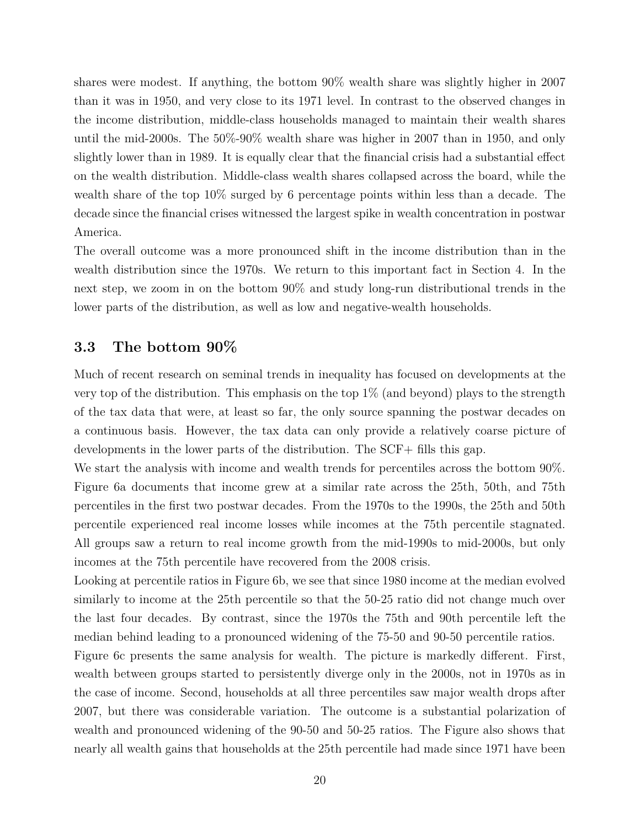shares were modest. If anything, the bottom 90% wealth share was slightly higher in 2007 than it was in 1950, and very close to its 1971 level. In contrast to the observed changes in the income distribution, middle-class households managed to maintain their wealth shares until the mid-2000s. The 50%-90% wealth share was higher in 2007 than in 1950, and only slightly lower than in 1989. It is equally clear that the financial crisis had a substantial effect on the wealth distribution. Middle-class wealth shares collapsed across the board, while the wealth share of the top 10% surged by 6 percentage points within less than a decade. The decade since the financial crises witnessed the largest spike in wealth concentration in postwar America.

The overall outcome was a more pronounced shift in the income distribution than in the wealth distribution since the 1970s. We return to this important fact in Section 4. In the next step, we zoom in on the bottom 90% and study long-run distributional trends in the lower parts of the distribution, as well as low and negative-wealth households.

## **3.3 The bottom 90%**

Much of recent research on seminal trends in inequality has focused on developments at the very top of the distribution. This emphasis on the top  $1\%$  (and beyond) plays to the strength of the tax data that were, at least so far, the only source spanning the postwar decades on a continuous basis. However, the tax data can only provide a relatively coarse picture of developments in the lower parts of the distribution. The SCF+ fills this gap.

We start the analysis with income and wealth trends for percentiles across the bottom 90%. Figure 6a documents that income grew at a similar rate across the 25th, 50th, and 75th percentiles in the first two postwar decades. From the 1970s to the 1990s, the 25th and 50th percentile experienced real income losses while incomes at the 75th percentile stagnated. All groups saw a return to real income growth from the mid-1990s to mid-2000s, but only incomes at the 75th percentile have recovered from the 2008 crisis.

Looking at percentile ratios in Figure 6b, we see that since 1980 income at the median evolved similarly to income at the 25th percentile so that the 50-25 ratio did not change much over the last four decades. By contrast, since the 1970s the 75th and 90th percentile left the median behind leading to a pronounced widening of the 75-50 and 90-50 percentile ratios.

Figure 6c presents the same analysis for wealth. The picture is markedly different. First, wealth between groups started to persistently diverge only in the 2000s, not in 1970s as in the case of income. Second, households at all three percentiles saw major wealth drops after 2007, but there was considerable variation. The outcome is a substantial polarization of wealth and pronounced widening of the 90-50 and 50-25 ratios. The Figure also shows that nearly all wealth gains that households at the 25th percentile had made since 1971 have been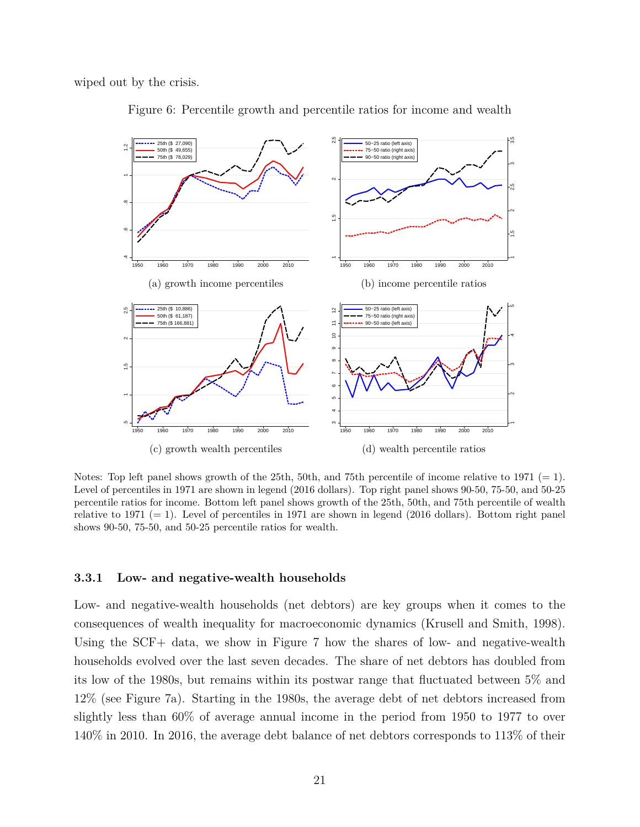wiped out by the crisis.



Figure 6: Percentile growth and percentile ratios for income and wealth

Notes: Top left panel shows growth of the 25th, 50th, and 75th percentile of income relative to 1971  $(= 1)$ . Level of percentiles in 1971 are shown in legend (2016 dollars). Top right panel shows 90-50, 75-50, and 50-25 percentile ratios for income. Bottom left panel shows growth of the 25th, 50th, and 75th percentile of wealth relative to 1971  $(= 1)$ . Level of percentiles in 1971 are shown in legend (2016 dollars). Bottom right panel shows 90-50, 75-50, and 50-25 percentile ratios for wealth.

#### **3.3.1 Low- and negative-wealth households**

Low- and negative-wealth households (net debtors) are key groups when it comes to the consequences of wealth inequality for macroeconomic dynamics (Krusell and Smith, 1998). Using the SCF+ data, we show in Figure 7 how the shares of low- and negative-wealth households evolved over the last seven decades. The share of net debtors has doubled from its low of the 1980s, but remains within its postwar range that fluctuated between 5% and 12% (see Figure 7a). Starting in the 1980s, the average debt of net debtors increased from slightly less than 60% of average annual income in the period from 1950 to 1977 to over 140% in 2010. In 2016, the average debt balance of net debtors corresponds to 113% of their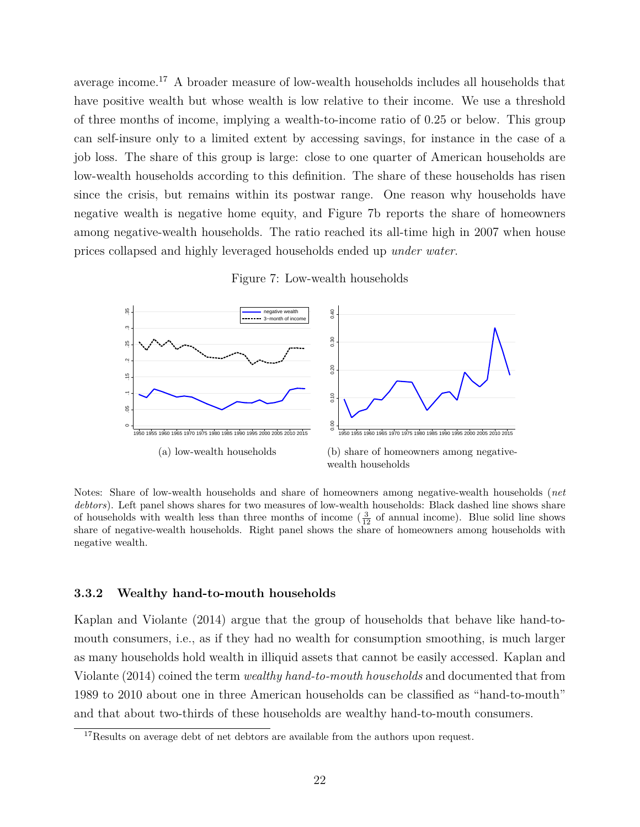average income.<sup>17</sup> A broader measure of low-wealth households includes all households that have positive wealth but whose wealth is low relative to their income. We use a threshold of three months of income, implying a wealth-to-income ratio of 0.25 or below. This group can self-insure only to a limited extent by accessing savings, for instance in the case of a job loss. The share of this group is large: close to one quarter of American households are low-wealth households according to this definition. The share of these households has risen since the crisis, but remains within its postwar range. One reason why households have negative wealth is negative home equity, and Figure 7b reports the share of homeowners among negative-wealth households. The ratio reached its all-time high in 2007 when house prices collapsed and highly leveraged households ended up *under water*.

#### Figure 7: Low-wealth households



Notes: Share of low-wealth households and share of homeowners among negative-wealth households (*net debtors*). Left panel shows shares for two measures of low-wealth households: Black dashed line shows share of households with wealth less than three months of income  $(\frac{3}{12})$  of annual income). Blue solid line shows share of negative-wealth households. Right panel shows the share of homeowners among households with negative wealth.

#### **3.3.2 Wealthy hand-to-mouth households**

Kaplan and Violante (2014) argue that the group of households that behave like hand-tomouth consumers, i.e., as if they had no wealth for consumption smoothing, is much larger as many households hold wealth in illiquid assets that cannot be easily accessed. Kaplan and Violante (2014) coined the term *wealthy hand-to-mouth households* and documented that from 1989 to 2010 about one in three American households can be classified as "hand-to-mouth" and that about two-thirds of these households are wealthy hand-to-mouth consumers.

<sup>&</sup>lt;sup>17</sup>Results on average debt of net debtors are available from the authors upon request.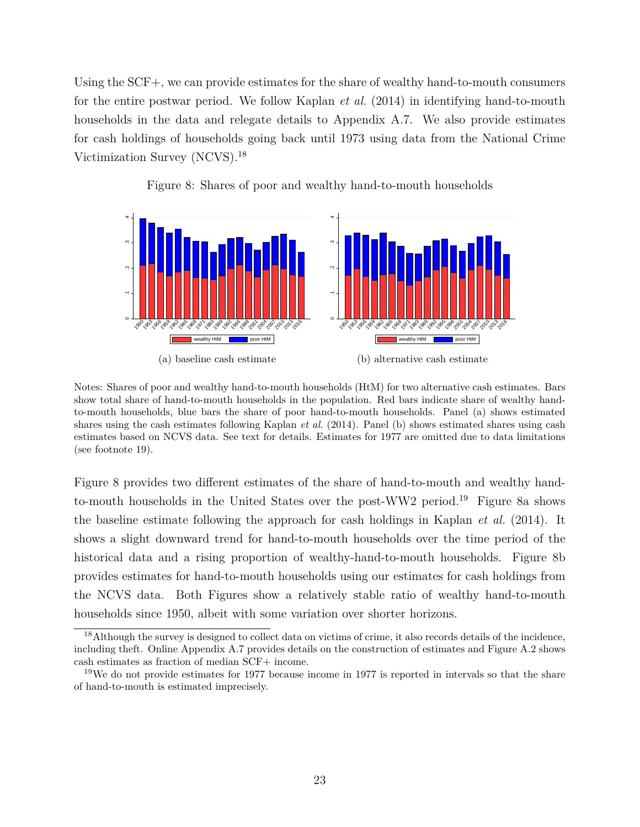Using the SCF+, we can provide estimates for the share of wealthy hand-to-mouth consumers for the entire postwar period. We follow Kaplan *et al.* (2014) in identifying hand-to-mouth households in the data and relegate details to Appendix A.7. We also provide estimates for cash holdings of households going back until 1973 using data from the National Crime Victimization Survey (NCVS).<sup>18</sup>



Figure 8: Shares of poor and wealthy hand-to-mouth households

Notes: Shares of poor and wealthy hand-to-mouth households (HtM) for two alternative cash estimates. Bars show total share of hand-to-mouth households in the population. Red bars indicate share of wealthy handto-mouth households, blue bars the share of poor hand-to-mouth households. Panel (a) shows estimated shares using the cash estimates following Kaplan *et al.* (2014). Panel (b) shows estimated shares using cash estimates based on NCVS data. See text for details. Estimates for 1977 are omitted due to data limitations (see footnote 19).

Figure 8 provides two different estimates of the share of hand-to-mouth and wealthy handto-mouth households in the United States over the post-WW2 period.<sup>19</sup> Figure 8a shows the baseline estimate following the approach for cash holdings in Kaplan *et al.* (2014). It shows a slight downward trend for hand-to-mouth households over the time period of the historical data and a rising proportion of wealthy-hand-to-mouth households. Figure 8b provides estimates for hand-to-mouth households using our estimates for cash holdings from the NCVS data. Both Figures show a relatively stable ratio of wealthy hand-to-mouth households since 1950, albeit with some variation over shorter horizons.

<sup>&</sup>lt;sup>18</sup>Although the survey is designed to collect data on victims of crime, it also records details of the incidence, including theft. Online Appendix A.7 provides details on the construction of estimates and Figure A.2 shows cash estimates as fraction of median SCF+ income.

<sup>&</sup>lt;sup>19</sup>We do not provide estimates for 1977 because income in 1977 is reported in intervals so that the share of hand-to-mouth is estimated imprecisely.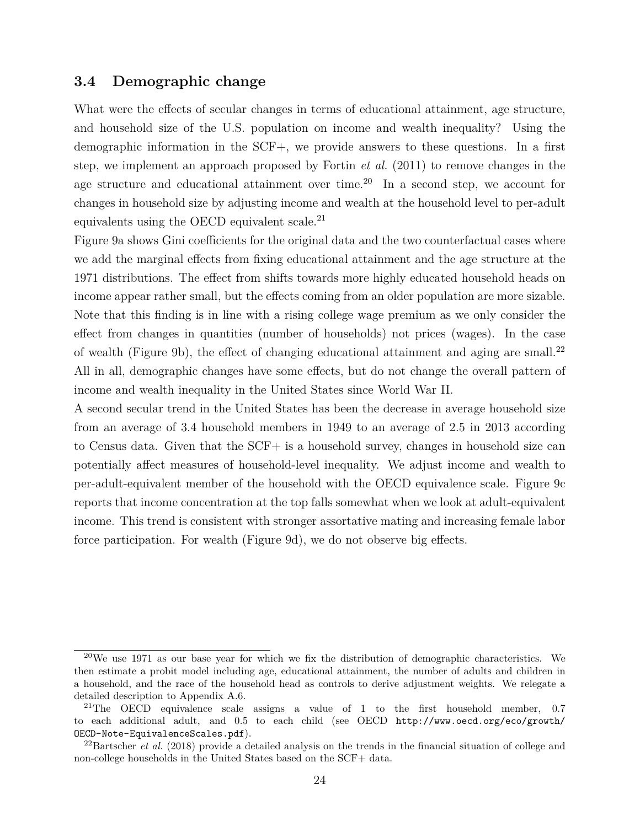#### **3.4 Demographic change**

What were the effects of secular changes in terms of educational attainment, age structure, and household size of the U.S. population on income and wealth inequality? Using the demographic information in the SCF+, we provide answers to these questions. In a first step, we implement an approach proposed by Fortin *et al.* (2011) to remove changes in the age structure and educational attainment over time.<sup>20</sup> In a second step, we account for changes in household size by adjusting income and wealth at the household level to per-adult equivalents using the OECD equivalent scale.<sup>21</sup>

Figure 9a shows Gini coefficients for the original data and the two counterfactual cases where we add the marginal effects from fixing educational attainment and the age structure at the 1971 distributions. The effect from shifts towards more highly educated household heads on income appear rather small, but the effects coming from an older population are more sizable. Note that this finding is in line with a rising college wage premium as we only consider the effect from changes in quantities (number of households) not prices (wages). In the case of wealth (Figure 9b), the effect of changing educational attainment and aging are small.<sup>22</sup> All in all, demographic changes have some effects, but do not change the overall pattern of income and wealth inequality in the United States since World War II.

A second secular trend in the United States has been the decrease in average household size from an average of 3.4 household members in 1949 to an average of 2.5 in 2013 according to Census data. Given that the SCF+ is a household survey, changes in household size can potentially affect measures of household-level inequality. We adjust income and wealth to per-adult-equivalent member of the household with the OECD equivalence scale. Figure 9c reports that income concentration at the top falls somewhat when we look at adult-equivalent income. This trend is consistent with stronger assortative mating and increasing female labor force participation. For wealth (Figure 9d), we do not observe big effects.

 $^{20}$ We use 1971 as our base year for which we fix the distribution of demographic characteristics. We then estimate a probit model including age, educational attainment, the number of adults and children in a household, and the race of the household head as controls to derive adjustment weights. We relegate a detailed description to Appendix A.6.

<sup>21</sup>The OECD equivalence scale assigns a value of 1 to the first household member, 0.7 to each additional adult, and 0.5 to each child (see OECD http://www.oecd.org/eco/growth/ OECD-Note-EquivalenceScales.pdf).

<sup>&</sup>lt;sup>22</sup>Bartscher *et al.* (2018) provide a detailed analysis on the trends in the financial situation of college and non-college households in the United States based on the SCF+ data.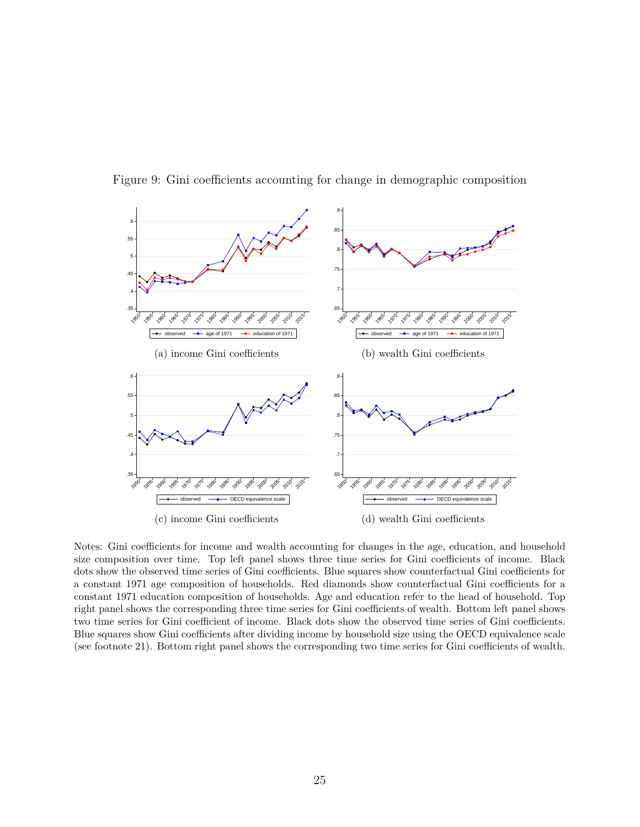

Figure 9: Gini coefficients accounting for change in demographic composition

Notes: Gini coefficients for income and wealth accounting for changes in the age, education, and household size composition over time. Top left panel shows three time series for Gini coefficients of income. Black dots show the observed time series of Gini coefficients. Blue squares show counterfactual Gini coefficients for a constant 1971 age composition of households. Red diamonds show counterfactual Gini coefficients for a constant 1971 education composition of households. Age and education refer to the head of household. Top right panel shows the corresponding three time series for Gini coefficients of wealth. Bottom left panel shows two time series for Gini coefficient of income. Black dots show the observed time series of Gini coefficients. Blue squares show Gini coefficients after dividing income by household size using the OECD equivalence scale (see footnote 21). Bottom right panel shows the corresponding two time series for Gini coefficients of wealth.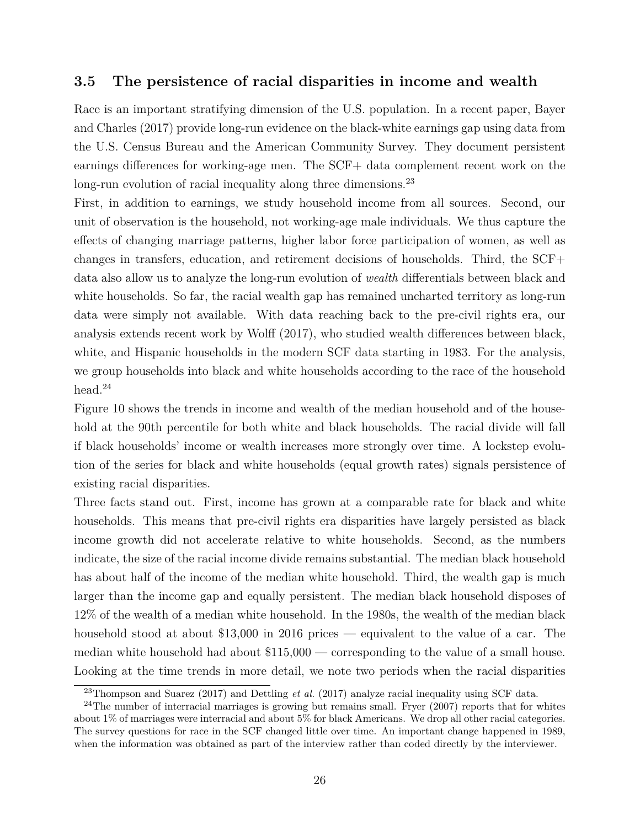## **3.5 The persistence of racial disparities in income and wealth**

Race is an important stratifying dimension of the U.S. population. In a recent paper, Bayer and Charles (2017) provide long-run evidence on the black-white earnings gap using data from the U.S. Census Bureau and the American Community Survey. They document persistent earnings differences for working-age men. The SCF+ data complement recent work on the long-run evolution of racial inequality along three dimensions.<sup>23</sup>

First, in addition to earnings, we study household income from all sources. Second, our unit of observation is the household, not working-age male individuals. We thus capture the effects of changing marriage patterns, higher labor force participation of women, as well as changes in transfers, education, and retirement decisions of households. Third, the SCF+ data also allow us to analyze the long-run evolution of *wealth* differentials between black and white households. So far, the racial wealth gap has remained uncharted territory as long-run data were simply not available. With data reaching back to the pre-civil rights era, our analysis extends recent work by Wolff (2017), who studied wealth differences between black, white, and Hispanic households in the modern SCF data starting in 1983. For the analysis, we group households into black and white households according to the race of the household head.<sup>24</sup>

Figure 10 shows the trends in income and wealth of the median household and of the household at the 90th percentile for both white and black households. The racial divide will fall if black households' income or wealth increases more strongly over time. A lockstep evolution of the series for black and white households (equal growth rates) signals persistence of existing racial disparities.

Three facts stand out. First, income has grown at a comparable rate for black and white households. This means that pre-civil rights era disparities have largely persisted as black income growth did not accelerate relative to white households. Second, as the numbers indicate, the size of the racial income divide remains substantial. The median black household has about half of the income of the median white household. Third, the wealth gap is much larger than the income gap and equally persistent. The median black household disposes of 12% of the wealth of a median white household. In the 1980s, the wealth of the median black household stood at about \$13,000 in 2016 prices — equivalent to the value of a car. The median white household had about \$115,000 — corresponding to the value of a small house. Looking at the time trends in more detail, we note two periods when the racial disparities

<sup>23</sup>Thompson and Suarez (2017) and Dettling *et al.* (2017) analyze racial inequality using SCF data.

 $^{24}$ The number of interracial marriages is growing but remains small. Fryer (2007) reports that for whites about 1% of marriages were interracial and about 5% for black Americans. We drop all other racial categories. The survey questions for race in the SCF changed little over time. An important change happened in 1989, when the information was obtained as part of the interview rather than coded directly by the interviewer.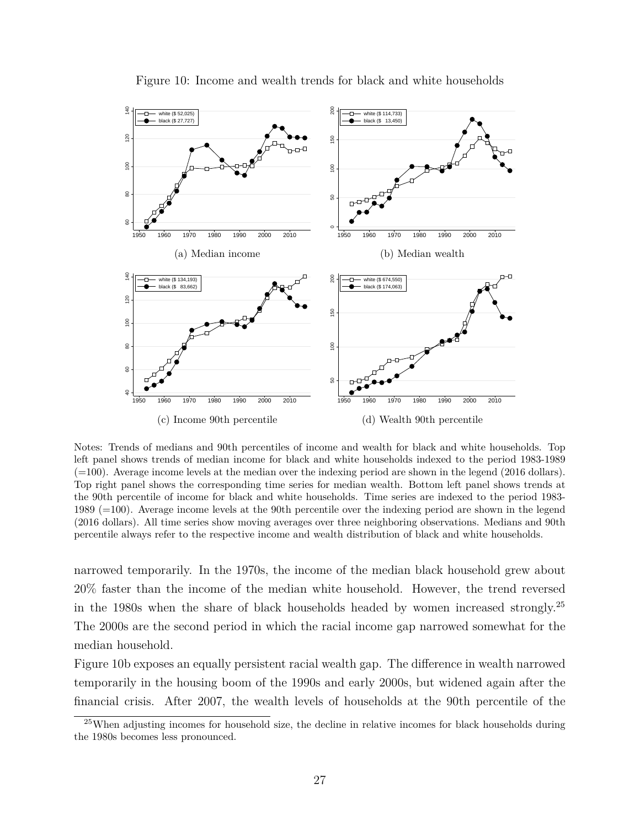

Figure 10: Income and wealth trends for black and white households

Notes: Trends of medians and 90th percentiles of income and wealth for black and white households. Top left panel shows trends of median income for black and white households indexed to the period 1983-1989  $(=100)$ . Average income levels at the median over the indexing period are shown in the legend (2016 dollars). Top right panel shows the corresponding time series for median wealth. Bottom left panel shows trends at the 90th percentile of income for black and white households. Time series are indexed to the period 1983- 1989 (=100). Average income levels at the 90th percentile over the indexing period are shown in the legend (2016 dollars). All time series show moving averages over three neighboring observations. Medians and 90th percentile always refer to the respective income and wealth distribution of black and white households.

narrowed temporarily. In the 1970s, the income of the median black household grew about 20% faster than the income of the median white household. However, the trend reversed in the 1980s when the share of black households headed by women increased strongly.<sup>25</sup> The 2000s are the second period in which the racial income gap narrowed somewhat for the median household.

Figure 10b exposes an equally persistent racial wealth gap. The difference in wealth narrowed temporarily in the housing boom of the 1990s and early 2000s, but widened again after the financial crisis. After 2007, the wealth levels of households at the 90th percentile of the

<sup>&</sup>lt;sup>25</sup>When adjusting incomes for household size, the decline in relative incomes for black households during the 1980s becomes less pronounced.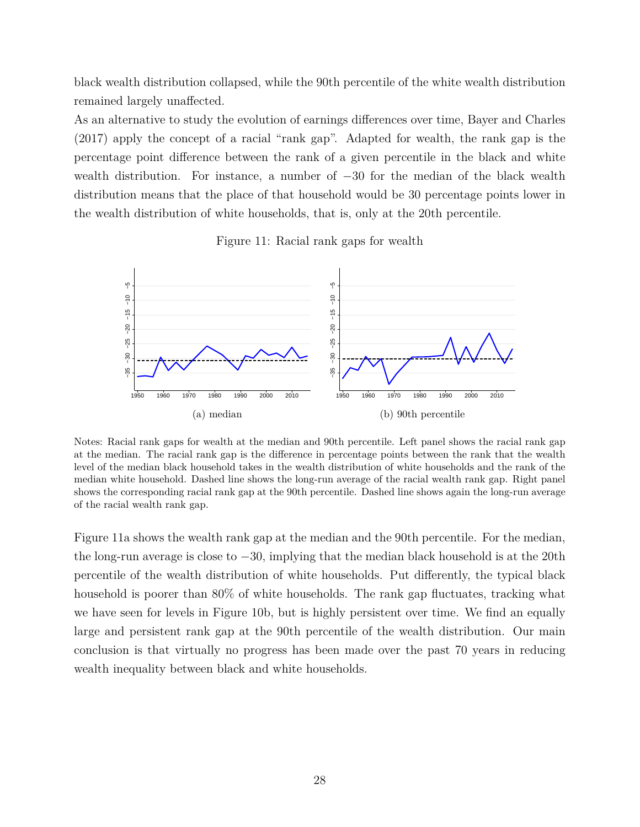black wealth distribution collapsed, while the 90th percentile of the white wealth distribution remained largely unaffected.

As an alternative to study the evolution of earnings differences over time, Bayer and Charles (2017) apply the concept of a racial "rank gap". Adapted for wealth, the rank gap is the percentage point difference between the rank of a given percentile in the black and white wealth distribution. For instance, a number of *−*30 for the median of the black wealth distribution means that the place of that household would be 30 percentage points lower in the wealth distribution of white households, that is, only at the 20th percentile.

Figure 11: Racial rank gaps for wealth



Notes: Racial rank gaps for wealth at the median and 90th percentile. Left panel shows the racial rank gap at the median. The racial rank gap is the difference in percentage points between the rank that the wealth level of the median black household takes in the wealth distribution of white households and the rank of the median white household. Dashed line shows the long-run average of the racial wealth rank gap. Right panel shows the corresponding racial rank gap at the 90th percentile. Dashed line shows again the long-run average of the racial wealth rank gap.

Figure 11a shows the wealth rank gap at the median and the 90th percentile. For the median, the long-run average is close to *−*30, implying that the median black household is at the 20th percentile of the wealth distribution of white households. Put differently, the typical black household is poorer than 80% of white households. The rank gap fluctuates, tracking what we have seen for levels in Figure 10b, but is highly persistent over time. We find an equally large and persistent rank gap at the 90th percentile of the wealth distribution. Our main conclusion is that virtually no progress has been made over the past 70 years in reducing wealth inequality between black and white households.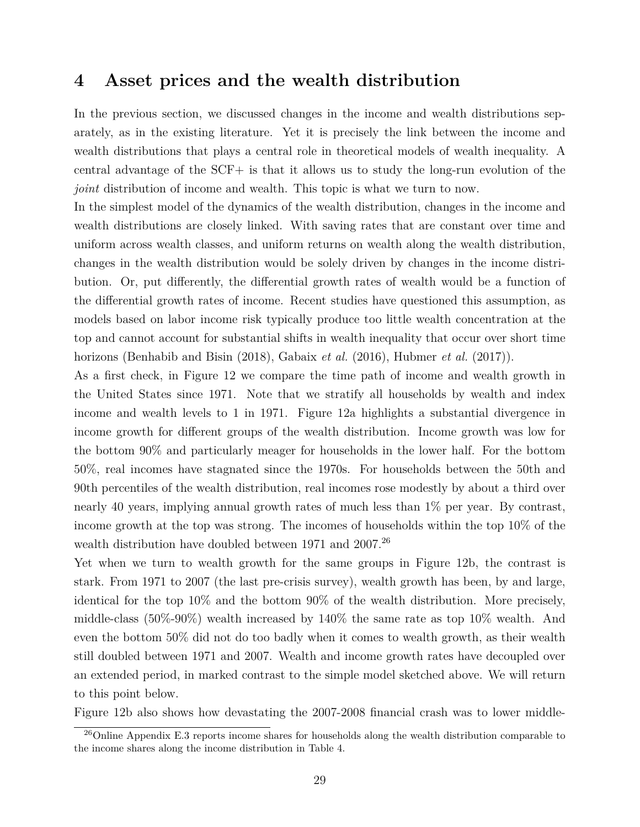# **4 Asset prices and the wealth distribution**

In the previous section, we discussed changes in the income and wealth distributions separately, as in the existing literature. Yet it is precisely the link between the income and wealth distributions that plays a central role in theoretical models of wealth inequality. A central advantage of the SCF+ is that it allows us to study the long-run evolution of the *joint* distribution of income and wealth. This topic is what we turn to now.

In the simplest model of the dynamics of the wealth distribution, changes in the income and wealth distributions are closely linked. With saving rates that are constant over time and uniform across wealth classes, and uniform returns on wealth along the wealth distribution, changes in the wealth distribution would be solely driven by changes in the income distribution. Or, put differently, the differential growth rates of wealth would be a function of the differential growth rates of income. Recent studies have questioned this assumption, as models based on labor income risk typically produce too little wealth concentration at the top and cannot account for substantial shifts in wealth inequality that occur over short time horizons (Benhabib and Bisin (2018), Gabaix *et al.* (2016), Hubmer *et al.* (2017)).

As a first check, in Figure 12 we compare the time path of income and wealth growth in the United States since 1971. Note that we stratify all households by wealth and index income and wealth levels to 1 in 1971. Figure 12a highlights a substantial divergence in income growth for different groups of the wealth distribution. Income growth was low for the bottom 90% and particularly meager for households in the lower half. For the bottom 50%, real incomes have stagnated since the 1970s. For households between the 50th and 90th percentiles of the wealth distribution, real incomes rose modestly by about a third over nearly 40 years, implying annual growth rates of much less than 1% per year. By contrast, income growth at the top was strong. The incomes of households within the top 10% of the wealth distribution have doubled between 1971 and 2007.<sup>26</sup>

Yet when we turn to wealth growth for the same groups in Figure 12b, the contrast is stark. From 1971 to 2007 (the last pre-crisis survey), wealth growth has been, by and large, identical for the top 10% and the bottom 90% of the wealth distribution. More precisely, middle-class (50%-90%) wealth increased by 140% the same rate as top 10% wealth. And even the bottom 50% did not do too badly when it comes to wealth growth, as their wealth still doubled between 1971 and 2007. Wealth and income growth rates have decoupled over an extended period, in marked contrast to the simple model sketched above. We will return to this point below.

Figure 12b also shows how devastating the 2007-2008 financial crash was to lower middle-

<sup>&</sup>lt;sup>26</sup>Online Appendix E.3 reports income shares for households along the wealth distribution comparable to the income shares along the income distribution in Table 4.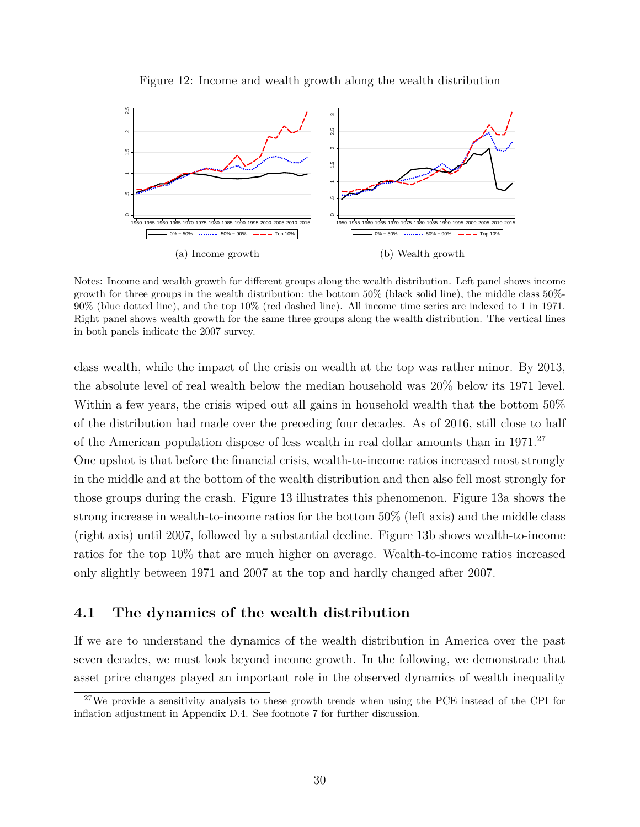

Figure 12: Income and wealth growth along the wealth distribution

Notes: Income and wealth growth for different groups along the wealth distribution. Left panel shows income growth for three groups in the wealth distribution: the bottom 50% (black solid line), the middle class 50%- 90% (blue dotted line), and the top 10% (red dashed line). All income time series are indexed to 1 in 1971. Right panel shows wealth growth for the same three groups along the wealth distribution. The vertical lines in both panels indicate the 2007 survey.

class wealth, while the impact of the crisis on wealth at the top was rather minor. By 2013, the absolute level of real wealth below the median household was 20% below its 1971 level. Within a few years, the crisis wiped out all gains in household wealth that the bottom 50% of the distribution had made over the preceding four decades. As of 2016, still close to half of the American population dispose of less wealth in real dollar amounts than in 1971.<sup>27</sup> One upshot is that before the financial crisis, wealth-to-income ratios increased most strongly in the middle and at the bottom of the wealth distribution and then also fell most strongly for those groups during the crash. Figure 13 illustrates this phenomenon. Figure 13a shows the strong increase in wealth-to-income ratios for the bottom 50% (left axis) and the middle class (right axis) until 2007, followed by a substantial decline. Figure 13b shows wealth-to-income ratios for the top 10% that are much higher on average. Wealth-to-income ratios increased only slightly between 1971 and 2007 at the top and hardly changed after 2007.

# **4.1 The dynamics of the wealth distribution**

If we are to understand the dynamics of the wealth distribution in America over the past seven decades, we must look beyond income growth. In the following, we demonstrate that asset price changes played an important role in the observed dynamics of wealth inequality

<sup>&</sup>lt;sup>27</sup>We provide a sensitivity analysis to these growth trends when using the PCE instead of the CPI for inflation adjustment in Appendix D.4. See footnote 7 for further discussion.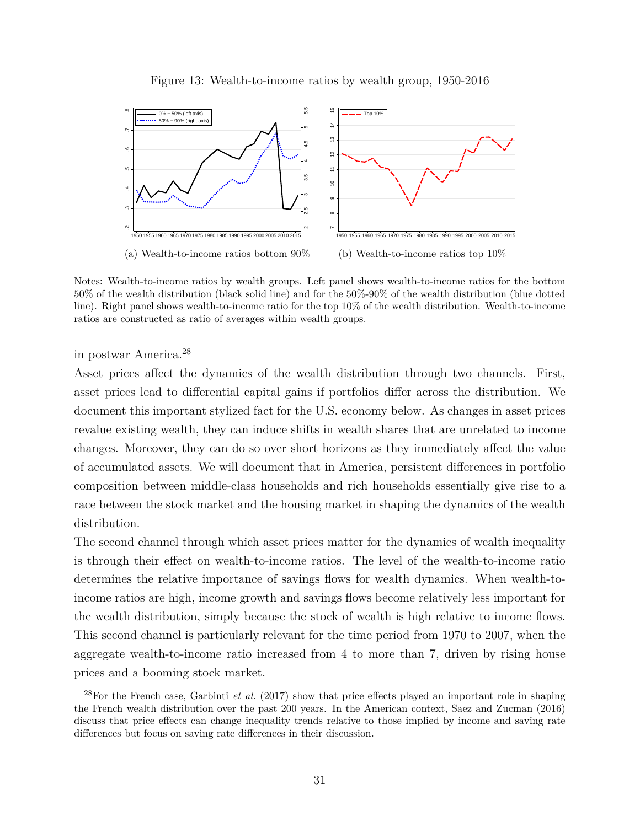

Figure 13: Wealth-to-income ratios by wealth group, 1950-2016

Notes: Wealth-to-income ratios by wealth groups. Left panel shows wealth-to-income ratios for the bottom 50% of the wealth distribution (black solid line) and for the 50%-90% of the wealth distribution (blue dotted line). Right panel shows wealth-to-income ratio for the top 10% of the wealth distribution. Wealth-to-income ratios are constructed as ratio of averages within wealth groups.

in postwar America.<sup>28</sup>

Asset prices affect the dynamics of the wealth distribution through two channels. First, asset prices lead to differential capital gains if portfolios differ across the distribution. We document this important stylized fact for the U.S. economy below. As changes in asset prices revalue existing wealth, they can induce shifts in wealth shares that are unrelated to income changes. Moreover, they can do so over short horizons as they immediately affect the value of accumulated assets. We will document that in America, persistent differences in portfolio composition between middle-class households and rich households essentially give rise to a race between the stock market and the housing market in shaping the dynamics of the wealth distribution.

The second channel through which asset prices matter for the dynamics of wealth inequality is through their effect on wealth-to-income ratios. The level of the wealth-to-income ratio determines the relative importance of savings flows for wealth dynamics. When wealth-toincome ratios are high, income growth and savings flows become relatively less important for the wealth distribution, simply because the stock of wealth is high relative to income flows. This second channel is particularly relevant for the time period from 1970 to 2007, when the aggregate wealth-to-income ratio increased from 4 to more than 7, driven by rising house prices and a booming stock market.

<sup>28</sup>For the French case, Garbinti *et al.* (2017) show that price effects played an important role in shaping the French wealth distribution over the past 200 years. In the American context, Saez and Zucman (2016) discuss that price effects can change inequality trends relative to those implied by income and saving rate differences but focus on saving rate differences in their discussion.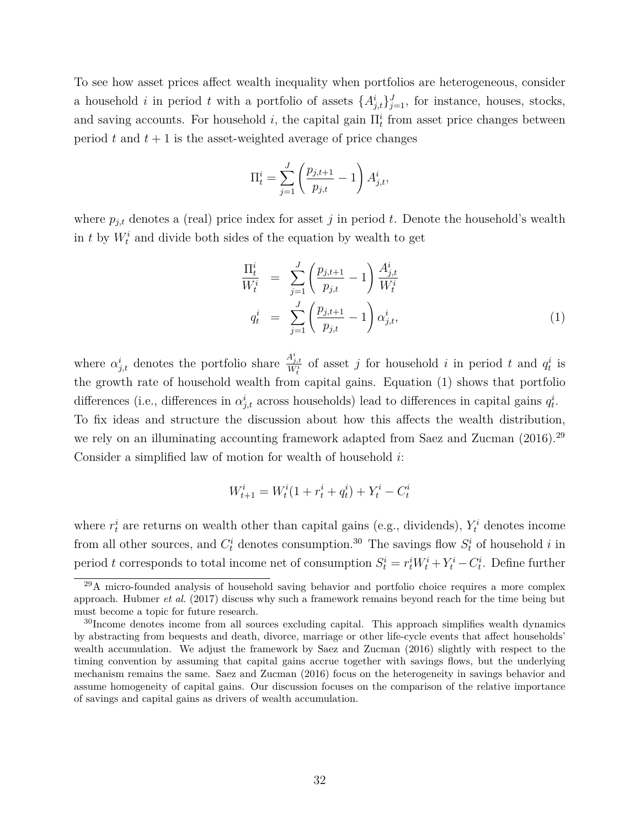To see how asset prices affect wealth inequality when portfolios are heterogeneous, consider a household *i* in period *t* with a portfolio of assets  $\{A_{j,t}^i\}_{j=1}^J$ , for instance, houses, stocks, and saving accounts. For household *i*, the capital gain  $\Pi_t^i$  from asset price changes between period  $t$  and  $t + 1$  is the asset-weighted average of price changes

$$
\Pi_t^i = \sum_{j=1}^J \left( \frac{p_{j,t+1}}{p_{j,t}} - 1 \right) A_{j,t}^i,
$$

where  $p_{j,t}$  denotes a (real) price index for asset *j* in period *t*. Denote the household's wealth in  $t$  by  $W_t^i$  and divide both sides of the equation by wealth to get

$$
\frac{\Pi_t^i}{W_t^i} = \sum_{j=1}^J \left(\frac{p_{j,t+1}}{p_{j,t}} - 1\right) \frac{A_{j,t}^i}{W_t^i}
$$
\n
$$
q_t^i = \sum_{j=1}^J \left(\frac{p_{j,t+1}}{p_{j,t}} - 1\right) \alpha_{j,t}^i,
$$
\n(1)

where  $\alpha_{j,t}^i$  denotes the portfolio share  $\frac{A_{j,t}^i}{W_t^i}$  of asset *j* for household *i* in period *t* and  $q_t^i$  is the growth rate of household wealth from capital gains. Equation (1) shows that portfolio differences (i.e., differences in  $\alpha_{j,t}^i$  across households) lead to differences in capital gains  $q_t^i$ . To fix ideas and structure the discussion about how this affects the wealth distribution, we rely on an illuminating accounting framework adapted from Saez and Zucman  $(2016).^{29}$ Consider a simplified law of motion for wealth of household *i*:

$$
W^i_{t+1} = W^i_t (1 + r^i_t + q^i_t) + Y^i_t - C^i_t
$$

where  $r_t^i$  are returns on wealth other than capital gains (e.g., dividends),  $Y_t^i$  denotes income from all other sources, and  $C_t^i$  denotes consumption.<sup>30</sup> The savings flow  $S_t^i$  of household *i* in period *t* corresponds to total income net of consumption  $S_t^i = r_t^i W_t^i + Y_t^i - C_t^i$ . Define further

<sup>&</sup>lt;sup>29</sup>A micro-founded analysis of household saving behavior and portfolio choice requires a more complex approach. Hubmer *et al.* (2017) discuss why such a framework remains beyond reach for the time being but must become a topic for future research.

<sup>&</sup>lt;sup>30</sup>Income denotes income from all sources excluding capital. This approach simplifies wealth dynamics by abstracting from bequests and death, divorce, marriage or other life-cycle events that affect households' wealth accumulation. We adjust the framework by Saez and Zucman (2016) slightly with respect to the timing convention by assuming that capital gains accrue together with savings flows, but the underlying mechanism remains the same. Saez and Zucman (2016) focus on the heterogeneity in savings behavior and assume homogeneity of capital gains. Our discussion focuses on the comparison of the relative importance of savings and capital gains as drivers of wealth accumulation.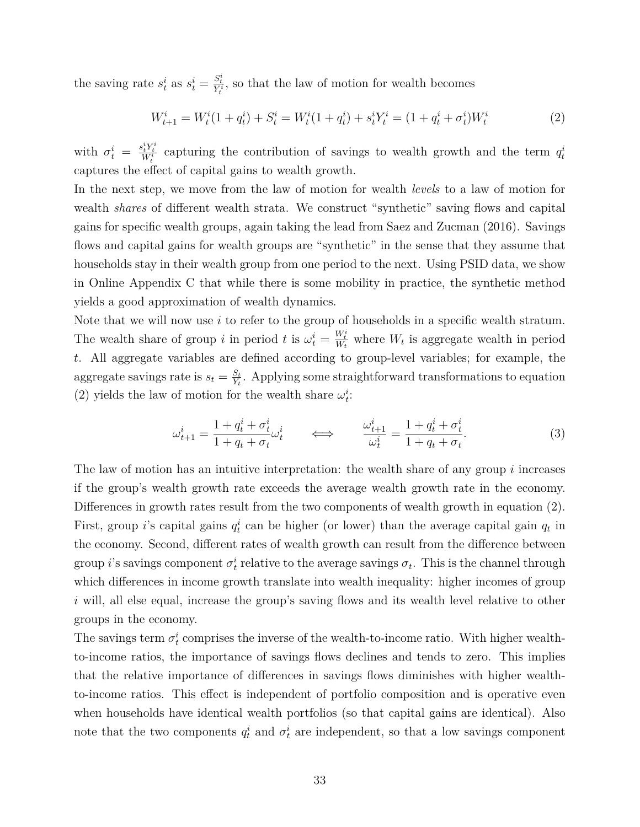the saving rate  $s_t^i$  as  $s_t^i = \frac{S_t^i}{Y_t^i}$ , so that the law of motion for wealth becomes

$$
W_{t+1}^i = W_t^i (1 + q_t^i) + S_t^i = W_t^i (1 + q_t^i) + s_t^i Y_t^i = (1 + q_t^i + \sigma_t^i) W_t^i
$$
\n<sup>(2)</sup>

with  $\sigma_t^i = \frac{s_t^i Y_t^i}{W_t^i}$  capturing the contribution of savings to wealth growth and the term  $q_t^i$ captures the effect of capital gains to wealth growth.

In the next step, we move from the law of motion for wealth *levels* to a law of motion for wealth *shares* of different wealth strata. We construct "synthetic" saving flows and capital gains for specific wealth groups, again taking the lead from Saez and Zucman (2016). Savings flows and capital gains for wealth groups are "synthetic" in the sense that they assume that households stay in their wealth group from one period to the next. Using PSID data, we show in Online Appendix C that while there is some mobility in practice, the synthetic method yields a good approximation of wealth dynamics.

Note that we will now use *i* to refer to the group of households in a specific wealth stratum. The wealth share of group *i* in period *t* is  $\omega_t^i = \frac{W_t^i}{W_t}$  where  $W_t$  is aggregate wealth in period *t*. All aggregate variables are defined according to group-level variables; for example, the aggregate savings rate is  $s_t = \frac{S_t}{Y_t}$  $\frac{S_t}{Y_t}$ . Applying some straightforward transformations to equation (2) yields the law of motion for the wealth share  $\omega_t^i$ :

$$
\omega_{t+1}^i = \frac{1 + q_t^i + \sigma_t^i}{1 + q_t + \sigma_t} \omega_t^i \qquad \Longleftrightarrow \qquad \frac{\omega_{t+1}^i}{\omega_t^i} = \frac{1 + q_t^i + \sigma_t^i}{1 + q_t + \sigma_t}.\tag{3}
$$

The law of motion has an intuitive interpretation: the wealth share of any group *i* increases if the group's wealth growth rate exceeds the average wealth growth rate in the economy. Differences in growth rates result from the two components of wealth growth in equation (2). First, group *i*'s capital gains  $q_t^i$  can be higher (or lower) than the average capital gain  $q_t$  in the economy. Second, different rates of wealth growth can result from the difference between group *i*'s savings component  $\sigma_t^i$  relative to the average savings  $\sigma_t$ . This is the channel through which differences in income growth translate into wealth inequality: higher incomes of group *i* will, all else equal, increase the group's saving flows and its wealth level relative to other groups in the economy.

The savings term  $\sigma_t^i$  comprises the inverse of the wealth-to-income ratio. With higher wealthto-income ratios, the importance of savings flows declines and tends to zero. This implies that the relative importance of differences in savings flows diminishes with higher wealthto-income ratios. This effect is independent of portfolio composition and is operative even when households have identical wealth portfolios (so that capital gains are identical). Also note that the two components  $q_t^i$  and  $\sigma_t^i$  are independent, so that a low savings component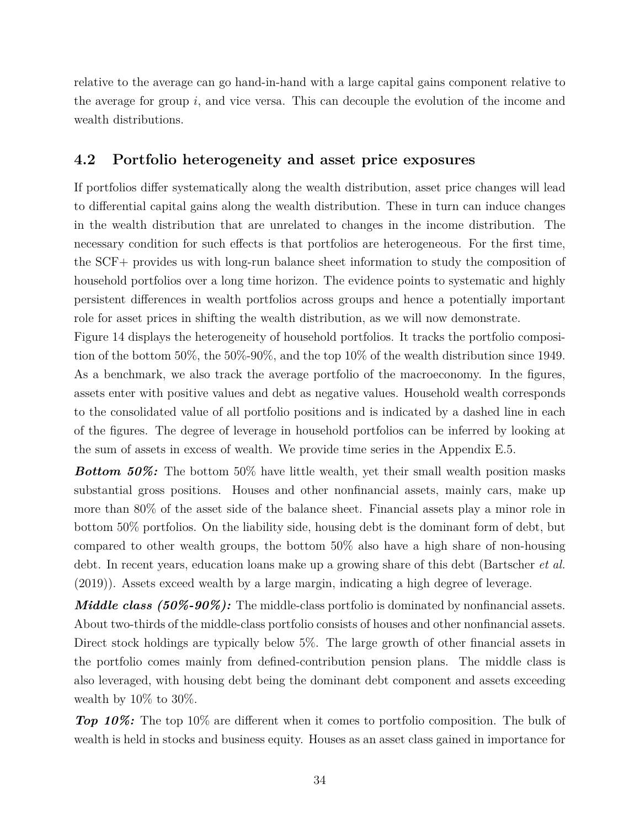relative to the average can go hand-in-hand with a large capital gains component relative to the average for group *i*, and vice versa. This can decouple the evolution of the income and wealth distributions.

# **4.2 Portfolio heterogeneity and asset price exposures**

If portfolios differ systematically along the wealth distribution, asset price changes will lead to differential capital gains along the wealth distribution. These in turn can induce changes in the wealth distribution that are unrelated to changes in the income distribution. The necessary condition for such effects is that portfolios are heterogeneous. For the first time, the SCF+ provides us with long-run balance sheet information to study the composition of household portfolios over a long time horizon. The evidence points to systematic and highly persistent differences in wealth portfolios across groups and hence a potentially important role for asset prices in shifting the wealth distribution, as we will now demonstrate.

Figure 14 displays the heterogeneity of household portfolios. It tracks the portfolio composition of the bottom 50%, the 50%-90%, and the top 10% of the wealth distribution since 1949. As a benchmark, we also track the average portfolio of the macroeconomy. In the figures, assets enter with positive values and debt as negative values. Household wealth corresponds to the consolidated value of all portfolio positions and is indicated by a dashed line in each of the figures. The degree of leverage in household portfolios can be inferred by looking at the sum of assets in excess of wealth. We provide time series in the Appendix E.5.

*Bottom 50%:* The bottom 50% have little wealth, yet their small wealth position masks substantial gross positions. Houses and other nonfinancial assets, mainly cars, make up more than 80% of the asset side of the balance sheet. Financial assets play a minor role in bottom 50% portfolios. On the liability side, housing debt is the dominant form of debt, but compared to other wealth groups, the bottom 50% also have a high share of non-housing debt. In recent years, education loans make up a growing share of this debt (Bartscher *et al.* (2019)). Assets exceed wealth by a large margin, indicating a high degree of leverage.

*Middle class (50%-90%):* The middle-class portfolio is dominated by nonfinancial assets. About two-thirds of the middle-class portfolio consists of houses and other nonfinancial assets. Direct stock holdings are typically below 5%. The large growth of other financial assets in the portfolio comes mainly from defined-contribution pension plans. The middle class is also leveraged, with housing debt being the dominant debt component and assets exceeding wealth by 10% to 30%.

*Top 10%:* The top 10% are different when it comes to portfolio composition. The bulk of wealth is held in stocks and business equity. Houses as an asset class gained in importance for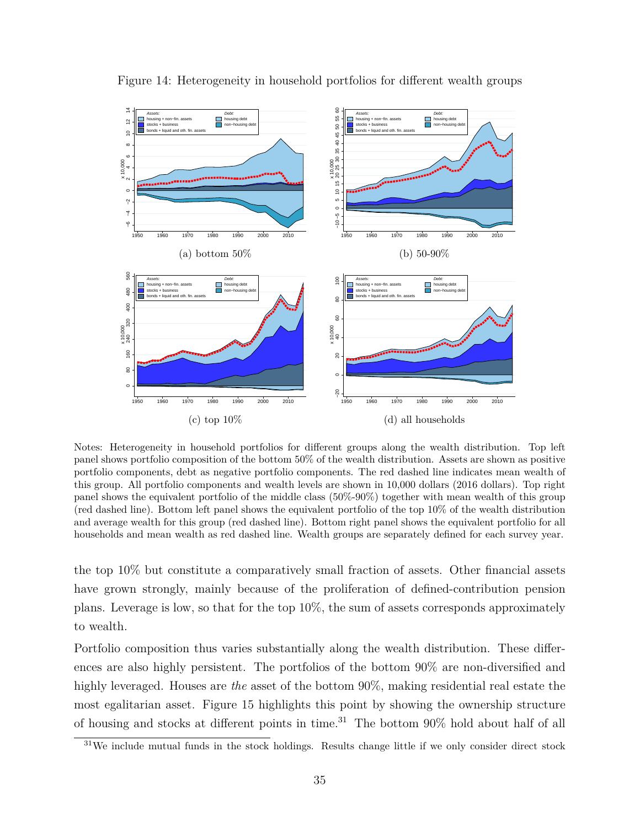

Figure 14: Heterogeneity in household portfolios for different wealth groups

Notes: Heterogeneity in household portfolios for different groups along the wealth distribution. Top left panel shows portfolio composition of the bottom 50% of the wealth distribution. Assets are shown as positive portfolio components, debt as negative portfolio components. The red dashed line indicates mean wealth of this group. All portfolio components and wealth levels are shown in 10,000 dollars (2016 dollars). Top right panel shows the equivalent portfolio of the middle class (50%-90%) together with mean wealth of this group (red dashed line). Bottom left panel shows the equivalent portfolio of the top 10% of the wealth distribution and average wealth for this group (red dashed line). Bottom right panel shows the equivalent portfolio for all households and mean wealth as red dashed line. Wealth groups are separately defined for each survey year.

the top 10% but constitute a comparatively small fraction of assets. Other financial assets have grown strongly, mainly because of the proliferation of defined-contribution pension plans. Leverage is low, so that for the top 10%, the sum of assets corresponds approximately to wealth.

Portfolio composition thus varies substantially along the wealth distribution. These differences are also highly persistent. The portfolios of the bottom 90% are non-diversified and highly leveraged. Houses are *the* asset of the bottom  $90\%$ , making residential real estate the most egalitarian asset. Figure 15 highlights this point by showing the ownership structure of housing and stocks at different points in time.<sup>31</sup> The bottom 90% hold about half of all

<sup>&</sup>lt;sup>31</sup>We include mutual funds in the stock holdings. Results change little if we only consider direct stock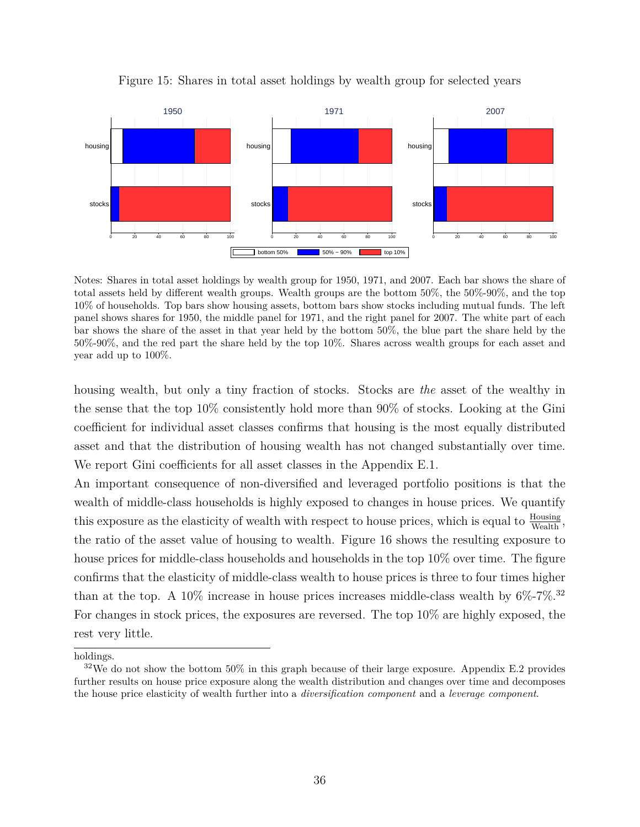

Figure 15: Shares in total asset holdings by wealth group for selected years

Notes: Shares in total asset holdings by wealth group for 1950, 1971, and 2007. Each bar shows the share of total assets held by different wealth groups. Wealth groups are the bottom 50%, the 50%-90%, and the top 10% of households. Top bars show housing assets, bottom bars show stocks including mutual funds. The left panel shows shares for 1950, the middle panel for 1971, and the right panel for 2007. The white part of each bar shows the share of the asset in that year held by the bottom 50%, the blue part the share held by the 50%-90%, and the red part the share held by the top 10%. Shares across wealth groups for each asset and year add up to 100%.

housing wealth, but only a tiny fraction of stocks. Stocks are *the* asset of the wealthy in the sense that the top 10% consistently hold more than 90% of stocks. Looking at the Gini coefficient for individual asset classes confirms that housing is the most equally distributed asset and that the distribution of housing wealth has not changed substantially over time. We report Gini coefficients for all asset classes in the Appendix E.1.

An important consequence of non-diversified and leveraged portfolio positions is that the wealth of middle-class households is highly exposed to changes in house prices. We quantify this exposure as the elasticity of wealth with respect to house prices, which is equal to  $\frac{\text{Housing}}{\text{Weather}}$ , the ratio of the asset value of housing to wealth. Figure 16 shows the resulting exposure to house prices for middle-class households and households in the top 10% over time. The figure confirms that the elasticity of middle-class wealth to house prices is three to four times higher than at the top. A 10% increase in house prices increases middle-class wealth by  $6\%$ -7%.<sup>32</sup> For changes in stock prices, the exposures are reversed. The top 10% are highly exposed, the rest very little.

holdings.

 $32\text{We do not show the bottom }50\%$  in this graph because of their large exposure. Appendix E.2 provides further results on house price exposure along the wealth distribution and changes over time and decomposes the house price elasticity of wealth further into a *diversification component* and a *leverage component*.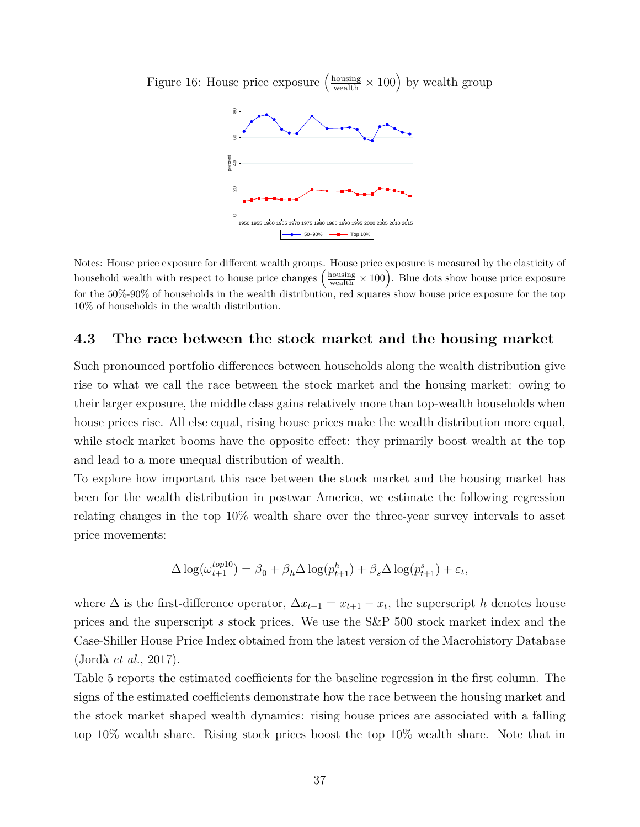

Figure 16: House price exposure  $\left(\frac{\text{housing}}{\text{wealth}} \times 100\right)$  by wealth group

Notes: House price exposure for different wealth groups. House price exposure is measured by the elasticity of household wealth with respect to house price changes  $\left(\frac{\text{housing}}{\text{wealth}} \times 100\right)$ . Blue dots show house price exposure for the 50%-90% of households in the wealth distribution, red squares show house price exposure for the top 10% of households in the wealth distribution.

### **4.3 The race between the stock market and the housing market**

Such pronounced portfolio differences between households along the wealth distribution give rise to what we call the race between the stock market and the housing market: owing to their larger exposure, the middle class gains relatively more than top-wealth households when house prices rise. All else equal, rising house prices make the wealth distribution more equal, while stock market booms have the opposite effect: they primarily boost wealth at the top and lead to a more unequal distribution of wealth.

To explore how important this race between the stock market and the housing market has been for the wealth distribution in postwar America, we estimate the following regression relating changes in the top 10% wealth share over the three-year survey intervals to asset price movements:

$$
\Delta \log(\omega_{t+1}^{top10}) = \beta_0 + \beta_h \Delta \log(p_{t+1}^h) + \beta_s \Delta \log(p_{t+1}^s) + \varepsilon_t,
$$

where  $\Delta$  is the first-difference operator,  $\Delta x_{t+1} = x_{t+1} - x_t$ , the superscript *h* denotes house prices and the superscript *s* stock prices. We use the S&P 500 stock market index and the Case-Shiller House Price Index obtained from the latest version of the Macrohistory Database (Jordà *et al.*, 2017).

Table 5 reports the estimated coefficients for the baseline regression in the first column. The signs of the estimated coefficients demonstrate how the race between the housing market and the stock market shaped wealth dynamics: rising house prices are associated with a falling top 10% wealth share. Rising stock prices boost the top 10% wealth share. Note that in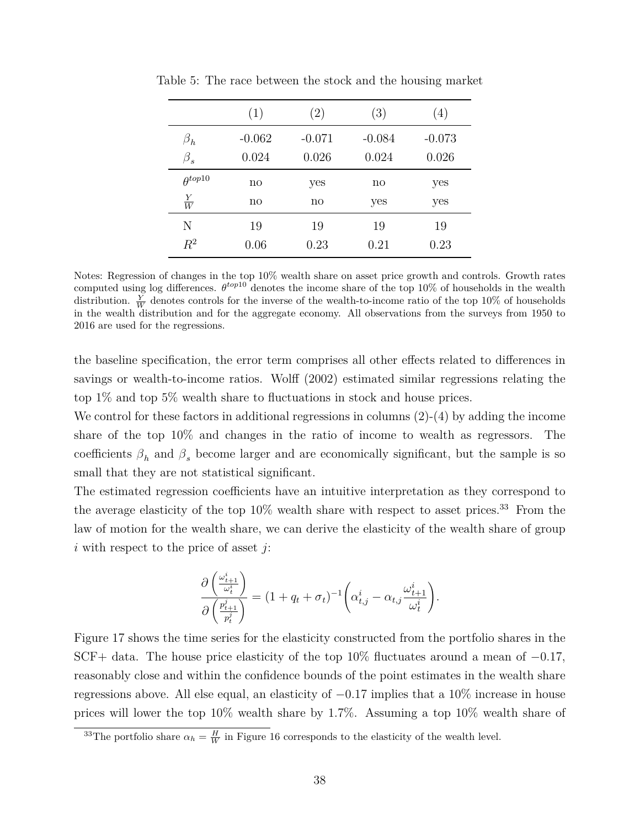|                  | (1)      | $\left( 2\right)$ | (3)      | $\left( 4\right)$ |
|------------------|----------|-------------------|----------|-------------------|
| $\beta_h$        | $-0.062$ | $-0.071$          | $-0.084$ | $-0.073$          |
| $\beta_s$        | 0.024    | 0.026             | 0.024    | 0.026             |
| $\theta^{top10}$ | no       | yes               | no       | yes               |
| $\frac{Y}{W}$    | no       | no                | yes      | yes               |
| Ν                | 19       | 19                | 19       | 19                |
| $R^2$            | 0.06     | 0.23              | 0.21     | 0.23              |

Table 5: The race between the stock and the housing market

Notes: Regression of changes in the top 10% wealth share on asset price growth and controls. Growth rates computed using log differences.  $\theta^{top10}$  denotes the income share of the top 10% of households in the wealth distribution.  $\frac{Y}{W}$  denotes controls for the inverse of the wealth-to-income ratio of the top 10% of households in the wealth distribution and for the aggregate economy. All observations from the surveys from 1950 to 2016 are used for the regressions.

the baseline specification, the error term comprises all other effects related to differences in savings or wealth-to-income ratios. Wolff (2002) estimated similar regressions relating the top 1% and top 5% wealth share to fluctuations in stock and house prices.

We control for these factors in additional regressions in columns  $(2)-(4)$  by adding the income share of the top 10% and changes in the ratio of income to wealth as regressors. The coefficients  $\beta_h$  and  $\beta_s$  become larger and are economically significant, but the sample is so small that they are not statistical significant.

The estimated regression coefficients have an intuitive interpretation as they correspond to the average elasticity of the top  $10\%$  wealth share with respect to asset prices.<sup>33</sup> From the law of motion for the wealth share, we can derive the elasticity of the wealth share of group *i* with respect to the price of asset *j*:

$$
\frac{\partial \left(\frac{\omega_{t+1}^i}{\omega_t^i}\right)}{\partial \left(\frac{p_{t+1}^i}{p_t^j}\right)} = (1 + q_t + \sigma_t)^{-1} \left(\alpha_{t,j}^i - \alpha_{t,j} \frac{\omega_{t+1}^i}{\omega_t^i}\right).
$$

Figure 17 shows the time series for the elasticity constructed from the portfolio shares in the SCF+ data. The house price elasticity of the top 10% fluctuates around a mean of *−*0*.*17, reasonably close and within the confidence bounds of the point estimates in the wealth share regressions above. All else equal, an elasticity of *−*0*.*17 implies that a 10% increase in house prices will lower the top 10% wealth share by 1.7%. Assuming a top 10% wealth share of

<sup>&</sup>lt;sup>33</sup>The portfolio share  $\alpha_h = \frac{H}{W}$  in Figure 16 corresponds to the elasticity of the wealth level.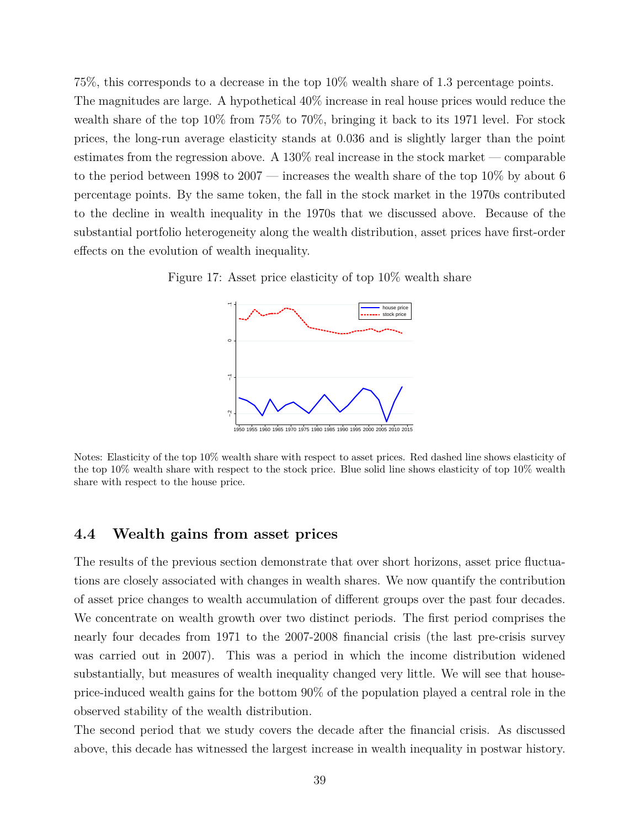75%, this corresponds to a decrease in the top 10% wealth share of 1.3 percentage points. The magnitudes are large. A hypothetical 40% increase in real house prices would reduce the wealth share of the top 10% from 75% to 70%, bringing it back to its 1971 level. For stock prices, the long-run average elasticity stands at 0*.*036 and is slightly larger than the point estimates from the regression above. A  $130\%$  real increase in the stock market — comparable to the period between 1998 to 2007 — increases the wealth share of the top 10% by about 6 percentage points. By the same token, the fall in the stock market in the 1970s contributed to the decline in wealth inequality in the 1970s that we discussed above. Because of the substantial portfolio heterogeneity along the wealth distribution, asset prices have first-order effects on the evolution of wealth inequality.

Figure 17: Asset price elasticity of top 10% wealth share



Notes: Elasticity of the top 10% wealth share with respect to asset prices. Red dashed line shows elasticity of the top 10% wealth share with respect to the stock price. Blue solid line shows elasticity of top 10% wealth share with respect to the house price.

### **4.4 Wealth gains from asset prices**

The results of the previous section demonstrate that over short horizons, asset price fluctuations are closely associated with changes in wealth shares. We now quantify the contribution of asset price changes to wealth accumulation of different groups over the past four decades. We concentrate on wealth growth over two distinct periods. The first period comprises the nearly four decades from 1971 to the 2007-2008 financial crisis (the last pre-crisis survey was carried out in 2007). This was a period in which the income distribution widened substantially, but measures of wealth inequality changed very little. We will see that houseprice-induced wealth gains for the bottom 90% of the population played a central role in the observed stability of the wealth distribution.

The second period that we study covers the decade after the financial crisis. As discussed above, this decade has witnessed the largest increase in wealth inequality in postwar history.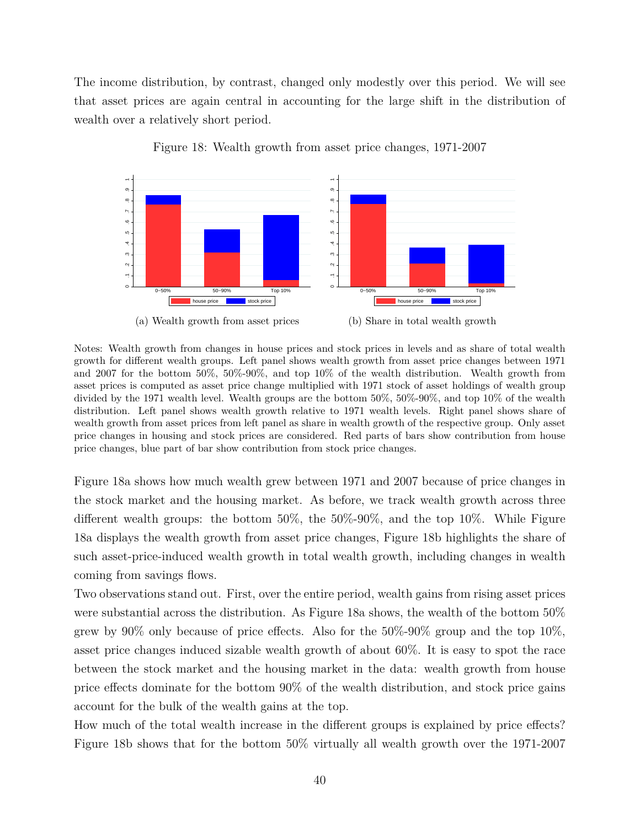The income distribution, by contrast, changed only modestly over this period. We will see that asset prices are again central in accounting for the large shift in the distribution of wealth over a relatively short period.



Figure 18: Wealth growth from asset price changes, 1971-2007

Notes: Wealth growth from changes in house prices and stock prices in levels and as share of total wealth growth for different wealth groups. Left panel shows wealth growth from asset price changes between 1971 and 2007 for the bottom 50%, 50%-90%, and top 10% of the wealth distribution. Wealth growth from asset prices is computed as asset price change multiplied with 1971 stock of asset holdings of wealth group divided by the 1971 wealth level. Wealth groups are the bottom 50%, 50%-90%, and top 10% of the wealth distribution. Left panel shows wealth growth relative to 1971 wealth levels. Right panel shows share of wealth growth from asset prices from left panel as share in wealth growth of the respective group. Only asset price changes in housing and stock prices are considered. Red parts of bars show contribution from house price changes, blue part of bar show contribution from stock price changes.

Figure 18a shows how much wealth grew between 1971 and 2007 because of price changes in the stock market and the housing market. As before, we track wealth growth across three different wealth groups: the bottom 50%, the 50%-90%, and the top 10%. While Figure 18a displays the wealth growth from asset price changes, Figure 18b highlights the share of such asset-price-induced wealth growth in total wealth growth, including changes in wealth coming from savings flows.

Two observations stand out. First, over the entire period, wealth gains from rising asset prices were substantial across the distribution. As Figure 18a shows, the wealth of the bottom 50% grew by  $90\%$  only because of price effects. Also for the  $50\%$ - $90\%$  group and the top  $10\%$ , asset price changes induced sizable wealth growth of about 60%. It is easy to spot the race between the stock market and the housing market in the data: wealth growth from house price effects dominate for the bottom 90% of the wealth distribution, and stock price gains account for the bulk of the wealth gains at the top.

How much of the total wealth increase in the different groups is explained by price effects? Figure 18b shows that for the bottom 50% virtually all wealth growth over the 1971-2007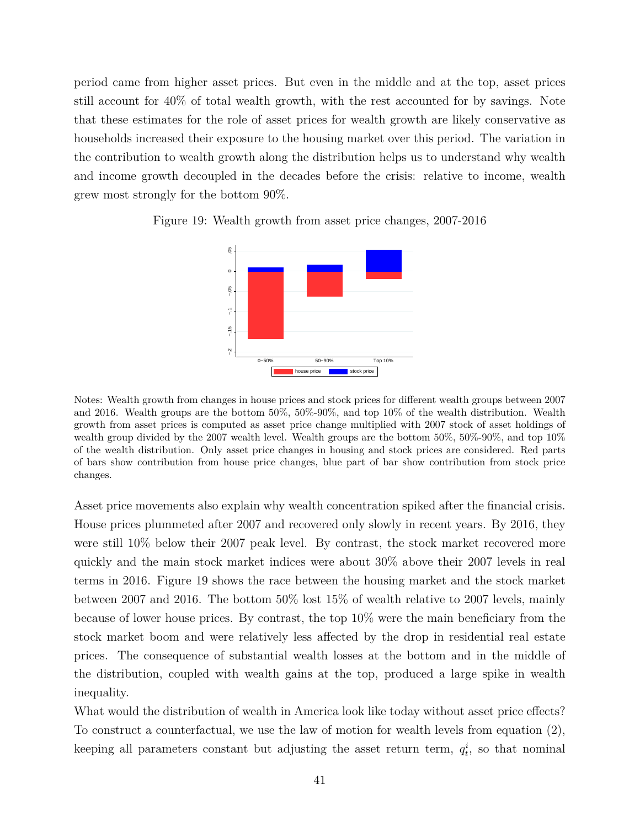period came from higher asset prices. But even in the middle and at the top, asset prices still account for 40% of total wealth growth, with the rest accounted for by savings. Note that these estimates for the role of asset prices for wealth growth are likely conservative as households increased their exposure to the housing market over this period. The variation in the contribution to wealth growth along the distribution helps us to understand why wealth and income growth decoupled in the decades before the crisis: relative to income, wealth grew most strongly for the bottom 90%.



Figure 19: Wealth growth from asset price changes, 2007-2016

Notes: Wealth growth from changes in house prices and stock prices for different wealth groups between 2007 and 2016. Wealth groups are the bottom 50%, 50%-90%, and top 10% of the wealth distribution. Wealth growth from asset prices is computed as asset price change multiplied with 2007 stock of asset holdings of wealth group divided by the 2007 wealth level. Wealth groups are the bottom 50%, 50%-90%, and top 10% of the wealth distribution. Only asset price changes in housing and stock prices are considered. Red parts of bars show contribution from house price changes, blue part of bar show contribution from stock price changes.

Asset price movements also explain why wealth concentration spiked after the financial crisis. House prices plummeted after 2007 and recovered only slowly in recent years. By 2016, they were still 10% below their 2007 peak level. By contrast, the stock market recovered more quickly and the main stock market indices were about 30% above their 2007 levels in real terms in 2016. Figure 19 shows the race between the housing market and the stock market between 2007 and 2016. The bottom 50% lost 15% of wealth relative to 2007 levels, mainly because of lower house prices. By contrast, the top 10% were the main beneficiary from the stock market boom and were relatively less affected by the drop in residential real estate prices. The consequence of substantial wealth losses at the bottom and in the middle of the distribution, coupled with wealth gains at the top, produced a large spike in wealth inequality.

What would the distribution of wealth in America look like today without asset price effects? To construct a counterfactual, we use the law of motion for wealth levels from equation (2), keeping all parameters constant but adjusting the asset return term,  $q_t^i$ , so that nominal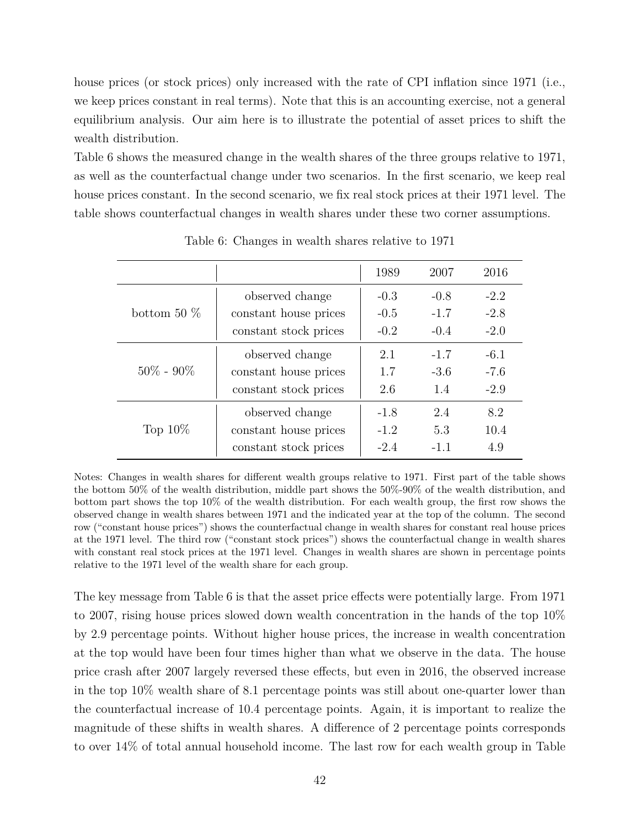house prices (or stock prices) only increased with the rate of CPI inflation since 1971 (i.e., we keep prices constant in real terms). Note that this is an accounting exercise, not a general equilibrium analysis. Our aim here is to illustrate the potential of asset prices to shift the wealth distribution.

Table 6 shows the measured change in the wealth shares of the three groups relative to 1971, as well as the counterfactual change under two scenarios. In the first scenario, we keep real house prices constant. In the second scenario, we fix real stock prices at their 1971 level. The table shows counterfactual changes in wealth shares under these two corner assumptions.

|                |                       | 1989   | 2007   | 2016   |
|----------------|-----------------------|--------|--------|--------|
|                | observed change       | $-0.3$ | $-0.8$ | $-2.2$ |
| bottom 50 $\%$ | constant house prices | $-0.5$ | $-1.7$ | $-2.8$ |
|                | constant stock prices | $-0.2$ | $-0.4$ | $-2.0$ |
|                | observed change       | 2.1    | $-1.7$ | $-6.1$ |
| $50\% - 90\%$  | constant house prices | 1.7    | $-3.6$ | $-7.6$ |
|                | constant stock prices | 2.6    | 1.4    | $-2.9$ |
|                | observed change       | $-1.8$ | 2.4    | 8.2    |
| Top $10\%$     | constant house prices | $-1.2$ | 5.3    | 10.4   |
|                | constant stock prices | $-2.4$ | $-1.1$ | 4.9    |

Table 6: Changes in wealth shares relative to 1971

Notes: Changes in wealth shares for different wealth groups relative to 1971. First part of the table shows the bottom 50% of the wealth distribution, middle part shows the 50%-90% of the wealth distribution, and bottom part shows the top 10% of the wealth distribution. For each wealth group, the first row shows the observed change in wealth shares between 1971 and the indicated year at the top of the column. The second row ("constant house prices") shows the counterfactual change in wealth shares for constant real house prices at the 1971 level. The third row ("constant stock prices") shows the counterfactual change in wealth shares with constant real stock prices at the 1971 level. Changes in wealth shares are shown in percentage points relative to the 1971 level of the wealth share for each group.

The key message from Table 6 is that the asset price effects were potentially large. From 1971 to 2007, rising house prices slowed down wealth concentration in the hands of the top 10% by 2.9 percentage points. Without higher house prices, the increase in wealth concentration at the top would have been four times higher than what we observe in the data. The house price crash after 2007 largely reversed these effects, but even in 2016, the observed increase in the top 10% wealth share of 8.1 percentage points was still about one-quarter lower than the counterfactual increase of 10.4 percentage points. Again, it is important to realize the magnitude of these shifts in wealth shares. A difference of 2 percentage points corresponds to over 14% of total annual household income. The last row for each wealth group in Table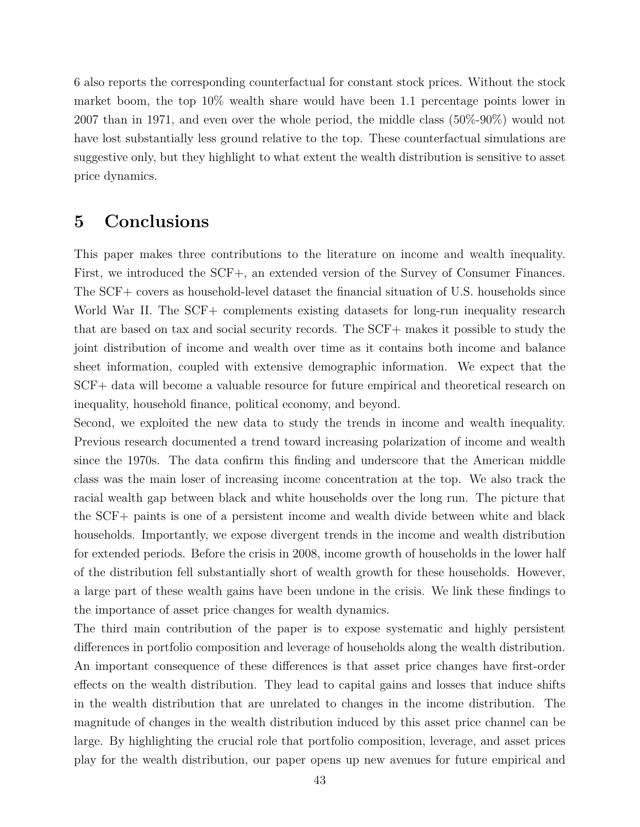6 also reports the corresponding counterfactual for constant stock prices. Without the stock market boom, the top 10% wealth share would have been 1.1 percentage points lower in 2007 than in 1971, and even over the whole period, the middle class (50%-90%) would not have lost substantially less ground relative to the top. These counterfactual simulations are suggestive only, but they highlight to what extent the wealth distribution is sensitive to asset price dynamics.

# **5 Conclusions**

This paper makes three contributions to the literature on income and wealth inequality. First, we introduced the SCF+, an extended version of the Survey of Consumer Finances. The SCF+ covers as household-level dataset the financial situation of U.S. households since World War II. The SCF+ complements existing datasets for long-run inequality research that are based on tax and social security records. The SCF+ makes it possible to study the joint distribution of income and wealth over time as it contains both income and balance sheet information, coupled with extensive demographic information. We expect that the SCF+ data will become a valuable resource for future empirical and theoretical research on inequality, household finance, political economy, and beyond.

Second, we exploited the new data to study the trends in income and wealth inequality. Previous research documented a trend toward increasing polarization of income and wealth since the 1970s. The data confirm this finding and underscore that the American middle class was the main loser of increasing income concentration at the top. We also track the racial wealth gap between black and white households over the long run. The picture that the SCF+ paints is one of a persistent income and wealth divide between white and black households. Importantly, we expose divergent trends in the income and wealth distribution for extended periods. Before the crisis in 2008, income growth of households in the lower half of the distribution fell substantially short of wealth growth for these households. However, a large part of these wealth gains have been undone in the crisis. We link these findings to the importance of asset price changes for wealth dynamics.

The third main contribution of the paper is to expose systematic and highly persistent differences in portfolio composition and leverage of households along the wealth distribution. An important consequence of these differences is that asset price changes have first-order effects on the wealth distribution. They lead to capital gains and losses that induce shifts in the wealth distribution that are unrelated to changes in the income distribution. The magnitude of changes in the wealth distribution induced by this asset price channel can be large. By highlighting the crucial role that portfolio composition, leverage, and asset prices play for the wealth distribution, our paper opens up new avenues for future empirical and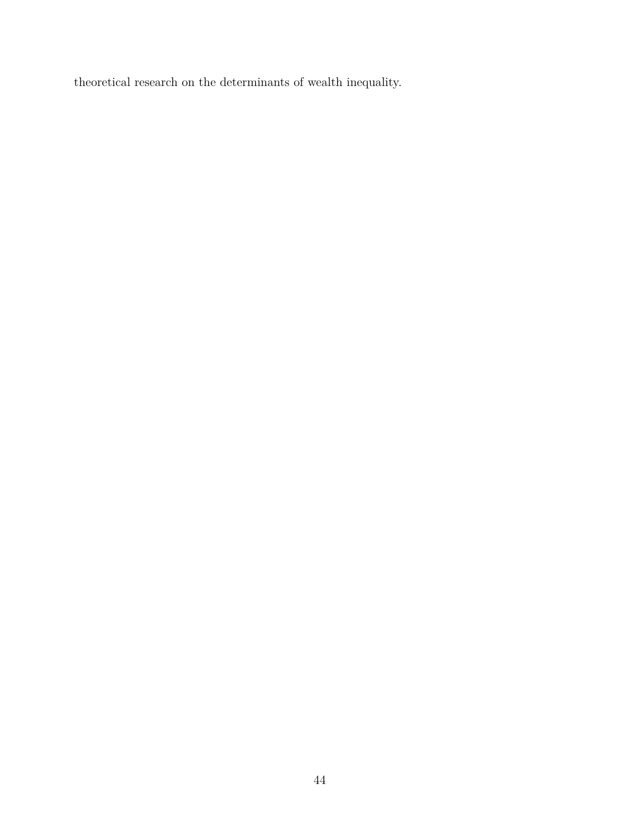theoretical research on the determinants of wealth inequality.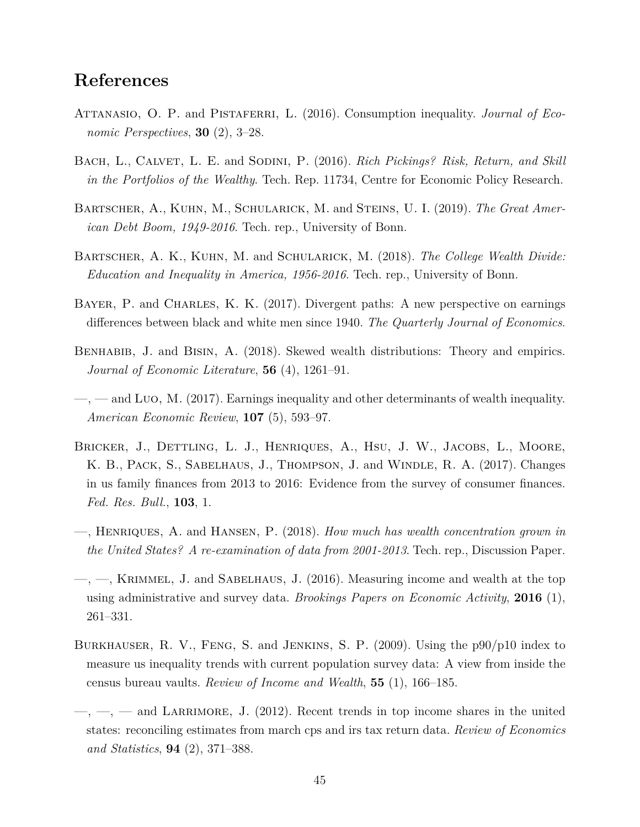# **References**

- ATTANASIO, O. P. and PISTAFERRI, L. (2016). Consumption inequality. *Journal of Economic Perspectives*, **30** (2), 3–28.
- BACH, L., CALVET, L. E. and SODINI, P. (2016). *Rich Pickings? Risk, Return, and Skill in the Portfolios of the Wealthy*. Tech. Rep. 11734, Centre for Economic Policy Research.
- Bartscher, A., Kuhn, M., Schularick, M. and Steins, U. I. (2019). *The Great American Debt Boom, 1949-2016*. Tech. rep., University of Bonn.
- Bartscher, A. K., Kuhn, M. and Schularick, M. (2018). *The College Wealth Divide: Education and Inequality in America, 1956-2016*. Tech. rep., University of Bonn.
- BAYER, P. and CHARLES, K. K. (2017). Divergent paths: A new perspective on earnings differences between black and white men since 1940. *The Quarterly Journal of Economics*.
- Benhabib, J. and Bisin, A. (2018). Skewed wealth distributions: Theory and empirics. *Journal of Economic Literature*, **56** (4), 1261–91.
- —, and Luo, M. (2017). Earnings inequality and other determinants of wealth inequality. *American Economic Review*, **107** (5), 593–97.
- BRICKER, J., DETTLING, L. J., HENRIQUES, A., HSU, J. W., JACOBS, L., MOORE, K. B., Pack, S., Sabelhaus, J., Thompson, J. and Windle, R. A. (2017). Changes in us family finances from 2013 to 2016: Evidence from the survey of consumer finances. *Fed. Res. Bull.*, **103**, 1.
- —, Henriques, A. and Hansen, P. (2018). *How much has wealth concentration grown in the United States? A re-examination of data from 2001-2013*. Tech. rep., Discussion Paper.
- $\rightarrow$ ,  $\rightarrow$ , KRIMMEL, J. and SABELHAUS, J. (2016). Measuring income and wealth at the top using administrative and survey data. *Brookings Papers on Economic Activity*, **2016** (1), 261–331.
- Burkhauser, R. V., Feng, S. and Jenkins, S. P. (2009). Using the p90/p10 index to measure us inequality trends with current population survey data: A view from inside the census bureau vaults. *Review of Income and Wealth*, **55** (1), 166–185.
- $-,-$ ,  $-$ ,  $-$  and LARRIMORE, J. (2012). Recent trends in top income shares in the united states: reconciling estimates from march cps and irs tax return data. *Review of Economics and Statistics*, **94** (2), 371–388.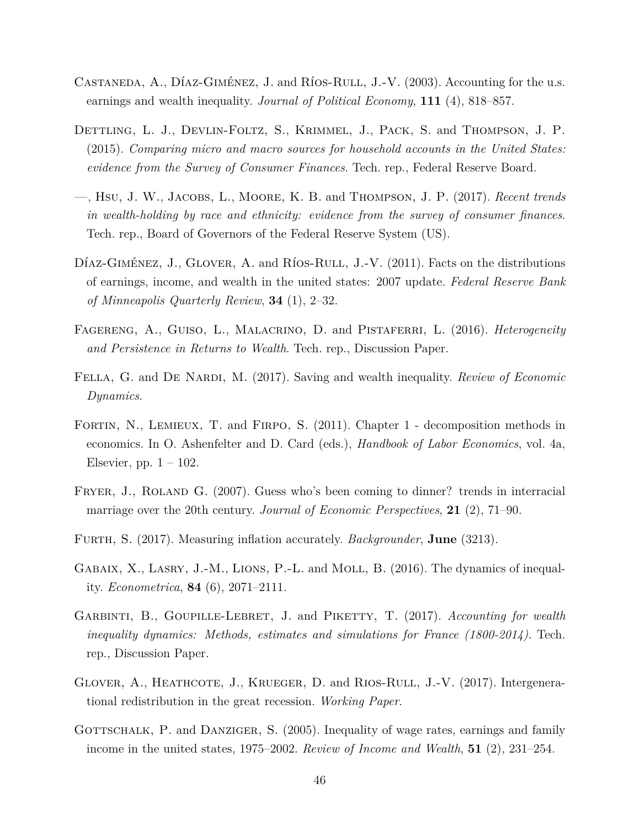- CASTANEDA, A., DÍAZ-GIMÉNEZ, J. and RÍOS-RULL, J.-V. (2003). Accounting for the u.s. earnings and wealth inequality. *Journal of Political Economy*, **111** (4), 818–857.
- DETTLING, L. J., DEVLIN-FOLTZ, S., KRIMMEL, J., PACK, S. and THOMPSON, J. P. (2015). *Comparing micro and macro sources for household accounts in the United States: evidence from the Survey of Consumer Finances*. Tech. rep., Federal Reserve Board.
- —, Hsu, J. W., Jacobs, L., Moore, K. B. and Thompson, J. P. (2017). *Recent trends in wealth-holding by race and ethnicity: evidence from the survey of consumer finances*. Tech. rep., Board of Governors of the Federal Reserve System (US).
- DÍAZ-GIMÉNEZ, J., GLOVER, A. and RÍOS-RULL, J.-V.  $(2011)$ . Facts on the distributions of earnings, income, and wealth in the united states: 2007 update. *Federal Reserve Bank of Minneapolis Quarterly Review*, **34** (1), 2–32.
- Fagereng, A., Guiso, L., Malacrino, D. and Pistaferri, L. (2016). *Heterogeneity and Persistence in Returns to Wealth*. Tech. rep., Discussion Paper.
- FELLA, G. and DE NARDI, M. (2017). Saving and wealth inequality. *Review of Economic Dynamics*.
- FORTIN, N., LEMIEUX, T. and FIRPO, S. (2011). Chapter 1 decomposition methods in economics. In O. Ashenfelter and D. Card (eds.), *Handbook of Labor Economics*, vol. 4a, Elsevier, pp.  $1 - 102$ .
- FRYER, J., ROLAND G. (2007). Guess who's been coming to dinner? trends in interracial marriage over the 20th century. *Journal of Economic Perspectives*, **21** (2), 71–90.
- Furth, S. (2017). Measuring inflation accurately. *Backgrounder*, **June** (3213).
- GABAIX, X., LASRY, J.-M., LIONS, P.-L. and MOLL, B. (2016). The dynamics of inequality. *Econometrica*, **84** (6), 2071–2111.
- Garbinti, B., Goupille-Lebret, J. and Piketty, T. (2017). *Accounting for wealth inequality dynamics: Methods, estimates and simulations for France (1800-2014)*. Tech. rep., Discussion Paper.
- GLOVER, A., HEATHCOTE, J., KRUEGER, D. and RIOS-RULL, J.-V. (2017). Intergenerational redistribution in the great recession. *Working Paper*.
- GOTTSCHALK, P. and DANZIGER, S. (2005). Inequality of wage rates, earnings and family income in the united states, 1975–2002. *Review of Income and Wealth*, **51** (2), 231–254.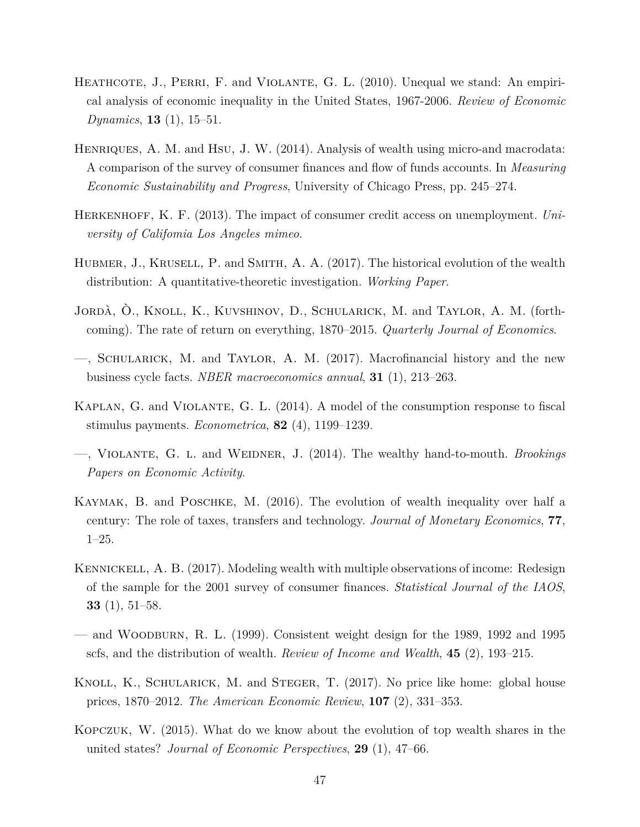- HEATHCOTE, J., PERRI, F. and VIOLANTE, G. L. (2010). Unequal we stand: An empirical analysis of economic inequality in the United States, 1967-2006. *Review of Economic Dynamics*, **13** (1), 15–51.
- HENRIQUES, A. M. and HSU, J. W. (2014). Analysis of wealth using micro-and macrodata: A comparison of the survey of consumer finances and flow of funds accounts. In *Measuring Economic Sustainability and Progress*, University of Chicago Press, pp. 245–274.
- Herkenhoff, K. F. (2013). The impact of consumer credit access on unemployment. *University of Califomia Los Angeles mimeo*.
- HUBMER, J., KRUSELL, P. and SMITH, A. A. (2017). The historical evolution of the wealth distribution: A quantitative-theoretic investigation. *Working Paper*.
- Jordà, Ò., Knoll, K., Kuvshinov, D., Schularick, M. and Taylor, A. M. (forthcoming). The rate of return on everything, 1870–2015. *Quarterly Journal of Economics*.
- —, Schularick, M. and Taylor, A. M. (2017). Macrofinancial history and the new business cycle facts. *NBER macroeconomics annual*, **31** (1), 213–263.
- Kaplan, G. and Violante, G. L. (2014). A model of the consumption response to fiscal stimulus payments. *Econometrica*, **82** (4), 1199–1239.
- —, Violante, G. l. and Weidner, J. (2014). The wealthy hand-to-mouth. *Brookings Papers on Economic Activity*.
- Kaymak, B. and Poschke, M. (2016). The evolution of wealth inequality over half a century: The role of taxes, transfers and technology. *Journal of Monetary Economics*, **77**, 1–25.
- KENNICKELL, A. B. (2017). Modeling wealth with multiple observations of income: Redesign of the sample for the 2001 survey of consumer finances. *Statistical Journal of the IAOS*, **33** (1), 51–58.
- and WOODBURN, R. L.  $(1999)$ . Consistent weight design for the 1989, 1992 and 1995 scfs, and the distribution of wealth. *Review of Income and Wealth*, **45** (2), 193–215.
- KNOLL, K., SCHULARICK, M. and STEGER, T. (2017). No price like home: global house prices, 1870–2012. *The American Economic Review*, **107** (2), 331–353.
- Kopczuk, W. (2015). What do we know about the evolution of top wealth shares in the united states? *Journal of Economic Perspectives*, **29** (1), 47–66.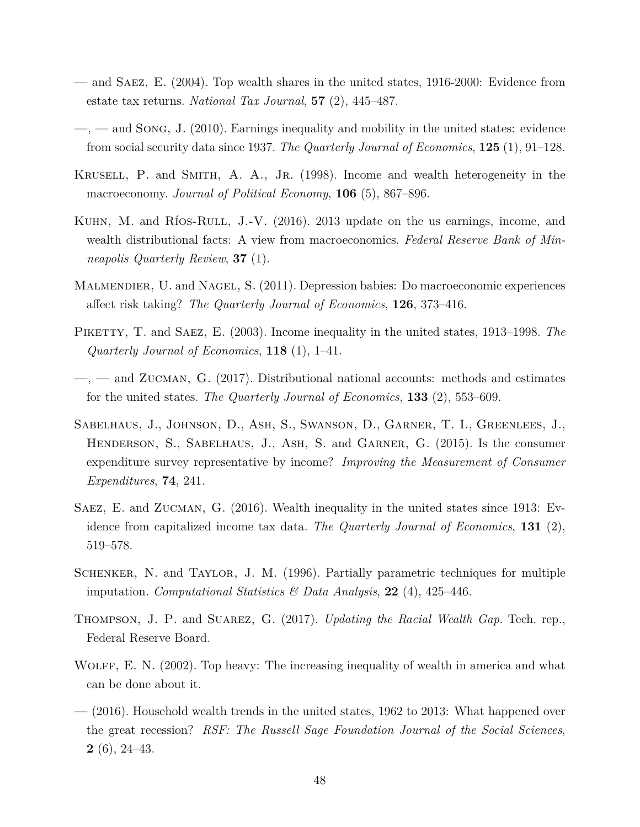- and Saez, E. (2004). Top wealth shares in the united states, 1916-2000: Evidence from estate tax returns. *National Tax Journal*, **57** (2), 445–487.
- $\longrightarrow$ ,  $\longrightarrow$  and SONG, J. (2010). Earnings inequality and mobility in the united states: evidence from social security data since 1937. *The Quarterly Journal of Economics*, **125** (1), 91–128.
- Krusell, P. and Smith, A. A., Jr. (1998). Income and wealth heterogeneity in the macroeconomy. *Journal of Political Economy*, **106** (5), 867–896.
- KUHN, M. and Ríos-RULL, J.-V. (2016). 2013 update on the us earnings, income, and wealth distributional facts: A view from macroeconomics. *Federal Reserve Bank of Minneapolis Quarterly Review*, **37** (1).
- Malmendier, U. and Nagel, S. (2011). Depression babies: Do macroeconomic experiences affect risk taking? *The Quarterly Journal of Economics*, **126**, 373–416.
- PIKETTY, T. and SAEZ, E. (2003). Income inequality in the united states, 1913–1998. The *Quarterly Journal of Economics*, **118** (1), 1–41.
- $\sim$ ,  $\sim$  and ZUCMAN, G. (2017). Distributional national accounts: methods and estimates for the united states. *The Quarterly Journal of Economics*, **133** (2), 553–609.
- Sabelhaus, J., Johnson, D., Ash, S., Swanson, D., Garner, T. I., Greenlees, J., Henderson, S., Sabelhaus, J., Ash, S. and Garner, G. (2015). Is the consumer expenditure survey representative by income? *Improving the Measurement of Consumer Expenditures*, **74**, 241.
- Saez, E. and Zucman, G. (2016). Wealth inequality in the united states since 1913: Evidence from capitalized income tax data. *The Quarterly Journal of Economics*, **131** (2), 519–578.
- Schenker, N. and Taylor, J. M. (1996). Partially parametric techniques for multiple imputation. *Computational Statistics & Data Analysis*, **22** (4), 425–446.
- Thompson, J. P. and Suarez, G. (2017). *Updating the Racial Wealth Gap*. Tech. rep., Federal Reserve Board.
- WOLFF, E. N. (2002). Top heavy: The increasing inequality of wealth in america and what can be done about it.
- (2016). Household wealth trends in the united states, 1962 to 2013: What happened over the great recession? *RSF: The Russell Sage Foundation Journal of the Social Sciences*, **2** (6), 24–43.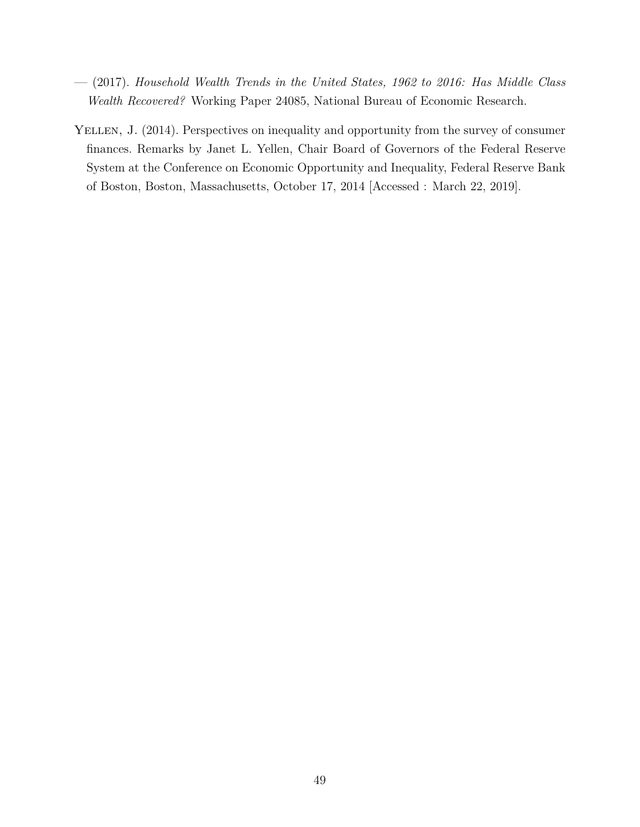- (2017). *Household Wealth Trends in the United States, 1962 to 2016: Has Middle Class Wealth Recovered?* Working Paper 24085, National Bureau of Economic Research.
- YELLEN, J. (2014). Perspectives on inequality and opportunity from the survey of consumer finances. Remarks by Janet L. Yellen, Chair Board of Governors of the Federal Reserve System at the Conference on Economic Opportunity and Inequality, Federal Reserve Bank of Boston, Boston, Massachusetts, October 17, 2014 [Accessed : March 22, 2019].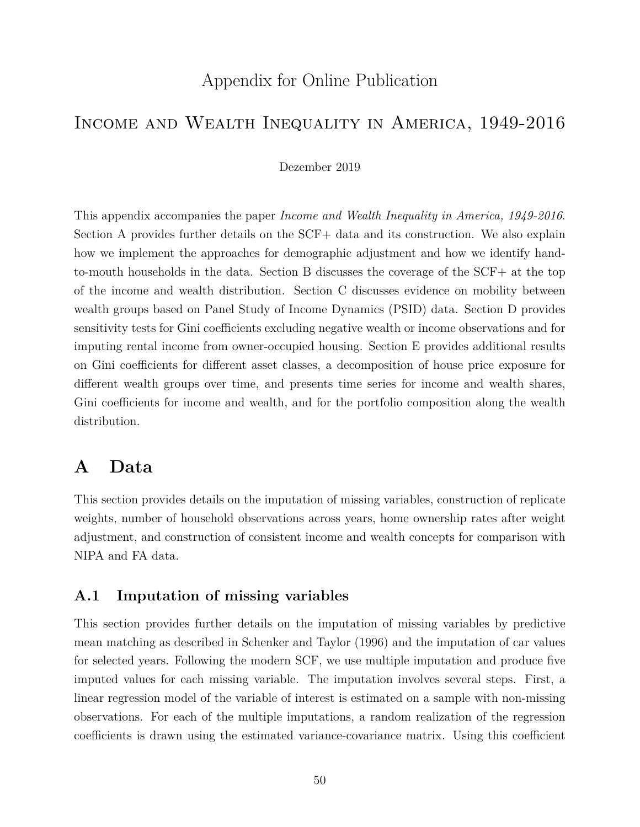# Appendix for Online Publication

## Income and Wealth Inequality in America, 1949-2016

#### Dezember 2019

This appendix accompanies the paper *Income and Wealth Inequality in America, 1949-2016*. Section A provides further details on the SCF+ data and its construction. We also explain how we implement the approaches for demographic adjustment and how we identify handto-mouth households in the data. Section B discusses the coverage of the SCF+ at the top of the income and wealth distribution. Section C discusses evidence on mobility between wealth groups based on Panel Study of Income Dynamics (PSID) data. Section D provides sensitivity tests for Gini coefficients excluding negative wealth or income observations and for imputing rental income from owner-occupied housing. Section E provides additional results on Gini coefficients for different asset classes, a decomposition of house price exposure for different wealth groups over time, and presents time series for income and wealth shares, Gini coefficients for income and wealth, and for the portfolio composition along the wealth distribution.

# **A Data**

This section provides details on the imputation of missing variables, construction of replicate weights, number of household observations across years, home ownership rates after weight adjustment, and construction of consistent income and wealth concepts for comparison with NIPA and FA data.

## **A.1 Imputation of missing variables**

This section provides further details on the imputation of missing variables by predictive mean matching as described in Schenker and Taylor (1996) and the imputation of car values for selected years. Following the modern SCF, we use multiple imputation and produce five imputed values for each missing variable. The imputation involves several steps. First, a linear regression model of the variable of interest is estimated on a sample with non-missing observations. For each of the multiple imputations, a random realization of the regression coefficients is drawn using the estimated variance-covariance matrix. Using this coefficient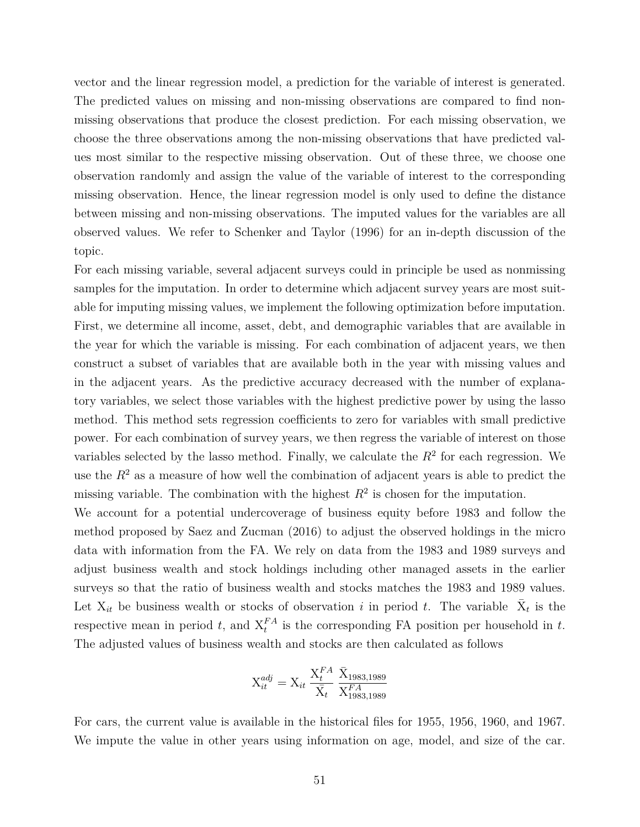vector and the linear regression model, a prediction for the variable of interest is generated. The predicted values on missing and non-missing observations are compared to find nonmissing observations that produce the closest prediction. For each missing observation, we choose the three observations among the non-missing observations that have predicted values most similar to the respective missing observation. Out of these three, we choose one observation randomly and assign the value of the variable of interest to the corresponding missing observation. Hence, the linear regression model is only used to define the distance between missing and non-missing observations. The imputed values for the variables are all observed values. We refer to Schenker and Taylor (1996) for an in-depth discussion of the topic.

For each missing variable, several adjacent surveys could in principle be used as nonmissing samples for the imputation. In order to determine which adjacent survey years are most suitable for imputing missing values, we implement the following optimization before imputation. First, we determine all income, asset, debt, and demographic variables that are available in the year for which the variable is missing. For each combination of adjacent years, we then construct a subset of variables that are available both in the year with missing values and in the adjacent years. As the predictive accuracy decreased with the number of explanatory variables, we select those variables with the highest predictive power by using the lasso method. This method sets regression coefficients to zero for variables with small predictive power. For each combination of survey years, we then regress the variable of interest on those variables selected by the lasso method. Finally, we calculate the  $R<sup>2</sup>$  for each regression. We use the  $R^2$  as a measure of how well the combination of adjacent years is able to predict the missing variable. The combination with the highest  $R^2$  is chosen for the imputation.

We account for a potential undercoverage of business equity before 1983 and follow the method proposed by Saez and Zucman (2016) to adjust the observed holdings in the micro data with information from the FA. We rely on data from the 1983 and 1989 surveys and adjust business wealth and stock holdings including other managed assets in the earlier surveys so that the ratio of business wealth and stocks matches the 1983 and 1989 values. Let  $X_{it}$  be business wealth or stocks of observation *i* in period *t*. The variable  $\bar{X}_t$  is the respective mean in period *t*, and  $X_t^{FA}$  is the corresponding FA position per household in *t*. The adjusted values of business wealth and stocks are then calculated as follows

$$
\mathbf{X}_{it}^{adj} = \mathbf{X}_{it} \frac{\mathbf{X}_{t}^{FA}}{\bar{\mathbf{X}}_{t}} \frac{\bar{\mathbf{X}}_{1983,1989}}{\mathbf{X}_{1983,1989}^{FA}}
$$

For cars, the current value is available in the historical files for 1955, 1956, 1960, and 1967. We impute the value in other years using information on age, model, and size of the car.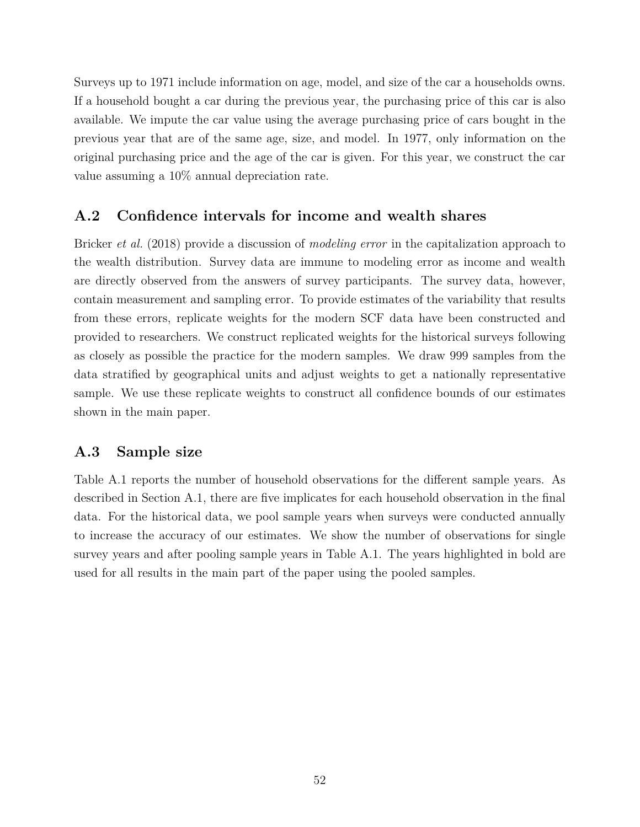Surveys up to 1971 include information on age, model, and size of the car a households owns. If a household bought a car during the previous year, the purchasing price of this car is also available. We impute the car value using the average purchasing price of cars bought in the previous year that are of the same age, size, and model. In 1977, only information on the original purchasing price and the age of the car is given. For this year, we construct the car value assuming a 10% annual depreciation rate.

## **A.2 Confidence intervals for income and wealth shares**

Bricker *et al.* (2018) provide a discussion of *modeling error* in the capitalization approach to the wealth distribution. Survey data are immune to modeling error as income and wealth are directly observed from the answers of survey participants. The survey data, however, contain measurement and sampling error. To provide estimates of the variability that results from these errors, replicate weights for the modern SCF data have been constructed and provided to researchers. We construct replicated weights for the historical surveys following as closely as possible the practice for the modern samples. We draw 999 samples from the data stratified by geographical units and adjust weights to get a nationally representative sample. We use these replicate weights to construct all confidence bounds of our estimates shown in the main paper.

## **A.3 Sample size**

Table A.1 reports the number of household observations for the different sample years. As described in Section A.1, there are five implicates for each household observation in the final data. For the historical data, we pool sample years when surveys were conducted annually to increase the accuracy of our estimates. We show the number of observations for single survey years and after pooling sample years in Table A.1. The years highlighted in bold are used for all results in the main part of the paper using the pooled samples.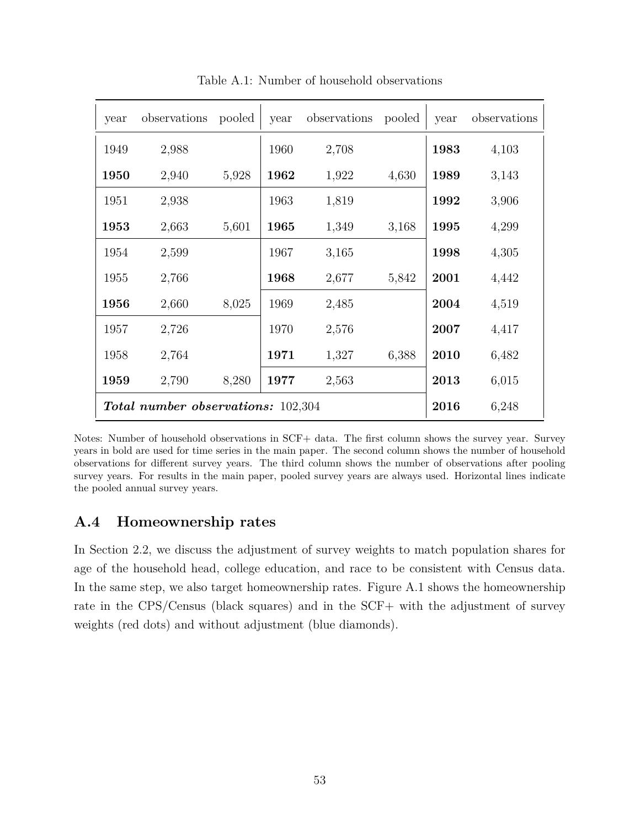| year                                      | observations | pooled | year | observations | pooled | year | observations |
|-------------------------------------------|--------------|--------|------|--------------|--------|------|--------------|
| 1949                                      | 2,988        |        | 1960 | 2,708        |        | 1983 | 4,103        |
| 1950                                      | 2,940        | 5,928  | 1962 | 1,922        | 4,630  | 1989 | 3,143        |
| 1951                                      | 2,938        |        | 1963 | 1,819        |        | 1992 | 3,906        |
| 1953                                      | 2,663        | 5,601  | 1965 | 1,349        | 3,168  | 1995 | 4,299        |
| 1954                                      | 2,599        |        | 1967 | 3,165        |        | 1998 | 4,305        |
| 1955                                      | 2,766        |        | 1968 | 2,677        | 5,842  | 2001 | 4,442        |
| 1956                                      | 2,660        | 8,025  | 1969 | 2,485        |        | 2004 | 4,519        |
| 1957                                      | 2,726        |        | 1970 | 2,576        |        | 2007 | 4,417        |
| 1958                                      | 2,764        |        | 1971 | 1,327        | 6,388  | 2010 | 6,482        |
| 1959                                      | 2,790        | 8,280  | 1977 | 2,563        |        | 2013 | 6,015        |
| <b>Total number observations:</b> 102,304 |              |        |      | 2016         | 6,248  |      |              |

Table A.1: Number of household observations

Notes: Number of household observations in SCF+ data. The first column shows the survey year. Survey years in bold are used for time series in the main paper. The second column shows the number of household observations for different survey years. The third column shows the number of observations after pooling survey years. For results in the main paper, pooled survey years are always used. Horizontal lines indicate the pooled annual survey years.

## **A.4 Homeownership rates**

In Section 2.2, we discuss the adjustment of survey weights to match population shares for age of the household head, college education, and race to be consistent with Census data. In the same step, we also target homeownership rates. Figure A.1 shows the homeownership rate in the CPS/Census (black squares) and in the SCF+ with the adjustment of survey weights (red dots) and without adjustment (blue diamonds).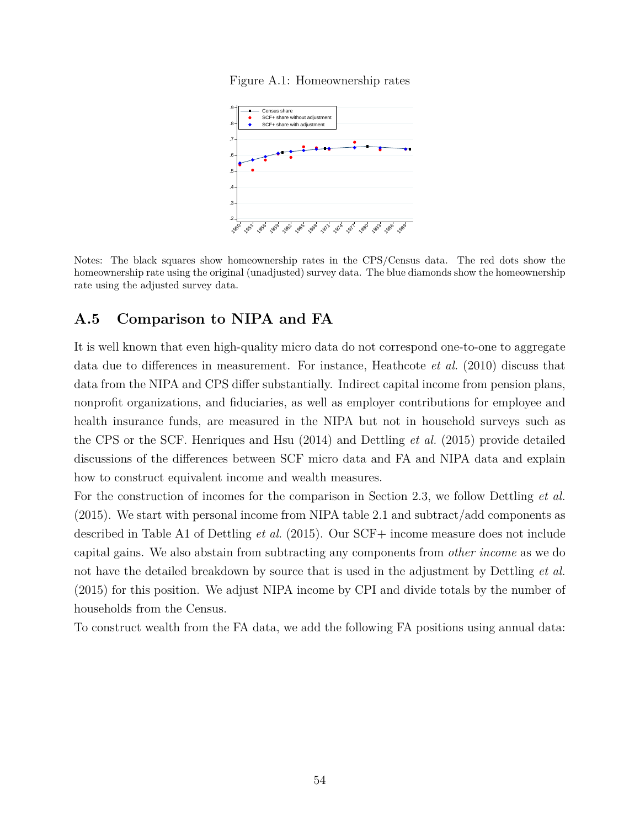



Notes: The black squares show homeownership rates in the CPS/Census data. The red dots show the homeownership rate using the original (unadjusted) survey data. The blue diamonds show the homeownership rate using the adjusted survey data.

## **A.5 Comparison to NIPA and FA**

It is well known that even high-quality micro data do not correspond one-to-one to aggregate data due to differences in measurement. For instance, Heathcote *et al.* (2010) discuss that data from the NIPA and CPS differ substantially. Indirect capital income from pension plans, nonprofit organizations, and fiduciaries, as well as employer contributions for employee and health insurance funds, are measured in the NIPA but not in household surveys such as the CPS or the SCF. Henriques and Hsu (2014) and Dettling *et al.* (2015) provide detailed discussions of the differences between SCF micro data and FA and NIPA data and explain how to construct equivalent income and wealth measures.

For the construction of incomes for the comparison in Section 2.3, we follow Dettling *et al.* (2015). We start with personal income from NIPA table 2.1 and subtract/add components as described in Table A1 of Dettling *et al.* (2015). Our SCF+ income measure does not include capital gains. We also abstain from subtracting any components from *other income* as we do not have the detailed breakdown by source that is used in the adjustment by Dettling *et al.* (2015) for this position. We adjust NIPA income by CPI and divide totals by the number of households from the Census.

To construct wealth from the FA data, we add the following FA positions using annual data: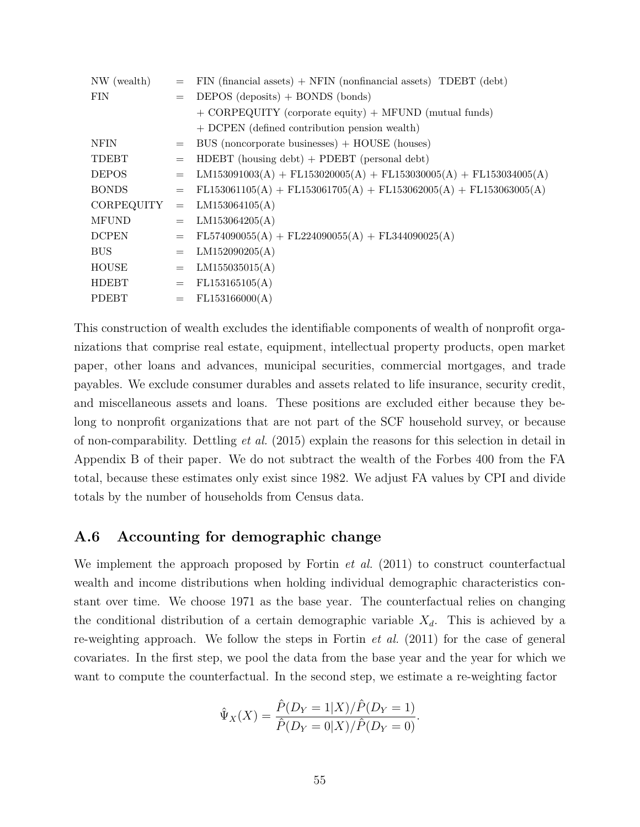| NW (wealth)       | $=$                             | $FIN$ (financial assets) + NFIN (nonfinancial assets) TDEBT (debt)  |  |  |
|-------------------|---------------------------------|---------------------------------------------------------------------|--|--|
| <b>FIN</b>        | $=$                             | DEPOS $(deposits) + BONDS (bonds)$                                  |  |  |
|                   |                                 | $+$ CORPEQUITY (corporate equity) $+$ MFUND (mutual funds)          |  |  |
|                   |                                 | + DCPEN (defined contribution pension wealth)                       |  |  |
| NFIN              | $=$                             | BUS (noncorporate businesses) $+$ HOUSE (houses)                    |  |  |
| TDEBT             | $=$                             | $HDEBT$ (housing debt) + PDEBT (personal debt)                      |  |  |
| <b>DEPOS</b>      | $=$                             | $LM153091003(A) + FL153020005(A) + FL153030005(A) + FL153034005(A)$ |  |  |
| <b>BONDS</b>      | $=$                             | $FL153061105(A) + FL153061705(A) + FL153062005(A) + FL153063005(A)$ |  |  |
| <b>CORPEQUITY</b> | $=$                             | LM153064105(A)                                                      |  |  |
| <b>MFUND</b>      | $=$                             | LM153064205(A)                                                      |  |  |
| <b>DCPEN</b>      | $=$                             | $FL574090055(A) + FL224090055(A) + FL344090025(A)$                  |  |  |
| <b>BUS</b>        | $=$                             | LM152090205(A)                                                      |  |  |
| <b>HOUSE</b>      | $\displaystyle \qquad \qquad =$ | LM155035015(A)                                                      |  |  |
| HDEBT             | $=$                             | FL153165105(A)                                                      |  |  |
| PDEBT             | $=$                             | FL153166000(A)                                                      |  |  |

This construction of wealth excludes the identifiable components of wealth of nonprofit organizations that comprise real estate, equipment, intellectual property products, open market paper, other loans and advances, municipal securities, commercial mortgages, and trade payables. We exclude consumer durables and assets related to life insurance, security credit, and miscellaneous assets and loans. These positions are excluded either because they belong to nonprofit organizations that are not part of the SCF household survey, or because of non-comparability. Dettling *et al.* (2015) explain the reasons for this selection in detail in Appendix B of their paper. We do not subtract the wealth of the Forbes 400 from the FA total, because these estimates only exist since 1982. We adjust FA values by CPI and divide totals by the number of households from Census data.

## **A.6 Accounting for demographic change**

We implement the approach proposed by Fortin *et al.* (2011) to construct counterfactual wealth and income distributions when holding individual demographic characteristics constant over time. We choose 1971 as the base year. The counterfactual relies on changing the conditional distribution of a certain demographic variable  $X_d$ . This is achieved by a re-weighting approach. We follow the steps in Fortin *et al.* (2011) for the case of general covariates. In the first step, we pool the data from the base year and the year for which we want to compute the counterfactual. In the second step, we estimate a re-weighting factor

$$
\hat{\Psi}_X(X) = \frac{\hat{P}(D_Y = 1|X)/\hat{P}(D_Y = 1)}{\hat{P}(D_Y = 0|X)/\hat{P}(D_Y = 0)}.
$$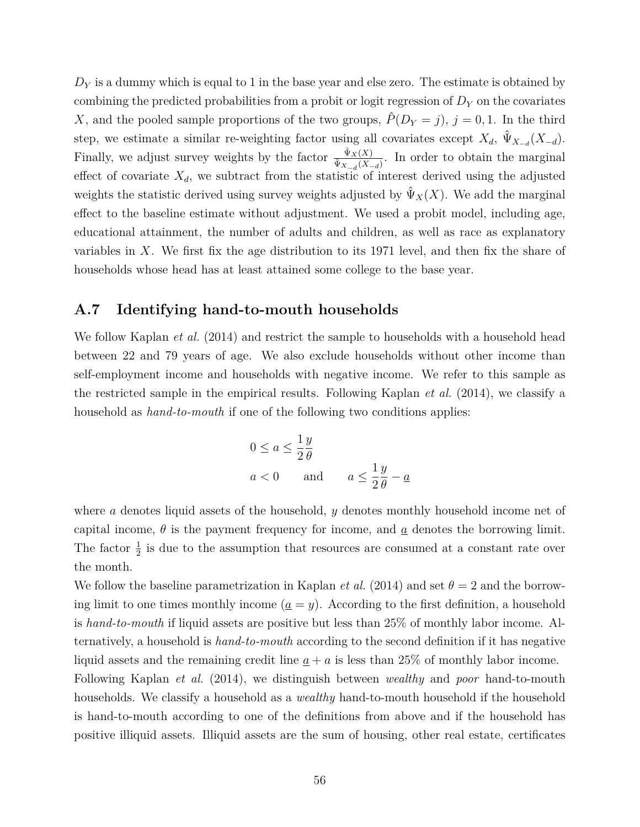$D<sub>Y</sub>$  is a dummy which is equal to 1 in the base year and else zero. The estimate is obtained by combining the predicted probabilities from a probit or logit regression of *D<sup>Y</sup>* on the covariates *X*, and the pooled sample proportions of the two groups,  $\hat{P}(D_Y = j)$ ,  $j = 0, 1$ . In the third step, we estimate a similar re-weighting factor using all covariates except  $X_d$ ,  $\hat{\Psi}_{X_{-d}}(X_{-d})$ . Finally, we adjust survey weights by the factor  $\frac{\hat{\Psi}_X(X)}{\hat{\Psi}_Y(X)}$  $\frac{\Psi_X(\lambda)}{\Psi_{X-d}(X-d)}$ . In order to obtain the marginal effect of covariate  $X_d$ , we subtract from the statistic of interest derived using the adjusted weights the statistic derived using survey weights adjusted by  $\hat{\Psi}_X(X)$ . We add the marginal effect to the baseline estimate without adjustment. We used a probit model, including age, educational attainment, the number of adults and children, as well as race as explanatory variables in *X*. We first fix the age distribution to its 1971 level, and then fix the share of households whose head has at least attained some college to the base year.

### **A.7 Identifying hand-to-mouth households**

We follow Kaplan *et al.* (2014) and restrict the sample to households with a household head between 22 and 79 years of age. We also exclude households without other income than self-employment income and households with negative income. We refer to this sample as the restricted sample in the empirical results. Following Kaplan *et al.* (2014), we classify a household as *hand-to-mouth* if one of the following two conditions applies:

$$
0 \le a \le \frac{1}{2} \frac{y}{\theta}
$$
  

$$
a < 0 \qquad \text{and} \qquad a \le \frac{1}{2} \frac{y}{\theta} - \underline{a}
$$

where *a* denotes liquid assets of the household, *y* denotes monthly household income net of capital income,  $\theta$  is the payment frequency for income, and  $\alpha$  denotes the borrowing limit. The factor  $\frac{1}{2}$  is due to the assumption that resources are consumed at a constant rate over the month.

We follow the baseline parametrization in Kaplan *et al.* (2014) and set  $\theta = 2$  and the borrowing limit to one times monthly income  $(a = y)$ . According to the first definition, a household is *hand-to-mouth* if liquid assets are positive but less than 25% of monthly labor income. Alternatively, a household is *hand-to-mouth* according to the second definition if it has negative liquid assets and the remaining credit line  $a + a$  is less than 25% of monthly labor income.

Following Kaplan *et al.* (2014), we distinguish between *wealthy* and *poor* hand-to-mouth households. We classify a household as a *wealthy* hand-to-mouth household if the household is hand-to-mouth according to one of the definitions from above and if the household has positive illiquid assets. Illiquid assets are the sum of housing, other real estate, certificates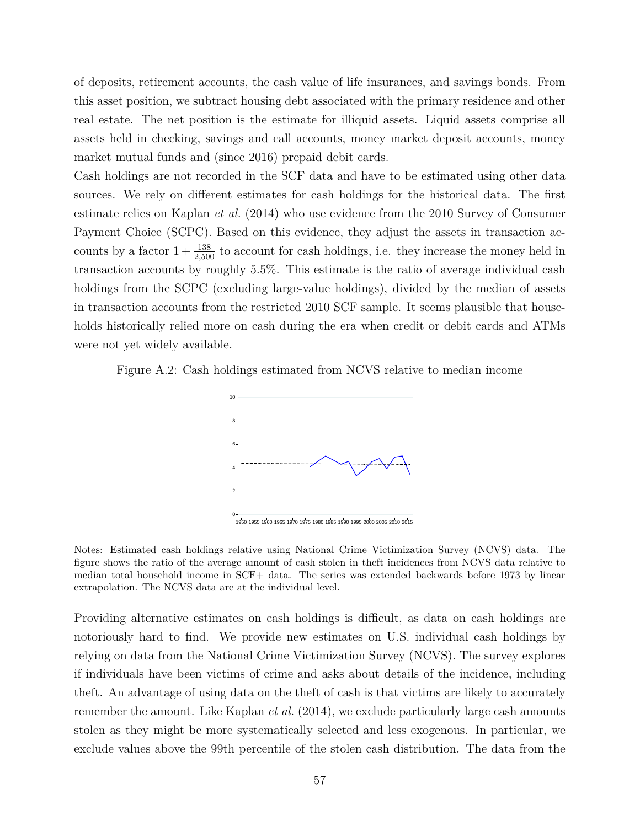of deposits, retirement accounts, the cash value of life insurances, and savings bonds. From this asset position, we subtract housing debt associated with the primary residence and other real estate. The net position is the estimate for illiquid assets. Liquid assets comprise all assets held in checking, savings and call accounts, money market deposit accounts, money market mutual funds and (since 2016) prepaid debit cards.

Cash holdings are not recorded in the SCF data and have to be estimated using other data sources. We rely on different estimates for cash holdings for the historical data. The first estimate relies on Kaplan *et al.* (2014) who use evidence from the 2010 Survey of Consumer Payment Choice (SCPC). Based on this evidence, they adjust the assets in transaction accounts by a factor  $1 + \frac{138}{2,500}$  to account for cash holdings, i.e. they increase the money held in transaction accounts by roughly 5.5%. This estimate is the ratio of average individual cash holdings from the SCPC (excluding large-value holdings), divided by the median of assets in transaction accounts from the restricted 2010 SCF sample. It seems plausible that households historically relied more on cash during the era when credit or debit cards and ATMs were not yet widely available.

Figure A.2: Cash holdings estimated from NCVS relative to median income



Notes: Estimated cash holdings relative using National Crime Victimization Survey (NCVS) data. The figure shows the ratio of the average amount of cash stolen in theft incidences from NCVS data relative to median total household income in SCF+ data. The series was extended backwards before 1973 by linear extrapolation. The NCVS data are at the individual level.

Providing alternative estimates on cash holdings is difficult, as data on cash holdings are notoriously hard to find. We provide new estimates on U.S. individual cash holdings by relying on data from the National Crime Victimization Survey (NCVS). The survey explores if individuals have been victims of crime and asks about details of the incidence, including theft. An advantage of using data on the theft of cash is that victims are likely to accurately remember the amount. Like Kaplan *et al.* (2014), we exclude particularly large cash amounts stolen as they might be more systematically selected and less exogenous. In particular, we exclude values above the 99th percentile of the stolen cash distribution. The data from the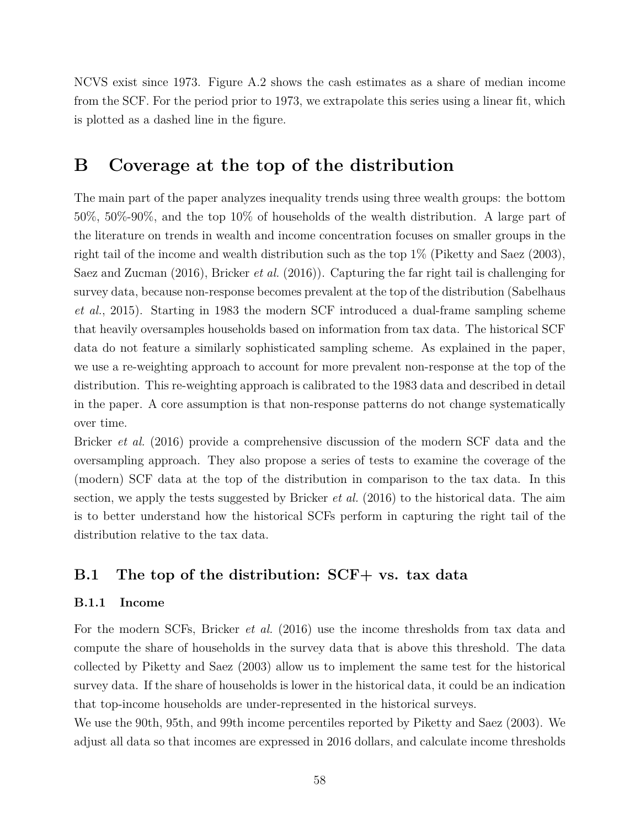NCVS exist since 1973. Figure A.2 shows the cash estimates as a share of median income from the SCF. For the period prior to 1973, we extrapolate this series using a linear fit, which is plotted as a dashed line in the figure.

# **B Coverage at the top of the distribution**

The main part of the paper analyzes inequality trends using three wealth groups: the bottom 50%, 50%-90%, and the top 10% of households of the wealth distribution. A large part of the literature on trends in wealth and income concentration focuses on smaller groups in the right tail of the income and wealth distribution such as the top 1% (Piketty and Saez (2003), Saez and Zucman (2016), Bricker *et al.* (2016)). Capturing the far right tail is challenging for survey data, because non-response becomes prevalent at the top of the distribution (Sabelhaus *et al.*, 2015). Starting in 1983 the modern SCF introduced a dual-frame sampling scheme that heavily oversamples households based on information from tax data. The historical SCF data do not feature a similarly sophisticated sampling scheme. As explained in the paper, we use a re-weighting approach to account for more prevalent non-response at the top of the distribution. This re-weighting approach is calibrated to the 1983 data and described in detail in the paper. A core assumption is that non-response patterns do not change systematically over time.

Bricker *et al.* (2016) provide a comprehensive discussion of the modern SCF data and the oversampling approach. They also propose a series of tests to examine the coverage of the (modern) SCF data at the top of the distribution in comparison to the tax data. In this section, we apply the tests suggested by Bricker *et al.* (2016) to the historical data. The aim is to better understand how the historical SCFs perform in capturing the right tail of the distribution relative to the tax data.

## **B.1 The top of the distribution: SCF+ vs. tax data**

#### **B.1.1 Income**

For the modern SCFs, Bricker *et al.* (2016) use the income thresholds from tax data and compute the share of households in the survey data that is above this threshold. The data collected by Piketty and Saez (2003) allow us to implement the same test for the historical survey data. If the share of households is lower in the historical data, it could be an indication that top-income households are under-represented in the historical surveys.

We use the 90th, 95th, and 99th income percentiles reported by Piketty and Saez (2003). We adjust all data so that incomes are expressed in 2016 dollars, and calculate income thresholds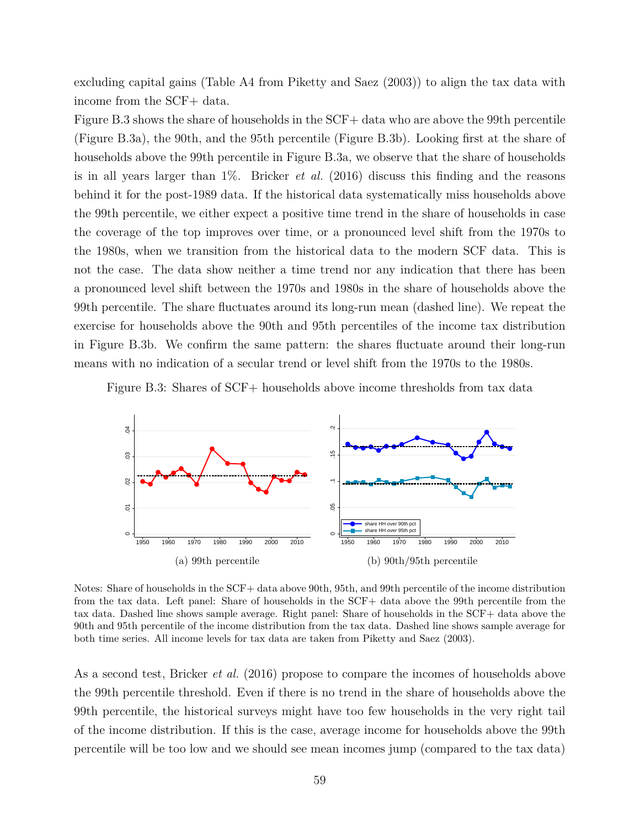excluding capital gains (Table A4 from Piketty and Saez (2003)) to align the tax data with income from the SCF+ data.

Figure B.3 shows the share of households in the SCF+ data who are above the 99th percentile (Figure B.3a), the 90th, and the 95th percentile (Figure B.3b). Looking first at the share of households above the 99th percentile in Figure B.3a, we observe that the share of households is in all years larger than 1%. Bricker *et al.* (2016) discuss this finding and the reasons behind it for the post-1989 data. If the historical data systematically miss households above the 99th percentile, we either expect a positive time trend in the share of households in case the coverage of the top improves over time, or a pronounced level shift from the 1970s to the 1980s, when we transition from the historical data to the modern SCF data. This is not the case. The data show neither a time trend nor any indication that there has been a pronounced level shift between the 1970s and 1980s in the share of households above the 99th percentile. The share fluctuates around its long-run mean (dashed line). We repeat the exercise for households above the 90th and 95th percentiles of the income tax distribution in Figure B.3b. We confirm the same pattern: the shares fluctuate around their long-run means with no indication of a secular trend or level shift from the 1970s to the 1980s.

Figure B.3: Shares of SCF+ households above income thresholds from tax data



Notes: Share of households in the SCF+ data above 90th, 95th, and 99th percentile of the income distribution from the tax data. Left panel: Share of households in the SCF+ data above the 99th percentile from the tax data. Dashed line shows sample average. Right panel: Share of households in the SCF+ data above the 90th and 95th percentile of the income distribution from the tax data. Dashed line shows sample average for both time series. All income levels for tax data are taken from Piketty and Saez (2003).

As a second test, Bricker *et al.* (2016) propose to compare the incomes of households above the 99th percentile threshold. Even if there is no trend in the share of households above the 99th percentile, the historical surveys might have too few households in the very right tail of the income distribution. If this is the case, average income for households above the 99th percentile will be too low and we should see mean incomes jump (compared to the tax data)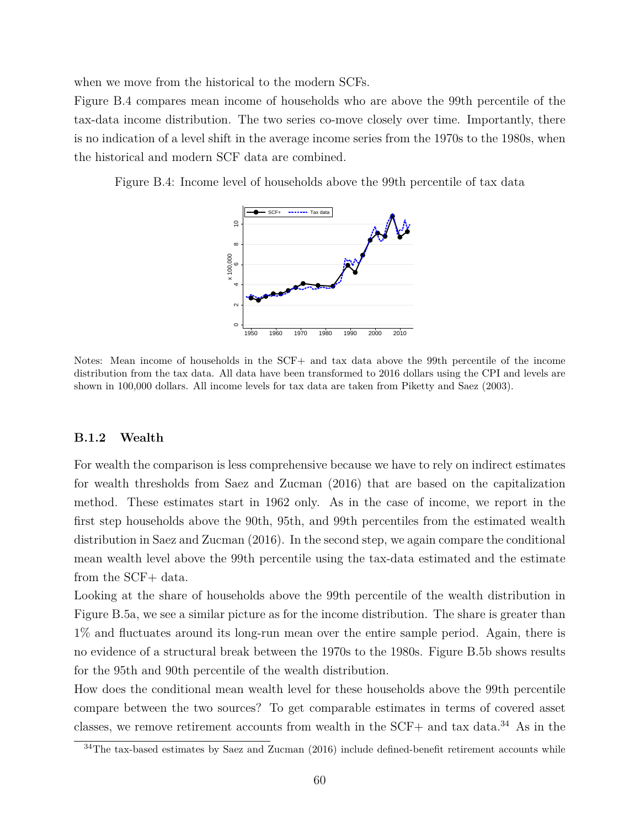when we move from the historical to the modern SCFs.

Figure B.4 compares mean income of households who are above the 99th percentile of the tax-data income distribution. The two series co-move closely over time. Importantly, there is no indication of a level shift in the average income series from the 1970s to the 1980s, when the historical and modern SCF data are combined.

Figure B.4: Income level of households above the 99th percentile of tax data



Notes: Mean income of households in the SCF+ and tax data above the 99th percentile of the income distribution from the tax data. All data have been transformed to 2016 dollars using the CPI and levels are shown in 100,000 dollars. All income levels for tax data are taken from Piketty and Saez (2003).

#### **B.1.2 Wealth**

For wealth the comparison is less comprehensive because we have to rely on indirect estimates for wealth thresholds from Saez and Zucman (2016) that are based on the capitalization method. These estimates start in 1962 only. As in the case of income, we report in the first step households above the 90th, 95th, and 99th percentiles from the estimated wealth distribution in Saez and Zucman (2016). In the second step, we again compare the conditional mean wealth level above the 99th percentile using the tax-data estimated and the estimate from the SCF+ data.

Looking at the share of households above the 99th percentile of the wealth distribution in Figure B.5a, we see a similar picture as for the income distribution. The share is greater than 1% and fluctuates around its long-run mean over the entire sample period. Again, there is no evidence of a structural break between the 1970s to the 1980s. Figure B.5b shows results for the 95th and 90th percentile of the wealth distribution.

How does the conditional mean wealth level for these households above the 99th percentile compare between the two sources? To get comparable estimates in terms of covered asset classes, we remove retirement accounts from wealth in the SCF+ and tax data. $34$  As in the

<sup>&</sup>lt;sup>34</sup>The tax-based estimates by Saez and Zucman (2016) include defined-benefit retirement accounts while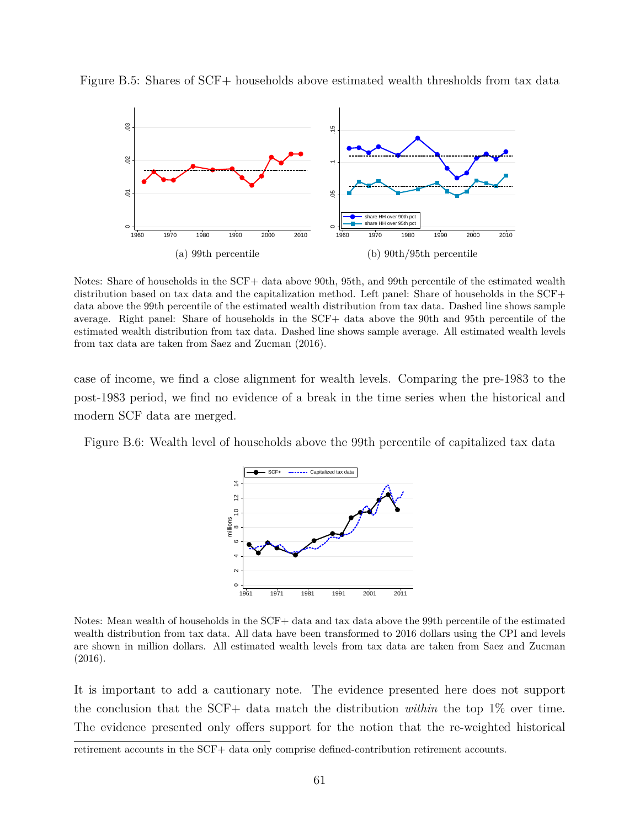

Figure B.5: Shares of SCF+ households above estimated wealth thresholds from tax data

Notes: Share of households in the SCF+ data above 90th, 95th, and 99th percentile of the estimated wealth distribution based on tax data and the capitalization method. Left panel: Share of households in the SCF+ data above the 99th percentile of the estimated wealth distribution from tax data. Dashed line shows sample average. Right panel: Share of households in the SCF+ data above the 90th and 95th percentile of the estimated wealth distribution from tax data. Dashed line shows sample average. All estimated wealth levels from tax data are taken from Saez and Zucman (2016).

case of income, we find a close alignment for wealth levels. Comparing the pre-1983 to the post-1983 period, we find no evidence of a break in the time series when the historical and modern SCF data are merged.

Figure B.6: Wealth level of households above the 99th percentile of capitalized tax data



Notes: Mean wealth of households in the SCF+ data and tax data above the 99th percentile of the estimated wealth distribution from tax data. All data have been transformed to 2016 dollars using the CPI and levels are shown in million dollars. All estimated wealth levels from tax data are taken from Saez and Zucman (2016).

It is important to add a cautionary note. The evidence presented here does not support the conclusion that the SCF+ data match the distribution *within* the top 1% over time. The evidence presented only offers support for the notion that the re-weighted historical

retirement accounts in the SCF+ data only comprise defined-contribution retirement accounts.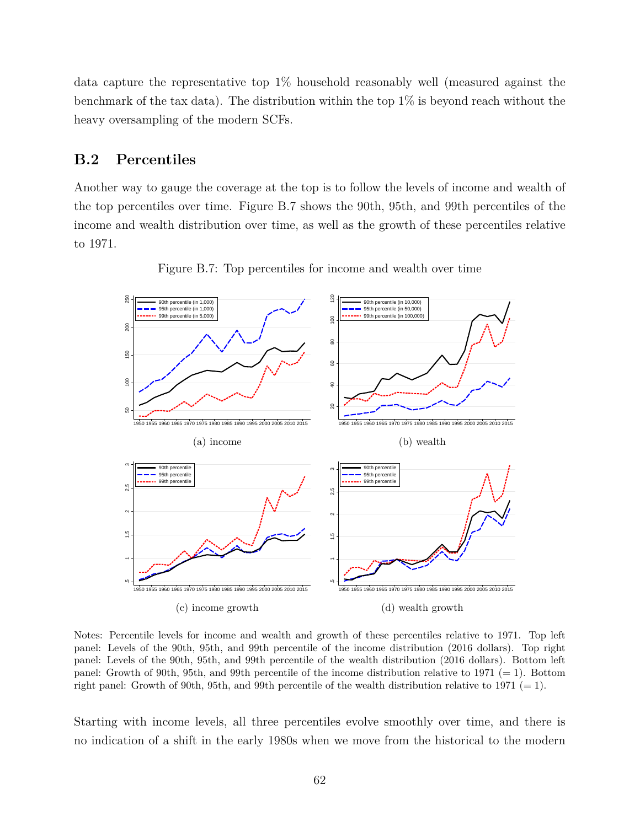data capture the representative top 1% household reasonably well (measured against the benchmark of the tax data). The distribution within the top 1% is beyond reach without the heavy oversampling of the modern SCFs.

## **B.2 Percentiles**

Another way to gauge the coverage at the top is to follow the levels of income and wealth of the top percentiles over time. Figure B.7 shows the 90th, 95th, and 99th percentiles of the income and wealth distribution over time, as well as the growth of these percentiles relative to 1971.



Figure B.7: Top percentiles for income and wealth over time

Notes: Percentile levels for income and wealth and growth of these percentiles relative to 1971. Top left panel: Levels of the 90th, 95th, and 99th percentile of the income distribution (2016 dollars). Top right panel: Levels of the 90th, 95th, and 99th percentile of the wealth distribution (2016 dollars). Bottom left panel: Growth of 90th, 95th, and 99th percentile of the income distribution relative to 1971 ( $= 1$ ). Bottom right panel: Growth of 90th, 95th, and 99th percentile of the wealth distribution relative to 1971 (= 1).

Starting with income levels, all three percentiles evolve smoothly over time, and there is no indication of a shift in the early 1980s when we move from the historical to the modern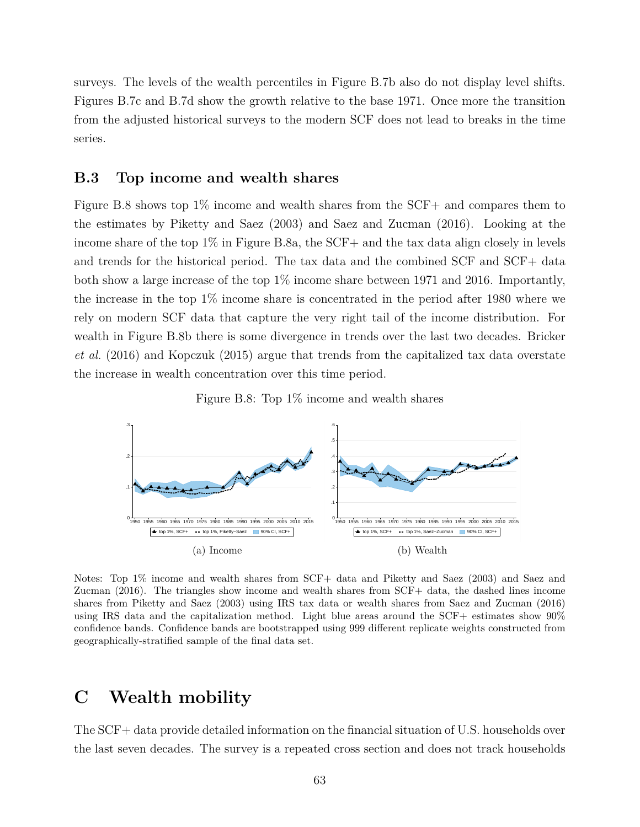surveys. The levels of the wealth percentiles in Figure B.7b also do not display level shifts. Figures B.7c and B.7d show the growth relative to the base 1971. Once more the transition from the adjusted historical surveys to the modern SCF does not lead to breaks in the time series.

### **B.3 Top income and wealth shares**

Figure B.8 shows top 1% income and wealth shares from the SCF+ and compares them to the estimates by Piketty and Saez (2003) and Saez and Zucman (2016). Looking at the income share of the top 1% in Figure B.8a, the SCF+ and the tax data align closely in levels and trends for the historical period. The tax data and the combined SCF and SCF+ data both show a large increase of the top 1% income share between 1971 and 2016. Importantly, the increase in the top 1% income share is concentrated in the period after 1980 where we rely on modern SCF data that capture the very right tail of the income distribution. For wealth in Figure B.8b there is some divergence in trends over the last two decades. Bricker *et al.* (2016) and Kopczuk (2015) argue that trends from the capitalized tax data overstate the increase in wealth concentration over this time period.

Figure B.8: Top 1% income and wealth shares



Notes: Top 1% income and wealth shares from SCF+ data and Piketty and Saez (2003) and Saez and Zucman (2016). The triangles show income and wealth shares from SCF+ data, the dashed lines income shares from Piketty and Saez (2003) using IRS tax data or wealth shares from Saez and Zucman (2016) using IRS data and the capitalization method. Light blue areas around the SCF+ estimates show 90% confidence bands. Confidence bands are bootstrapped using 999 different replicate weights constructed from geographically-stratified sample of the final data set.

# **C Wealth mobility**

The SCF+ data provide detailed information on the financial situation of U.S. households over the last seven decades. The survey is a repeated cross section and does not track households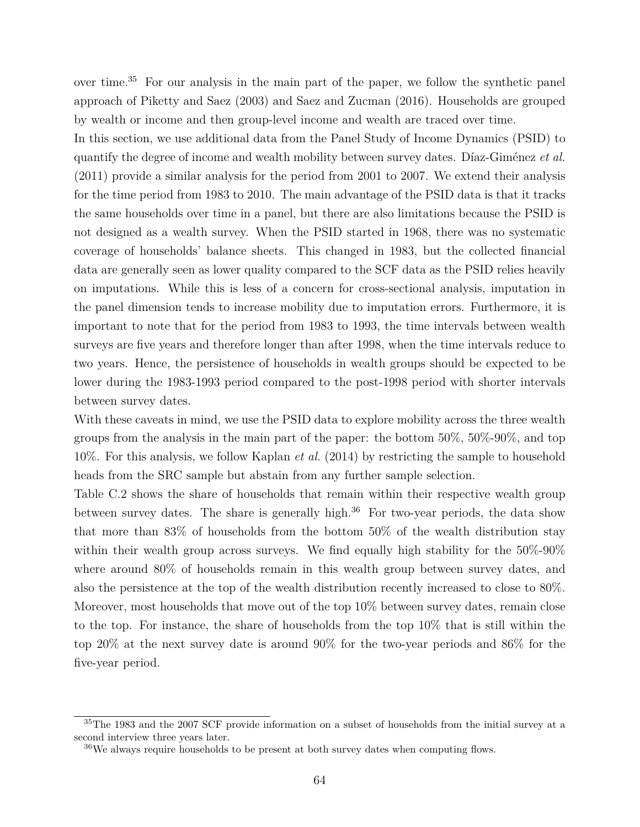over time.<sup>35</sup> For our analysis in the main part of the paper, we follow the synthetic panel approach of Piketty and Saez (2003) and Saez and Zucman (2016). Households are grouped by wealth or income and then group-level income and wealth are traced over time.

In this section, we use additional data from the Panel Study of Income Dynamics (PSID) to quantify the degree of income and wealth mobility between survey dates. Díaz-Giménez *et al.* (2011) provide a similar analysis for the period from 2001 to 2007. We extend their analysis for the time period from 1983 to 2010. The main advantage of the PSID data is that it tracks the same households over time in a panel, but there are also limitations because the PSID is not designed as a wealth survey. When the PSID started in 1968, there was no systematic coverage of households' balance sheets. This changed in 1983, but the collected financial data are generally seen as lower quality compared to the SCF data as the PSID relies heavily on imputations. While this is less of a concern for cross-sectional analysis, imputation in the panel dimension tends to increase mobility due to imputation errors. Furthermore, it is important to note that for the period from 1983 to 1993, the time intervals between wealth surveys are five years and therefore longer than after 1998, when the time intervals reduce to two years. Hence, the persistence of households in wealth groups should be expected to be lower during the 1983-1993 period compared to the post-1998 period with shorter intervals between survey dates.

With these caveats in mind, we use the PSID data to explore mobility across the three wealth groups from the analysis in the main part of the paper: the bottom 50%, 50%-90%, and top 10%. For this analysis, we follow Kaplan *et al.* (2014) by restricting the sample to household heads from the SRC sample but abstain from any further sample selection.

Table C.2 shows the share of households that remain within their respective wealth group between survey dates. The share is generally high. $36$  For two-year periods, the data show that more than 83% of households from the bottom 50% of the wealth distribution stay within their wealth group across surveys. We find equally high stability for the  $50\%$ -90% where around 80% of households remain in this wealth group between survey dates, and also the persistence at the top of the wealth distribution recently increased to close to 80%. Moreover, most households that move out of the top 10% between survey dates, remain close to the top. For instance, the share of households from the top 10% that is still within the top 20% at the next survey date is around 90% for the two-year periods and 86% for the five-year period.

<sup>&</sup>lt;sup>35</sup>The 1983 and the 2007 SCF provide information on a subset of households from the initial survey at a second interview three years later.

<sup>&</sup>lt;sup>36</sup>We always require households to be present at both survey dates when computing flows.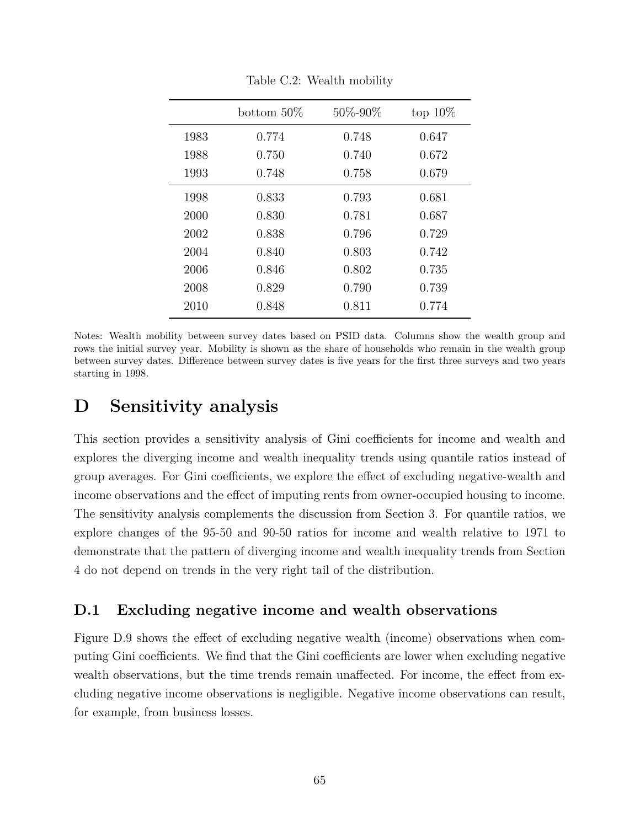|      | bottom $50\%$ | 50%-90% | top $10\%$ |
|------|---------------|---------|------------|
| 1983 | 0.774         | 0.748   | 0.647      |
| 1988 | 0.750         | 0.740   | 0.672      |
| 1993 | 0.748         | 0.758   | 0.679      |
| 1998 | 0.833         | 0.793   | 0.681      |
| 2000 | 0.830         | 0.781   | 0.687      |
| 2002 | 0.838         | 0.796   | 0.729      |
| 2004 | 0.840         | 0.803   | 0.742      |
| 2006 | 0.846         | 0.802   | 0.735      |
| 2008 | 0.829         | 0.790   | 0.739      |
| 2010 | 0.848         | 0.811   | 0.774      |

Table C.2: Wealth mobility

Notes: Wealth mobility between survey dates based on PSID data. Columns show the wealth group and rows the initial survey year. Mobility is shown as the share of households who remain in the wealth group between survey dates. Difference between survey dates is five years for the first three surveys and two years starting in 1998.

# **D Sensitivity analysis**

This section provides a sensitivity analysis of Gini coefficients for income and wealth and explores the diverging income and wealth inequality trends using quantile ratios instead of group averages. For Gini coefficients, we explore the effect of excluding negative-wealth and income observations and the effect of imputing rents from owner-occupied housing to income. The sensitivity analysis complements the discussion from Section 3. For quantile ratios, we explore changes of the 95-50 and 90-50 ratios for income and wealth relative to 1971 to demonstrate that the pattern of diverging income and wealth inequality trends from Section 4 do not depend on trends in the very right tail of the distribution.

## **D.1 Excluding negative income and wealth observations**

Figure D.9 shows the effect of excluding negative wealth (income) observations when computing Gini coefficients. We find that the Gini coefficients are lower when excluding negative wealth observations, but the time trends remain unaffected. For income, the effect from excluding negative income observations is negligible. Negative income observations can result, for example, from business losses.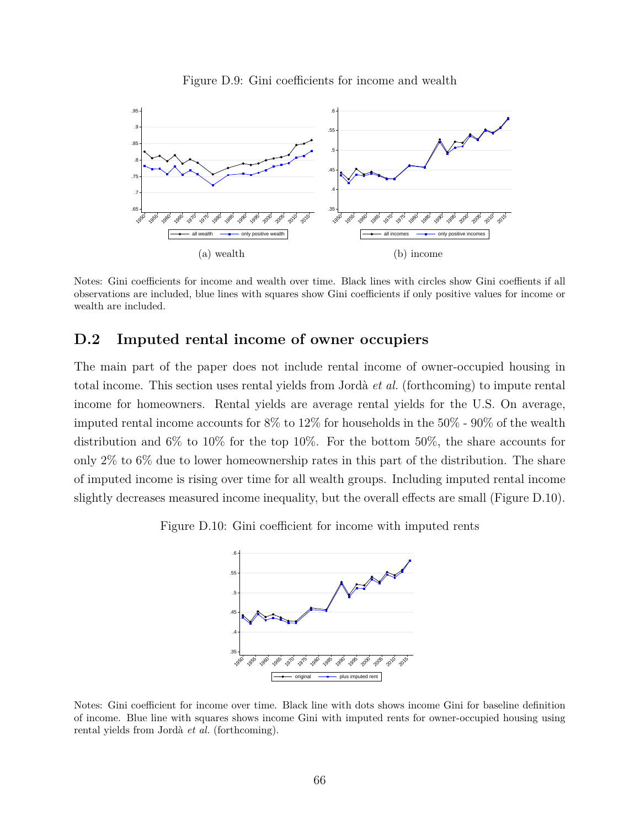

Figure D.9: Gini coefficients for income and wealth

Notes: Gini coefficients for income and wealth over time. Black lines with circles show Gini coeffients if all observations are included, blue lines with squares show Gini coefficients if only positive values for income or wealth are included.

## **D.2 Imputed rental income of owner occupiers**

The main part of the paper does not include rental income of owner-occupied housing in total income. This section uses rental yields from Jordà *et al.* (forthcoming) to impute rental income for homeowners. Rental yields are average rental yields for the U.S. On average, imputed rental income accounts for 8% to 12% for households in the 50% - 90% of the wealth distribution and 6% to 10% for the top 10%. For the bottom 50%, the share accounts for only 2% to 6% due to lower homeownership rates in this part of the distribution. The share of imputed income is rising over time for all wealth groups. Including imputed rental income slightly decreases measured income inequality, but the overall effects are small (Figure D.10).

Figure D.10: Gini coefficient for income with imputed rents



Notes: Gini coefficient for income over time. Black line with dots shows income Gini for baseline definition of income. Blue line with squares shows income Gini with imputed rents for owner-occupied housing using rental yields from Jordà *et al.* (forthcoming).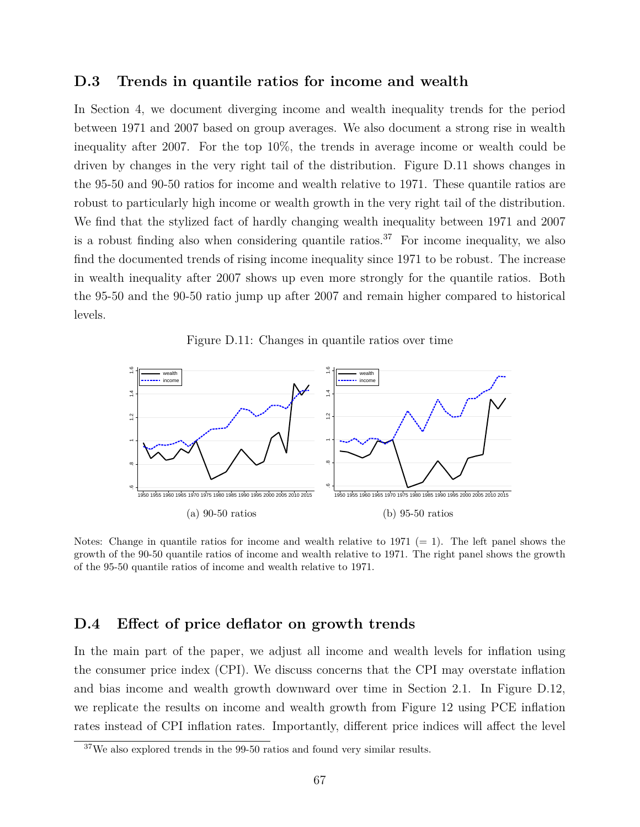#### **D.3 Trends in quantile ratios for income and wealth**

In Section 4, we document diverging income and wealth inequality trends for the period between 1971 and 2007 based on group averages. We also document a strong rise in wealth inequality after 2007. For the top 10%, the trends in average income or wealth could be driven by changes in the very right tail of the distribution. Figure D.11 shows changes in the 95-50 and 90-50 ratios for income and wealth relative to 1971. These quantile ratios are robust to particularly high income or wealth growth in the very right tail of the distribution. We find that the stylized fact of hardly changing wealth inequality between 1971 and 2007 is a robust finding also when considering quantile ratios.<sup>37</sup> For income inequality, we also find the documented trends of rising income inequality since 1971 to be robust. The increase in wealth inequality after 2007 shows up even more strongly for the quantile ratios. Both the 95-50 and the 90-50 ratio jump up after 2007 and remain higher compared to historical levels.





Notes: Change in quantile ratios for income and wealth relative to 1971 ( $= 1$ ). The left panel shows the growth of the 90-50 quantile ratios of income and wealth relative to 1971. The right panel shows the growth of the 95-50 quantile ratios of income and wealth relative to 1971.

### **D.4 Effect of price deflator on growth trends**

In the main part of the paper, we adjust all income and wealth levels for inflation using the consumer price index (CPI). We discuss concerns that the CPI may overstate inflation and bias income and wealth growth downward over time in Section 2.1. In Figure D.12, we replicate the results on income and wealth growth from Figure 12 using PCE inflation rates instead of CPI inflation rates. Importantly, different price indices will affect the level

<sup>37</sup>We also explored trends in the 99-50 ratios and found very similar results.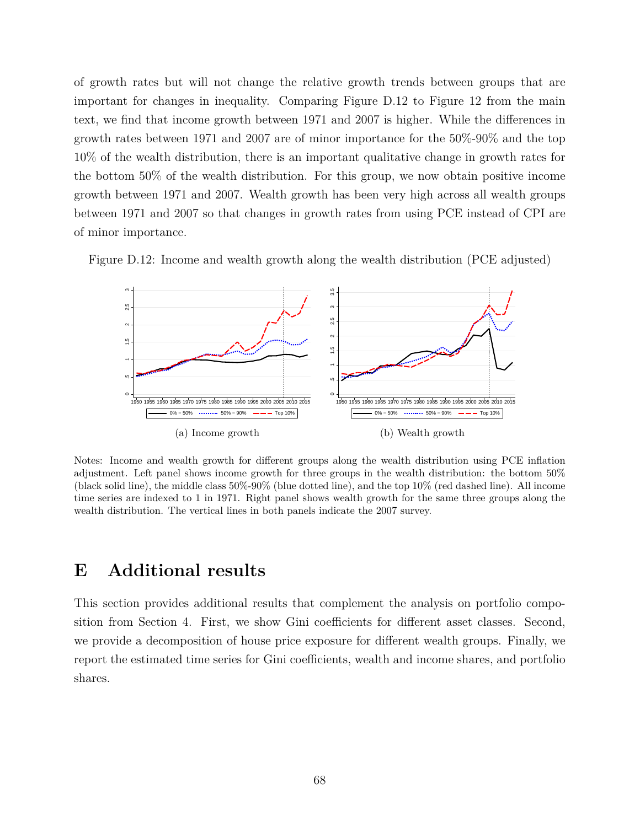of growth rates but will not change the relative growth trends between groups that are important for changes in inequality. Comparing Figure D.12 to Figure 12 from the main text, we find that income growth between 1971 and 2007 is higher. While the differences in growth rates between 1971 and 2007 are of minor importance for the 50%-90% and the top 10% of the wealth distribution, there is an important qualitative change in growth rates for the bottom 50% of the wealth distribution. For this group, we now obtain positive income growth between 1971 and 2007. Wealth growth has been very high across all wealth groups between 1971 and 2007 so that changes in growth rates from using PCE instead of CPI are of minor importance.

Figure D.12: Income and wealth growth along the wealth distribution (PCE adjusted)



Notes: Income and wealth growth for different groups along the wealth distribution using PCE inflation adjustment. Left panel shows income growth for three groups in the wealth distribution: the bottom 50% (black solid line), the middle class 50%-90% (blue dotted line), and the top 10% (red dashed line). All income time series are indexed to 1 in 1971. Right panel shows wealth growth for the same three groups along the wealth distribution. The vertical lines in both panels indicate the 2007 survey.

# **E Additional results**

This section provides additional results that complement the analysis on portfolio composition from Section 4. First, we show Gini coefficients for different asset classes. Second, we provide a decomposition of house price exposure for different wealth groups. Finally, we report the estimated time series for Gini coefficients, wealth and income shares, and portfolio shares.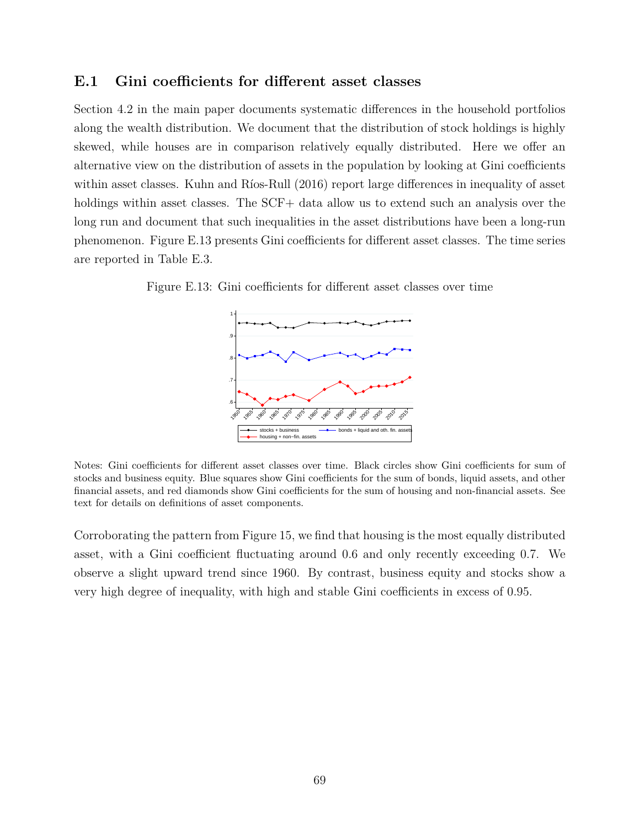#### **E.1 Gini coefficients for different asset classes**

Section 4.2 in the main paper documents systematic differences in the household portfolios along the wealth distribution. We document that the distribution of stock holdings is highly skewed, while houses are in comparison relatively equally distributed. Here we offer an alternative view on the distribution of assets in the population by looking at Gini coefficients within asset classes. Kuhn and Ríos-Rull (2016) report large differences in inequality of asset holdings within asset classes. The SCF+ data allow us to extend such an analysis over the long run and document that such inequalities in the asset distributions have been a long-run phenomenon. Figure E.13 presents Gini coefficients for different asset classes. The time series are reported in Table E.3.

Figure E.13: Gini coefficients for different asset classes over time



Notes: Gini coefficients for different asset classes over time. Black circles show Gini coefficients for sum of stocks and business equity. Blue squares show Gini coefficients for the sum of bonds, liquid assets, and other financial assets, and red diamonds show Gini coefficients for the sum of housing and non-financial assets. See text for details on definitions of asset components.

Corroborating the pattern from Figure 15, we find that housing is the most equally distributed asset, with a Gini coefficient fluctuating around 0.6 and only recently exceeding 0.7. We observe a slight upward trend since 1960. By contrast, business equity and stocks show a very high degree of inequality, with high and stable Gini coefficients in excess of 0.95.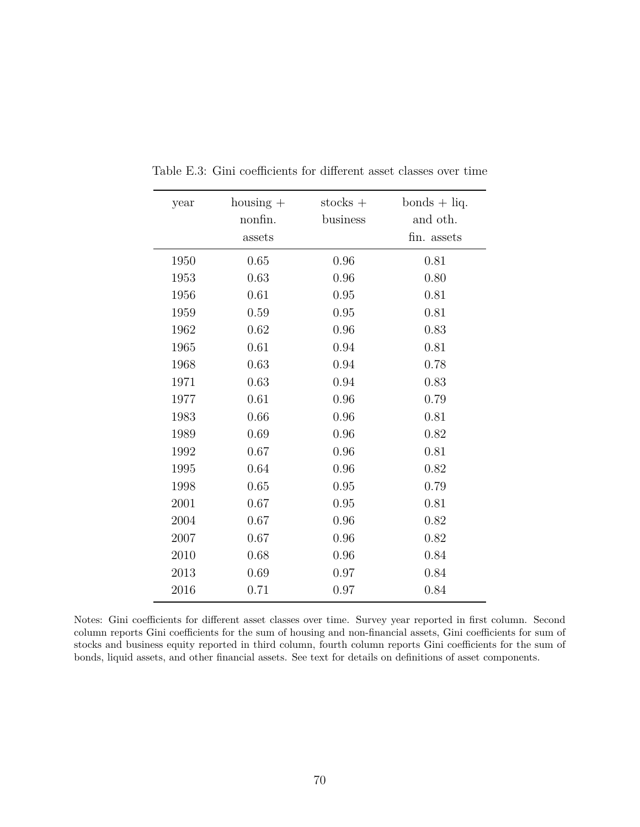| year | $\text{housing}$ + | $stocks +$ | $bonds + liq.$ |
|------|--------------------|------------|----------------|
|      | nonfin.            | business   | and oth.       |
|      | assets             |            | fin. assets    |
| 1950 | 0.65               | 0.96       | 0.81           |
| 1953 | 0.63               | 0.96       | 0.80           |
| 1956 | 0.61               | 0.95       | 0.81           |
| 1959 | 0.59               | 0.95       | 0.81           |
| 1962 | 0.62               | 0.96       | 0.83           |
| 1965 | 0.61               | 0.94       | 0.81           |
| 1968 | 0.63               | 0.94       | 0.78           |
| 1971 | 0.63               | 0.94       | 0.83           |
| 1977 | 0.61               | 0.96       | 0.79           |
| 1983 | 0.66               | 0.96       | 0.81           |
| 1989 | 0.69               | 0.96       | 0.82           |
| 1992 | 0.67               | 0.96       | 0.81           |
| 1995 | 0.64               | 0.96       | 0.82           |
| 1998 | 0.65               | 0.95       | 0.79           |
| 2001 | 0.67               | 0.95       | 0.81           |
| 2004 | 0.67               | 0.96       | 0.82           |
| 2007 | 0.67               | 0.96       | 0.82           |
| 2010 | 0.68               | 0.96       | 0.84           |
| 2013 | 0.69               | 0.97       | 0.84           |
| 2016 | 0.71               | 0.97       | 0.84           |

Table E.3: Gini coefficients for different asset classes over time

Notes: Gini coefficients for different asset classes over time. Survey year reported in first column. Second column reports Gini coefficients for the sum of housing and non-financial assets, Gini coefficients for sum of stocks and business equity reported in third column, fourth column reports Gini coefficients for the sum of bonds, liquid assets, and other financial assets. See text for details on definitions of asset components.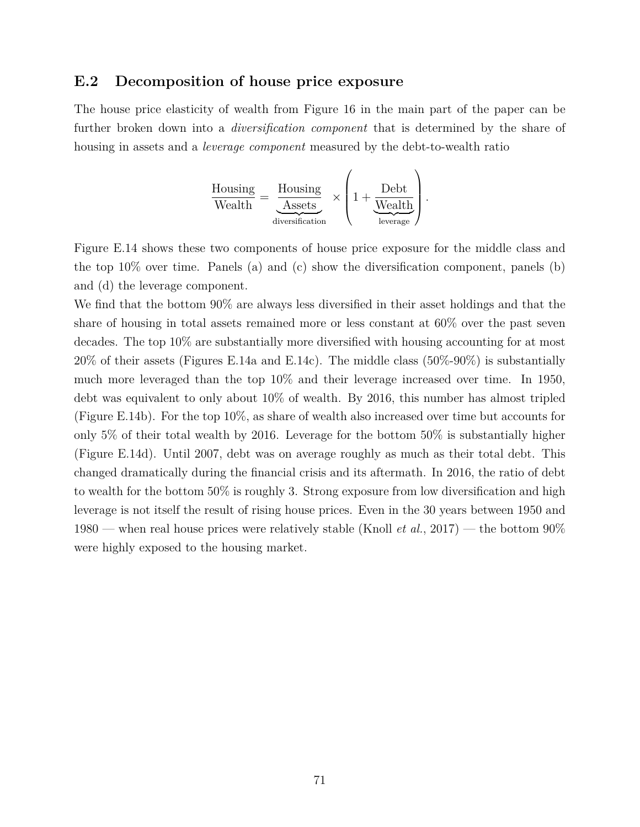### **E.2 Decomposition of house price exposure**

The house price elasticity of wealth from Figure 16 in the main part of the paper can be further broken down into a *diversification component* that is determined by the share of housing in assets and a *leverage component* measured by the debt-to-wealth ratio

$$
\frac{\text{Housing}}{\text{Weakh}} = \underbrace{\frac{\text{Housing}}{\text{Assets}}}_{\text{diversification}} \times \left( 1 + \underbrace{\frac{\text{Debt}}{\text{Weakh}}}_{\text{leverage}} \right).
$$

Figure E.14 shows these two components of house price exposure for the middle class and the top  $10\%$  over time. Panels (a) and (c) show the diversification component, panels (b) and (d) the leverage component.

We find that the bottom 90% are always less diversified in their asset holdings and that the share of housing in total assets remained more or less constant at 60% over the past seven decades. The top 10% are substantially more diversified with housing accounting for at most 20% of their assets (Figures E.14a and E.14c). The middle class (50%-90%) is substantially much more leveraged than the top 10% and their leverage increased over time. In 1950, debt was equivalent to only about 10% of wealth. By 2016, this number has almost tripled (Figure E.14b). For the top 10%, as share of wealth also increased over time but accounts for only 5% of their total wealth by 2016. Leverage for the bottom 50% is substantially higher (Figure E.14d). Until 2007, debt was on average roughly as much as their total debt. This changed dramatically during the financial crisis and its aftermath. In 2016, the ratio of debt to wealth for the bottom 50% is roughly 3. Strong exposure from low diversification and high leverage is not itself the result of rising house prices. Even in the 30 years between 1950 and 1980 — when real house prices were relatively stable (Knoll *et al.*, 2017) — the bottom 90% were highly exposed to the housing market.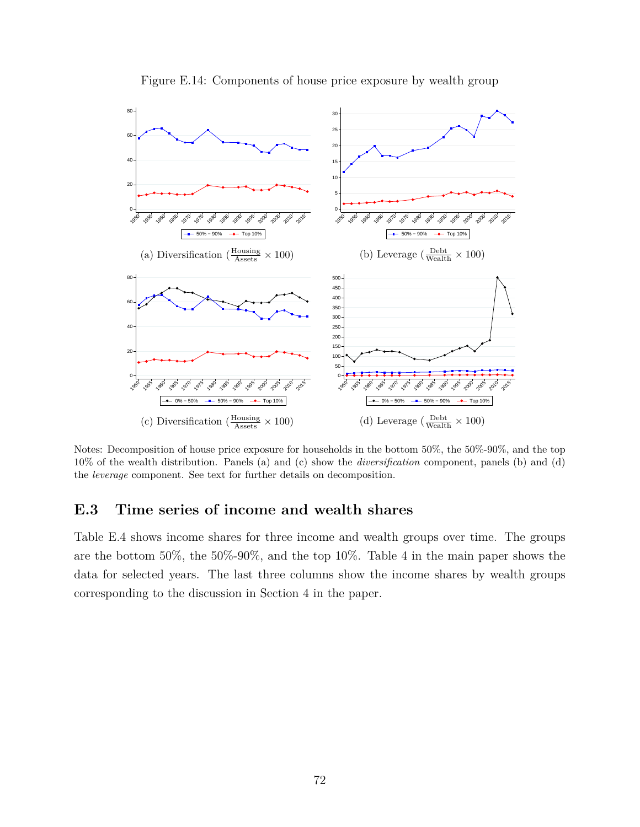

Figure E.14: Components of house price exposure by wealth group

Notes: Decomposition of house price exposure for households in the bottom 50%, the 50%-90%, and the top 10% of the wealth distribution. Panels (a) and (c) show the *diversification* component, panels (b) and (d) the *leverage* component. See text for further details on decomposition.

## **E.3 Time series of income and wealth shares**

Table E.4 shows income shares for three income and wealth groups over time. The groups are the bottom 50%, the 50%-90%, and the top 10%. Table 4 in the main paper shows the data for selected years. The last three columns show the income shares by wealth groups corresponding to the discussion in Section 4 in the paper.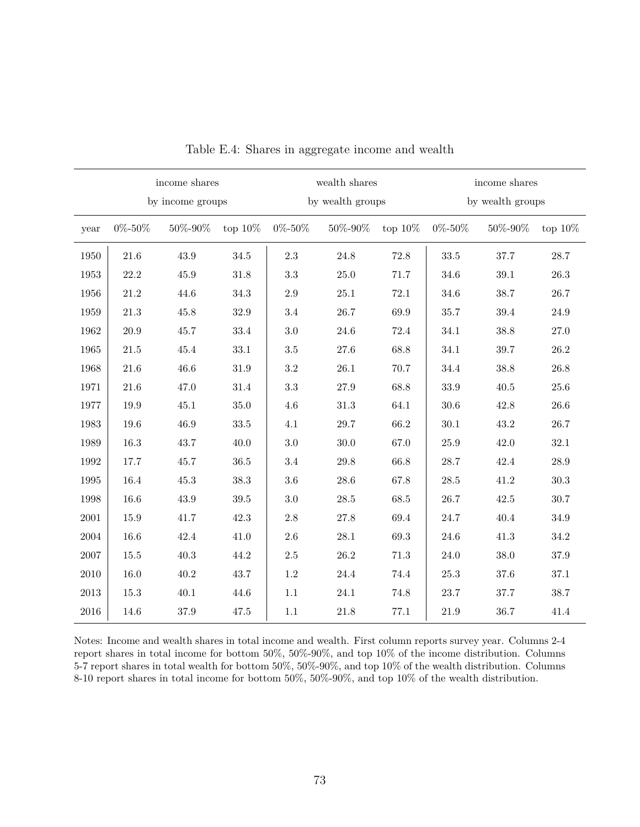|      |              | income shares<br>by income groups |            |                | wealth shares<br>by wealth groups |            | income shares<br>by wealth groups |                 |            |
|------|--------------|-----------------------------------|------------|----------------|-----------------------------------|------------|-----------------------------------|-----------------|------------|
| year | $0\% - 50\%$ | 50%-90%                           | top $10\%$ | $0\%$ - $50\%$ | $50\%$ - $90\%$                   | top $10\%$ | $0\% - 50\%$                      | $50\%$ - $90\%$ | top $10\%$ |
| 1950 | $21.6\,$     | 43.9                              | 34.5       | $2.3\,$        | 24.8                              | 72.8       | 33.5                              | $37.7\,$        | $28.7\,$   |
| 1953 | 22.2         | 45.9                              | 31.8       | 3.3            | 25.0                              | 71.7       | 34.6                              | $39.1\,$        | $26.3\,$   |
| 1956 | 21.2         | 44.6                              | 34.3       | $2.9\,$        | 25.1                              | 72.1       | 34.6                              | 38.7            | 26.7       |
| 1959 | $21.3\,$     | 45.8                              | $32.9\,$   | 3.4            | 26.7                              | 69.9       | $35.7\,$                          | $39.4\,$        | $24.9\,$   |
| 1962 | 20.9         | 45.7                              | 33.4       | 3.0            | 24.6                              | 72.4       | 34.1                              | 38.8            | 27.0       |
| 1965 | 21.5         | 45.4                              | 33.1       | $3.5\,$        | 27.6                              | 68.8       | 34.1                              | 39.7            | 26.2       |
| 1968 | 21.6         | 46.6                              | $31.9\,$   | 3.2            | 26.1                              | 70.7       | 34.4                              | 38.8            | 26.8       |
| 1971 | 21.6         | 47.0                              | 31.4       | 3.3            | 27.9                              | 68.8       | 33.9                              | 40.5            | 25.6       |
| 1977 | 19.9         | 45.1                              | $35.0\,$   | 4.6            | 31.3                              | 64.1       | 30.6                              | 42.8            | 26.6       |
| 1983 | 19.6         | 46.9                              | 33.5       | 4.1            | 29.7                              | 66.2       | 30.1                              | 43.2            | 26.7       |
| 1989 | 16.3         | 43.7                              | 40.0       | 3.0            | 30.0                              | 67.0       | 25.9                              | 42.0            | 32.1       |
| 1992 | 17.7         | 45.7                              | 36.5       | 3.4            | 29.8                              | 66.8       | 28.7                              | 42.4            | $28.9\,$   |
| 1995 | 16.4         | 45.3                              | 38.3       | 3.6            | 28.6                              | 67.8       | 28.5                              | 41.2            | $30.3\,$   |
| 1998 | 16.6         | 43.9                              | $39.5\,$   | 3.0            | 28.5                              | 68.5       | 26.7                              | 42.5            | $30.7\,$   |
| 2001 | 15.9         | 41.7                              | 42.3       | 2.8            | $27.8\,$                          | 69.4       | $24.7\,$                          | $40.4\,$        | $34.9\,$   |
| 2004 | 16.6         | 42.4                              | 41.0       | $2.6\,$        | 28.1                              | 69.3       | 24.6                              | 41.3            | 34.2       |
| 2007 | 15.5         | 40.3                              | 44.2       | $2.5\,$        | 26.2                              | $71.3\,$   | 24.0                              | 38.0            | $37.9\,$   |
| 2010 | 16.0         | 40.2                              | 43.7       | $1.2\,$        | 24.4                              | 74.4       | $25.3\,$                          | $37.6\,$        | $37.1\,$   |
| 2013 | 15.3         | 40.1                              | 44.6       | 1.1            | 24.1                              | 74.8       | 23.7                              | 37.7            | 38.7       |
| 2016 | 14.6         | $37.9\,$                          | 47.5       | $1.1\,$        | 21.8                              | 77.1       | 21.9                              | 36.7            | 41.4       |

Table E.4: Shares in aggregate income and wealth

Notes: Income and wealth shares in total income and wealth. First column reports survey year. Columns 2-4 report shares in total income for bottom 50%, 50%-90%, and top 10% of the income distribution. Columns 5-7 report shares in total wealth for bottom 50%, 50%-90%, and top 10% of the wealth distribution. Columns 8-10 report shares in total income for bottom 50%, 50%-90%, and top 10% of the wealth distribution.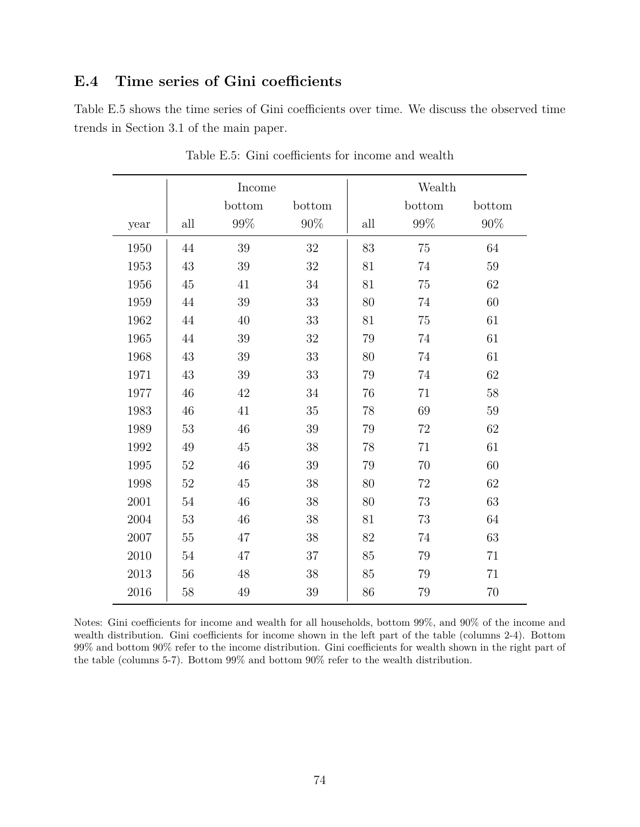## **E.4 Time series of Gini coefficients**

Table E.5 shows the time series of Gini coefficients over time. We discuss the observed time trends in Section 3.1 of the main paper.

|      |     | Income |        | Wealth |        |        |  |
|------|-----|--------|--------|--------|--------|--------|--|
|      |     | bottom | bottom |        | bottom | bottom |  |
| year | all | $99\%$ | $90\%$ | all    | $99\%$ | $90\%$ |  |
| 1950 | 44  | 39     | 32     | 83     | 75     | 64     |  |
| 1953 | 43  | 39     | 32     | 81     | 74     | 59     |  |
| 1956 | 45  | 41     | 34     | 81     | 75     | 62     |  |
| 1959 | 44  | 39     | 33     | 80     | 74     | 60     |  |
| 1962 | 44  | 40     | 33     | 81     | 75     | 61     |  |
| 1965 | 44  | 39     | 32     | 79     | 74     | 61     |  |
| 1968 | 43  | 39     | $33\,$ | 80     | 74     | 61     |  |
| 1971 | 43  | 39     | 33     | 79     | 74     | 62     |  |
| 1977 | 46  | 42     | 34     | 76     | 71     | 58     |  |
| 1983 | 46  | 41     | 35     | 78     | 69     | 59     |  |
| 1989 | 53  | 46     | 39     | 79     | 72     | 62     |  |
| 1992 | 49  | 45     | 38     | 78     | 71     | 61     |  |
| 1995 | 52  | 46     | 39     | 79     | 70     | 60     |  |
| 1998 | 52  | $45\,$ | 38     | 80     | 72     | 62     |  |
| 2001 | 54  | 46     | 38     | 80     | 73     | 63     |  |
| 2004 | 53  | 46     | 38     | 81     | 73     | 64     |  |
| 2007 | 55  | 47     | 38     | 82     | 74     | 63     |  |
| 2010 | 54  | 47     | 37     | 85     | 79     | 71     |  |
| 2013 | 56  | 48     | 38     | 85     | 79     | 71     |  |
| 2016 | 58  | 49     | 39     | 86     | 79     | 70     |  |

Table E.5: Gini coefficients for income and wealth

Notes: Gini coefficients for income and wealth for all households, bottom 99%, and 90% of the income and wealth distribution. Gini coefficients for income shown in the left part of the table (columns 2-4). Bottom 99% and bottom 90% refer to the income distribution. Gini coefficients for wealth shown in the right part of the table (columns 5-7). Bottom 99% and bottom 90% refer to the wealth distribution.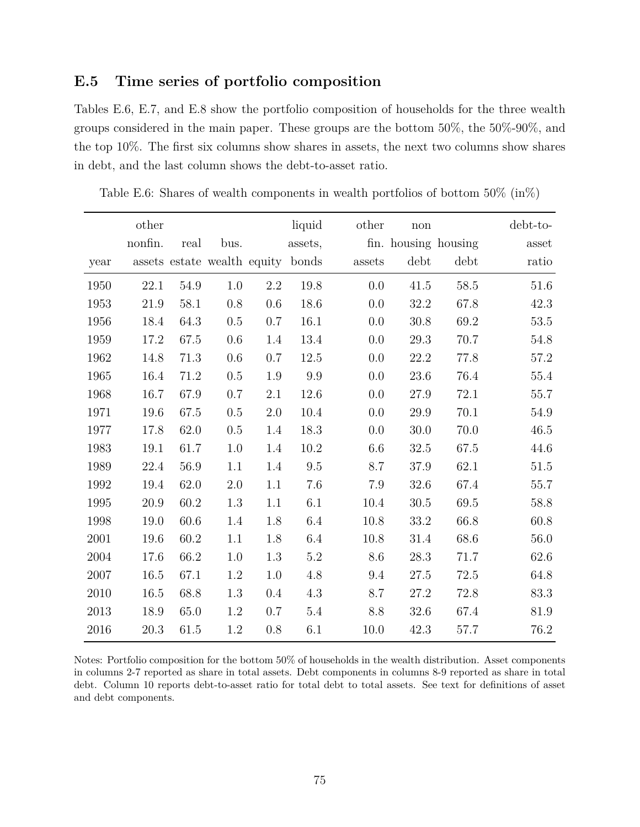## **E.5 Time series of portfolio composition**

Tables E.6, E.7, and E.8 show the portfolio composition of households for the three wealth groups considered in the main paper. These groups are the bottom 50%, the 50%-90%, and the top 10%. The first six columns show shares in assets, the next two columns show shares in debt, and the last column shows the debt-to-asset ratio.

|      | other   |          |                             |         | liquid   | other  | $\operatorname{non}$ |          | debt-to-               |
|------|---------|----------|-----------------------------|---------|----------|--------|----------------------|----------|------------------------|
|      | nonfin. | real     | bus.                        |         | assets,  |        | fin. housing housing |          | $\operatorname{asset}$ |
| year |         |          | assets estate wealth equity |         | bonds    | assets | debt                 | debt     | ratio                  |
| 1950 | 22.1    | 54.9     | 1.0                         | 2.2     | 19.8     | 0.0    | 41.5                 | 58.5     | 51.6                   |
| 1953 | 21.9    | 58.1     | 0.8                         | 0.6     | 18.6     | 0.0    | 32.2                 | 67.8     | 42.3                   |
| 1956 | 18.4    | 64.3     | 0.5                         | 0.7     | 16.1     | 0.0    | 30.8                 | 69.2     | $53.5\,$               |
| 1959 | 17.2    | 67.5     | 0.6                         | 1.4     | 13.4     | 0.0    | 29.3                 | 70.7     | 54.8                   |
| 1962 | 14.8    | 71.3     | 0.6                         | 0.7     | 12.5     | 0.0    | 22.2                 | 77.8     | 57.2                   |
| 1965 | 16.4    | 71.2     | 0.5                         | 1.9     | 9.9      | 0.0    | 23.6                 | 76.4     | 55.4                   |
| 1968 | 16.7    | 67.9     | 0.7                         | 2.1     | 12.6     | 0.0    | 27.9                 | 72.1     | $55.7\,$               |
| 1971 | 19.6    | 67.5     | $0.5\,$                     | 2.0     | 10.4     | 0.0    | 29.9                 | 70.1     | 54.9                   |
| 1977 | 17.8    | 62.0     | 0.5                         | 1.4     | 18.3     | 0.0    | 30.0                 | 70.0     | 46.5                   |
| 1983 | 19.1    | 61.7     | $1.0\,$                     | 1.4     | $10.2\,$ | 6.6    | 32.5                 | $67.5\,$ | 44.6                   |
| 1989 | 22.4    | 56.9     | 1.1                         | 1.4     | 9.5      | 8.7    | 37.9                 | 62.1     | $51.5\,$               |
| 1992 | 19.4    | 62.0     | $2.0\,$                     | 1.1     | 7.6      | 7.9    | 32.6                 | 67.4     | $55.7\,$               |
| 1995 | 20.9    | 60.2     | 1.3                         | 1.1     | 6.1      | 10.4   | 30.5                 | 69.5     | 58.8                   |
| 1998 | 19.0    | $60.6\,$ | 1.4                         | 1.8     | 6.4      | 10.8   | $33.2\,$             | 66.8     | 60.8                   |
| 2001 | 19.6    | 60.2     | 1.1                         | 1.8     | 6.4      | 10.8   | 31.4                 | 68.6     | $56.0\,$               |
| 2004 | 17.6    | 66.2     | 1.0                         | 1.3     | 5.2      | 8.6    | 28.3                 | 71.7     | 62.6                   |
| 2007 | 16.5    | 67.1     | 1.2                         | 1.0     | 4.8      | 9.4    | 27.5                 | 72.5     | 64.8                   |
| 2010 | 16.5    | 68.8     | 1.3                         | 0.4     | 4.3      | 8.7    | 27.2                 | 72.8     | 83.3                   |
| 2013 | 18.9    | 65.0     | 1.2                         | 0.7     | $5.4\,$  | 8.8    | 32.6                 | 67.4     | 81.9                   |
| 2016 | 20.3    | 61.5     | 1.2                         | $0.8\,$ | 6.1      | 10.0   | 42.3                 | 57.7     | 76.2                   |

Table E.6: Shares of wealth components in wealth portfolios of bottom 50% (in%)

Notes: Portfolio composition for the bottom 50% of households in the wealth distribution. Asset components in columns 2-7 reported as share in total assets. Debt components in columns 8-9 reported as share in total debt. Column 10 reports debt-to-asset ratio for total debt to total assets. See text for definitions of asset and debt components.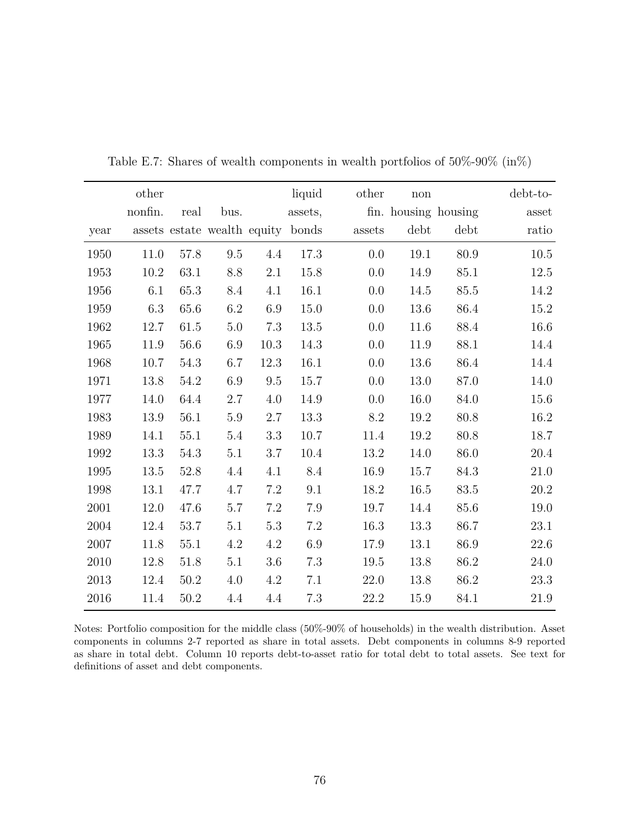|      | other   |          |                             |         | liquid   | other  | $\operatorname{non}$ |          | debt-to- |
|------|---------|----------|-----------------------------|---------|----------|--------|----------------------|----------|----------|
|      | nonfin. | real     | bus.                        |         | assets,  |        | fin. housing housing |          | asset    |
| year |         |          | assets estate wealth equity |         | bonds    | assets | debt                 | debt     | ratio    |
| 1950 | 11.0    | 57.8     | 9.5                         | 4.4     | 17.3     | 0.0    | 19.1                 | 80.9     | $10.5\,$ |
| 1953 | 10.2    | 63.1     | 8.8                         | $2.1\,$ | 15.8     | 0.0    | 14.9                 | 85.1     | $12.5\,$ |
| 1956 | 6.1     | 65.3     | 8.4                         | 4.1     | 16.1     | 0.0    | 14.5                 | 85.5     | 14.2     |
| 1959 | $6.3\,$ | 65.6     | $6.2\,$                     | $6.9\,$ | $15.0\,$ | 0.0    | 13.6                 | $86.4\,$ | 15.2     |
| 1962 | 12.7    | 61.5     | 5.0                         | 7.3     | 13.5     | 0.0    | 11.6                 | 88.4     | 16.6     |
| 1965 | 11.9    | 56.6     | 6.9                         | 10.3    | 14.3     | 0.0    | 11.9                 | 88.1     | 14.4     |
| 1968 | 10.7    | 54.3     | 6.7                         | 12.3    | 16.1     | 0.0    | 13.6                 | 86.4     | 14.4     |
| 1971 | 13.8    | 54.2     | 6.9                         | 9.5     | 15.7     | 0.0    | 13.0                 | 87.0     | 14.0     |
| 1977 | 14.0    | 64.4     | 2.7                         | 4.0     | 14.9     | 0.0    | 16.0                 | 84.0     | 15.6     |
| 1983 | 13.9    | 56.1     | $5.9\,$                     | 2.7     | 13.3     | 8.2    | 19.2                 | 80.8     | 16.2     |
| 1989 | 14.1    | 55.1     | 5.4                         | 3.3     | 10.7     | 11.4   | 19.2                 | 80.8     | 18.7     |
| 1992 | 13.3    | 54.3     | 5.1                         | $3.7\,$ | 10.4     | 13.2   | 14.0                 | 86.0     | 20.4     |
| 1995 | 13.5    | $52.8\,$ | 4.4                         | 4.1     | $8.4\,$  | 16.9   | 15.7                 | 84.3     | $21.0\,$ |
| 1998 | 13.1    | 47.7     | 4.7                         | $7.2\,$ | 9.1      | 18.2   | 16.5                 | 83.5     | 20.2     |
| 2001 | 12.0    | 47.6     | 5.7                         | 7.2     | 7.9      | 19.7   | 14.4                 | 85.6     | 19.0     |
| 2004 | 12.4    | $53.7\,$ | 5.1                         | 5.3     | $7.2\,$  | 16.3   | 13.3                 | 86.7     | $23.1\,$ |
| 2007 | 11.8    | 55.1     | 4.2                         | 4.2     | 6.9      | 17.9   | 13.1                 | 86.9     | $22.6\,$ |
| 2010 | 12.8    | 51.8     | 5.1                         | $3.6\,$ | 7.3      | 19.5   | 13.8                 | 86.2     | 24.0     |
| 2013 | 12.4    | 50.2     | 4.0                         | 4.2     | 7.1      | 22.0   | 13.8                 | 86.2     | $23.3\,$ |
| 2016 | 11.4    | 50.2     | 4.4                         | 4.4     | 7.3      | 22.2   | 15.9                 | 84.1     | 21.9     |

Table E.7: Shares of wealth components in wealth portfolios of 50%-90% (in%)

Notes: Portfolio composition for the middle class (50%-90% of households) in the wealth distribution. Asset components in columns 2-7 reported as share in total assets. Debt components in columns 8-9 reported as share in total debt. Column 10 reports debt-to-asset ratio for total debt to total assets. See text for definitions of asset and debt components.